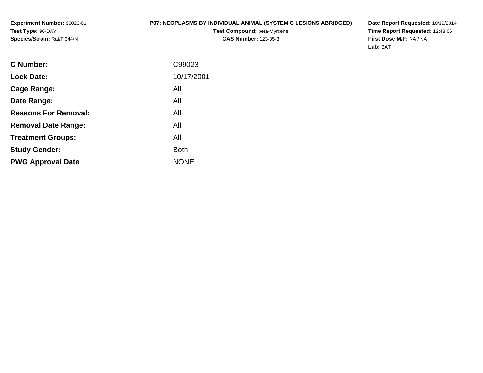### **P07: NEOPLASMS BY INDIVIDUAL ANIMAL (SYSTEMIC LESIONS ABRIDGED)**

**Test Compound:** beta-Myrcene**CAS Number:** 123-35-3

**Date Report Requested:** 10/19/2014 **Time Report Requested:** 12:48:06**First Dose M/F:** NA / NA**Lab:** BAT

| <b>C</b> Number:            | C99023      |
|-----------------------------|-------------|
| <b>Lock Date:</b>           | 10/17/2001  |
| Cage Range:                 | All         |
| Date Range:                 | All         |
| <b>Reasons For Removal:</b> | All         |
| <b>Removal Date Range:</b>  | All         |
| <b>Treatment Groups:</b>    | All         |
| <b>Study Gender:</b>        | <b>Both</b> |
| <b>PWG Approval Date</b>    | <b>NONE</b> |
|                             |             |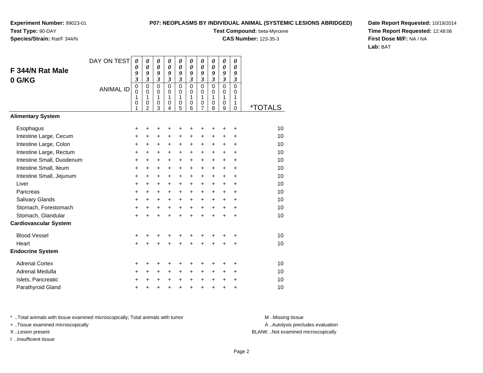**Species/Strain:** Rat/F 344/N

### **P07: NEOPLASMS BY INDIVIDUAL ANIMAL (SYSTEMIC LESIONS ABRIDGED)**

**Test Compound:** beta-Myrcene**CAS Number:** 123-35-3

**Date Report Requested:** 10/19/2014**Time Report Requested:** 12:48:06**First Dose M/F:** NA / NA**Lab:** BAT

|                              | DAY ON TEST      | 0                       | 0                       | 0                | 0                          | 0                          | 0                       | 0                       | 0                          | 0                          | 0                    |                       |
|------------------------------|------------------|-------------------------|-------------------------|------------------|----------------------------|----------------------------|-------------------------|-------------------------|----------------------------|----------------------------|----------------------|-----------------------|
| F 344/N Rat Male             |                  | 0<br>9                  | 0<br>9                  | 0<br>9           | $\boldsymbol{\theta}$<br>9 | $\boldsymbol{\theta}$<br>9 | 0<br>9                  | 0<br>9                  | $\boldsymbol{\theta}$<br>9 | $\boldsymbol{\theta}$<br>9 | 0<br>9               |                       |
| 0 G/KG                       |                  | $\overline{\mathbf{3}}$ | $\mathfrak{z}$          | 3                | 3                          | 3                          | $\overline{\mathbf{3}}$ | $\overline{\mathbf{3}}$ | 3                          | 3                          | $\boldsymbol{\beta}$ |                       |
|                              | <b>ANIMAL ID</b> | $\pmb{0}$<br>0          | $\mathbf 0$<br>$\Omega$ | $\mathbf 0$<br>0 | $\mathbf 0$<br>$\Omega$    | $\pmb{0}$<br>0             | $\mathbf 0$<br>$\Omega$ | 0<br>0                  | $\mathbf 0$<br>$\Omega$    | $\overline{0}$<br>0        | $\overline{0}$<br>0  |                       |
|                              |                  | 1<br>0<br>1             | 1<br>0<br>2             | 1<br>0<br>3      | $\mathbf{1}$<br>0<br>4     | 1<br>$\mathbf 0$<br>5      | 1<br>0<br>6             | 1<br>0<br>7             | 1<br>0<br>8                | 1<br>0<br>9                | 1<br>1<br>$\Omega$   | <i><b>*TOTALS</b></i> |
| <b>Alimentary System</b>     |                  |                         |                         |                  |                            |                            |                         |                         |                            |                            |                      |                       |
| Esophagus                    |                  | +                       | +                       | +                | +                          | +                          |                         | +                       | +                          | +                          | +                    | 10                    |
| Intestine Large, Cecum       |                  | +                       | +                       | +                | +                          | +                          | +                       | +                       | +                          | +                          | +                    | 10                    |
| Intestine Large, Colon       |                  | $\ddot{}$               | $\ddot{}$               | +                | $\ddot{}$                  | $\ddot{}$                  | $\ddot{}$               | $\ddot{}$               | $\ddot{}$                  | +                          | $\ddot{}$            | 10                    |
| Intestine Large, Rectum      |                  | +                       | $\ddot{}$               | +                | +                          | $\ddot{}$                  | $\ddot{}$               | $\ddot{}$               | $\ddot{}$                  | $\ddot{}$                  | $\ddot{}$            | 10                    |
| Intestine Small, Duodenum    |                  | $\ddot{}$               | $\ddot{}$               | $\ddot{}$        | $\ddot{}$                  | $\ddot{}$                  | $\ddot{}$               | $\ddot{}$               | $\ddot{}$                  | $\ddot{}$                  | $\ddot{}$            | 10                    |
| Intestine Small, Ileum       |                  | +                       | +                       | +                | +                          | $\ddot{}$                  | $\ddot{}$               | $\ddot{}$               | $\ddot{}$                  | +                          | $\ddot{}$            | 10                    |
| Intestine Small, Jejunum     |                  | $\ddot{}$               | $\ddot{}$               | $\ddot{}$        | $\ddot{}$                  | $\ddot{}$                  | $\ddot{}$               | $\ddot{}$               | $\ddot{}$                  | $\ddot{}$                  | $\ddot{}$            | 10                    |
| Liver                        |                  | $\ddot{}$               | $\ddot{}$               | $\ddot{}$        | $\ddot{}$                  | $+$                        | $+$                     | $+$                     | $\ddot{}$                  | $\ddot{}$                  | $\ddot{}$            | 10                    |
| Pancreas                     |                  | $\ddot{}$               | $\ddot{}$               | $\ddot{}$        | $\ddot{}$                  | $+$                        | $\ddot{}$               | $\ddot{}$               | $\ddot{}$                  | $\ddot{}$                  | $\ddot{}$            | 10                    |
| Salivary Glands              |                  | $\ddot{}$               | $\ddot{}$               | $\ddot{}$        | $\ddot{}$                  | $+$                        | $+$                     | $\ddot{}$               | $\ddot{}$                  | $\ddot{}$                  | $\ddot{}$            | 10                    |
| Stomach, Forestomach         |                  | +                       | $\ddot{}$               | $\ddot{}$        | $\ddot{}$                  | $+$                        | $+$                     | $\ddot{}$               | $+$                        | $+$                        | $\ddot{}$            | 10                    |
| Stomach, Glandular           |                  | $\ddot{}$               | $\ddot{}$               | $\ddot{}$        | $\ddot{}$                  | $\ddot{}$                  | $\ddot{}$               | $\ddot{}$               | $\ddot{}$                  | $\ddot{}$                  | $\ddot{}$            | 10                    |
| <b>Cardiovascular System</b> |                  |                         |                         |                  |                            |                            |                         |                         |                            |                            |                      |                       |
| <b>Blood Vessel</b>          |                  | +                       | +                       | +                |                            |                            |                         |                         |                            | +                          | +                    | 10                    |
| Heart                        |                  | $\ddot{}$               | $\ddot{}$               | $\ddot{}$        | $\ddot{}$                  | $\ddot{}$                  | $\ddot{}$               | $\ddot{}$               | $\ddot{}$                  | +                          | $\ddot{}$            | 10                    |
| <b>Endocrine System</b>      |                  |                         |                         |                  |                            |                            |                         |                         |                            |                            |                      |                       |
| <b>Adrenal Cortex</b>        |                  | +                       | ٠                       | +                | +                          |                            |                         | +                       |                            | +                          | +                    | 10                    |
| Adrenal Medulla              |                  | +                       | $\ddot{}$               | +                | $\ddot{}$                  | $\ddot{}$                  | $\ddot{}$               | $\ddot{}$               | +                          | +                          | $\ddot{}$            | 10                    |
| Islets, Pancreatic           |                  | +                       | +                       | +                | $\ddot{}$                  | $\ddot{}$                  | $\ddot{}$               | $+$                     | $\ddot{}$                  | $\ddot{}$                  | $\ddot{}$            | 10                    |
| Parathyroid Gland            |                  | +                       | +                       | +                | +                          | $\ddot{}$                  | $\ddot{}$               | +                       | $\ddot{}$                  | $\ddot{}$                  | +                    | 10                    |

\* ..Total animals with tissue examined microscopically; Total animals with tumor **M** . Missing tissue M ..Missing tissue

+ ..Tissue examined microscopically

I ..Insufficient tissue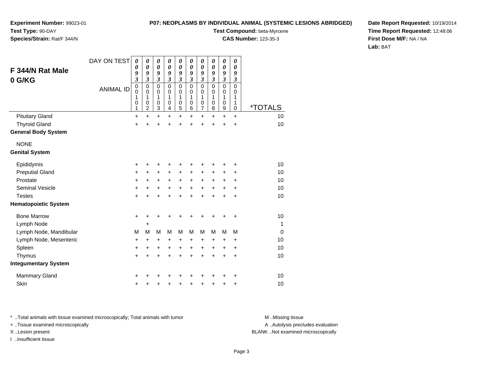### **P07: NEOPLASMS BY INDIVIDUAL ANIMAL (SYSTEMIC LESIONS ABRIDGED)**

**Experiment Number:** 99023-01**Test Type:** 90-DAY**Species/Strain:** Rat/F 344/N

**Test Compound:** beta-Myrcene

**CAS Number:** 123-35-3

**Date Report Requested:** 10/19/2014**Time Report Requested:** 12:48:06**First Dose M/F:** NA / NA**Lab:** BAT

| F 344/N Rat Male<br>0 G/KG  | DAY ON TEST<br><b>ANIMAL ID</b> | $\boldsymbol{\theta}$<br>0<br>9<br>3<br>$\mathbf 0$<br>$\mathbf 0$<br>1<br>0<br>1 | 0<br>0<br>9<br>$\overline{\mathbf{3}}$<br>0<br>0<br>1<br>0<br>$\overline{\mathbf{c}}$ | 0<br>$\boldsymbol{\theta}$<br>9<br>$\boldsymbol{\mathfrak{z}}$<br>$\mathbf 0$<br>$\mathbf 0$<br>1<br>0<br>$\ensuremath{\mathsf{3}}$ | 0<br>$\boldsymbol{\theta}$<br>9<br>$\boldsymbol{\beta}$<br>$\mathbf 0$<br>$\mathbf 0$<br>1<br>0<br>4 | $\boldsymbol{\theta}$<br>$\boldsymbol{\theta}$<br>9<br>$\boldsymbol{\beta}$<br>$\mathbf 0$<br>$\mathbf 0$<br>1<br>$\mathbf 0$<br>$\sqrt{5}$ | 0<br>0<br>9<br>$\boldsymbol{\beta}$<br>$\mathbf 0$<br>0<br>1<br>0<br>6 | 0<br>$\boldsymbol{\theta}$<br>9<br>$\boldsymbol{\beta}$<br>$\mathbf 0$<br>$\mathbf 0$<br>1<br>$\mathbf 0$<br>7 | 0<br>0<br>9<br>$\boldsymbol{\beta}$<br>$\mathbf 0$<br>0<br>1<br>0<br>8 | $\boldsymbol{\theta}$<br>$\boldsymbol{\theta}$<br>9<br>$\boldsymbol{\mathfrak{z}}$<br>$\mathsf 0$<br>0<br>$\mathbf{1}$<br>0<br>$\boldsymbol{9}$ | 0<br>0<br>9<br>$\boldsymbol{\beta}$<br>$\mathbf 0$<br>0<br>1<br>1<br>$\mathbf 0$ | <i><b>*TOTALS</b></i> |
|-----------------------------|---------------------------------|-----------------------------------------------------------------------------------|---------------------------------------------------------------------------------------|-------------------------------------------------------------------------------------------------------------------------------------|------------------------------------------------------------------------------------------------------|---------------------------------------------------------------------------------------------------------------------------------------------|------------------------------------------------------------------------|----------------------------------------------------------------------------------------------------------------|------------------------------------------------------------------------|-------------------------------------------------------------------------------------------------------------------------------------------------|----------------------------------------------------------------------------------|-----------------------|
| <b>Pituitary Gland</b>      |                                 | $\ddot{}$                                                                         | $\ddot{}$                                                                             | $\ddot{}$                                                                                                                           | $\ddot{}$                                                                                            | $\ddot{}$                                                                                                                                   | $\ddot{}$                                                              | +                                                                                                              | $\ddot{}$                                                              | $\ddot{}$                                                                                                                                       | $\ddot{}$                                                                        | 10                    |
| <b>Thyroid Gland</b>        |                                 | +                                                                                 | +                                                                                     | +                                                                                                                                   | +                                                                                                    | +                                                                                                                                           |                                                                        |                                                                                                                |                                                                        | +                                                                                                                                               | +                                                                                | 10                    |
| <b>General Body System</b>  |                                 |                                                                                   |                                                                                       |                                                                                                                                     |                                                                                                      |                                                                                                                                             |                                                                        |                                                                                                                |                                                                        |                                                                                                                                                 |                                                                                  |                       |
| <b>NONE</b>                 |                                 |                                                                                   |                                                                                       |                                                                                                                                     |                                                                                                      |                                                                                                                                             |                                                                        |                                                                                                                |                                                                        |                                                                                                                                                 |                                                                                  |                       |
| <b>Genital System</b>       |                                 |                                                                                   |                                                                                       |                                                                                                                                     |                                                                                                      |                                                                                                                                             |                                                                        |                                                                                                                |                                                                        |                                                                                                                                                 |                                                                                  |                       |
| Epididymis                  |                                 | +                                                                                 | +                                                                                     | +                                                                                                                                   | +                                                                                                    | +                                                                                                                                           |                                                                        |                                                                                                                |                                                                        |                                                                                                                                                 | +                                                                                | 10                    |
| <b>Preputial Gland</b>      |                                 | +                                                                                 | +                                                                                     | +                                                                                                                                   | +                                                                                                    | $\ddot{}$                                                                                                                                   | $\ddot{}$                                                              | +                                                                                                              | ٠                                                                      | +                                                                                                                                               | ٠                                                                                | 10                    |
| Prostate                    |                                 | +                                                                                 | $\pm$                                                                                 | +                                                                                                                                   | +                                                                                                    | $\ddot{}$                                                                                                                                   | $\ddot{}$                                                              | +                                                                                                              | $\ddot{}$                                                              | +                                                                                                                                               | +                                                                                | 10                    |
| <b>Seminal Vesicle</b>      |                                 | +                                                                                 | +                                                                                     | +                                                                                                                                   | $\ddot{}$                                                                                            | $\ddot{}$                                                                                                                                   | $\ddot{}$                                                              | $\ddot{}$                                                                                                      | $\ddot{}$                                                              | $\ddot{}$                                                                                                                                       | +                                                                                | 10                    |
| <b>Testes</b>               |                                 | $\ddot{}$                                                                         | +                                                                                     | $\ddot{}$                                                                                                                           | $\ddot{}$                                                                                            | $\ddot{}$                                                                                                                                   | $\ddot{}$                                                              | $\ddot{}$                                                                                                      | $\ddot{}$                                                              | $\ddot{}$                                                                                                                                       | $\ddot{}$                                                                        | 10                    |
| <b>Hematopoietic System</b> |                                 |                                                                                   |                                                                                       |                                                                                                                                     |                                                                                                      |                                                                                                                                             |                                                                        |                                                                                                                |                                                                        |                                                                                                                                                 |                                                                                  |                       |
| <b>Bone Marrow</b>          |                                 | $\ddot{}$                                                                         | +                                                                                     | +                                                                                                                                   |                                                                                                      |                                                                                                                                             |                                                                        |                                                                                                                |                                                                        |                                                                                                                                                 | +                                                                                | 10                    |
| Lymph Node                  |                                 |                                                                                   | +                                                                                     |                                                                                                                                     |                                                                                                      |                                                                                                                                             |                                                                        |                                                                                                                |                                                                        |                                                                                                                                                 |                                                                                  | $\mathbf{1}$          |
| Lymph Node, Mandibular      |                                 | M                                                                                 | M                                                                                     | M                                                                                                                                   | M                                                                                                    | M                                                                                                                                           | M                                                                      | M                                                                                                              | M                                                                      | M                                                                                                                                               | M                                                                                | $\mathbf 0$           |
| Lymph Node, Mesenteric      |                                 | +                                                                                 | $\ddot{}$                                                                             | +                                                                                                                                   | +                                                                                                    | +                                                                                                                                           | +                                                                      | +                                                                                                              | +                                                                      | +                                                                                                                                               | +                                                                                | 10                    |
| Spleen                      |                                 | +                                                                                 | +                                                                                     | +                                                                                                                                   | +                                                                                                    | +                                                                                                                                           | +                                                                      | $\ddot{}$                                                                                                      | +                                                                      | +                                                                                                                                               | +                                                                                | 10                    |
| Thymus                      |                                 | +                                                                                 | +                                                                                     | +                                                                                                                                   | +                                                                                                    | +                                                                                                                                           |                                                                        | +                                                                                                              |                                                                        | $\ddot{}$                                                                                                                                       | $\ddot{}$                                                                        | 10                    |
| <b>Integumentary System</b> |                                 |                                                                                   |                                                                                       |                                                                                                                                     |                                                                                                      |                                                                                                                                             |                                                                        |                                                                                                                |                                                                        |                                                                                                                                                 |                                                                                  |                       |
| <b>Mammary Gland</b>        |                                 | ٠                                                                                 |                                                                                       |                                                                                                                                     |                                                                                                      |                                                                                                                                             |                                                                        |                                                                                                                |                                                                        |                                                                                                                                                 | ٠                                                                                | 10                    |
| Skin                        |                                 | +                                                                                 | +                                                                                     | +                                                                                                                                   | +                                                                                                    | +                                                                                                                                           |                                                                        |                                                                                                                |                                                                        | +                                                                                                                                               | +                                                                                | 10                    |

\* ..Total animals with tissue examined microscopically; Total animals with tumor **M** . Missing tissue M ..Missing tissue

+ ..Tissue examined microscopically

I ..Insufficient tissue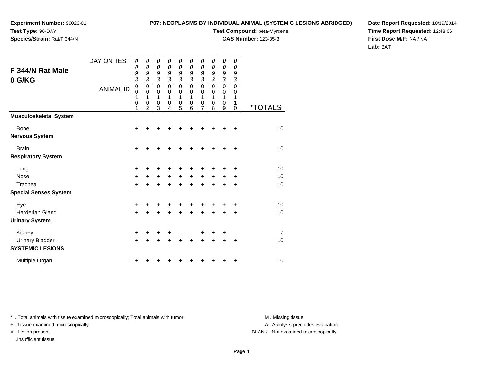# **Species/Strain:** Rat/F 344/N

### **P07: NEOPLASMS BY INDIVIDUAL ANIMAL (SYSTEMIC LESIONS ABRIDGED)**

**Test Compound:** beta-Myrcene

**CAS Number:** 123-35-3

**Date Report Requested:** 10/19/2014**Time Report Requested:** 12:48:06**First Dose M/F:** NA / NA**Lab:** BAT

| F 344/N Rat Male<br>0 G/KG                        | DAY ON TEST<br><b>ANIMAL ID</b> | 0<br>0<br>9<br>$\mathfrak{z}$<br>$\mathbf 0$<br>$\mathbf 0$<br>1<br>0<br>1 | 0<br>0<br>9<br>3<br>0<br>0<br>1<br>0<br>$\mathfrak{p}$ | 0<br>0<br>9<br>$\overline{\mathbf{3}}$<br>$\pmb{0}$<br>0<br>1<br>0<br>3 | 0<br>$\boldsymbol{\theta}$<br>9<br>$\mathfrak{z}$<br>$\mathbf 0$<br>$\mathbf 0$<br>1<br>0<br>4 | 0<br>0<br>9<br>$\mathfrak{z}$<br>$\mathbf 0$<br>$\mathbf 0$<br>1<br>$\mathbf 0$<br>5 | $\boldsymbol{\theta}$<br>0<br>9<br>$\mathfrak{z}$<br>$\mathbf 0$<br>$\mathbf 0$<br>1<br>$\mathbf 0$<br>6 | 0<br>0<br>9<br>$\mathfrak{z}$<br>$\mathbf 0$<br>0<br>1<br>0<br>7 | 0<br>0<br>9<br>$\mathfrak{z}$<br>$\mathbf 0$<br>0<br>1<br>$\mathbf 0$<br>8 | 0<br>0<br>9<br>$\mathfrak{z}$<br>0<br>0<br>1<br>0<br>9 | 0<br>$\boldsymbol{\theta}$<br>9<br>$\boldsymbol{\mathfrak{z}}$<br>0<br>0<br>1<br>1<br>$\mathbf 0$ | <i><b>*TOTALS</b></i> |
|---------------------------------------------------|---------------------------------|----------------------------------------------------------------------------|--------------------------------------------------------|-------------------------------------------------------------------------|------------------------------------------------------------------------------------------------|--------------------------------------------------------------------------------------|----------------------------------------------------------------------------------------------------------|------------------------------------------------------------------|----------------------------------------------------------------------------|--------------------------------------------------------|---------------------------------------------------------------------------------------------------|-----------------------|
| <b>Musculoskeletal System</b>                     |                                 |                                                                            |                                                        |                                                                         |                                                                                                |                                                                                      |                                                                                                          |                                                                  |                                                                            |                                                        |                                                                                                   |                       |
| <b>Bone</b>                                       |                                 | $\ddot{}$                                                                  | ┿                                                      |                                                                         |                                                                                                |                                                                                      |                                                                                                          | +                                                                | ٠                                                                          | ٠                                                      | +                                                                                                 | 10                    |
| <b>Nervous System</b>                             |                                 |                                                                            |                                                        |                                                                         |                                                                                                |                                                                                      |                                                                                                          |                                                                  |                                                                            |                                                        |                                                                                                   |                       |
| <b>Brain</b>                                      |                                 | $+$                                                                        |                                                        | +                                                                       |                                                                                                | +                                                                                    | +                                                                                                        | +                                                                | +                                                                          | +                                                      | $\ddot{}$                                                                                         | 10                    |
| <b>Respiratory System</b>                         |                                 |                                                                            |                                                        |                                                                         |                                                                                                |                                                                                      |                                                                                                          |                                                                  |                                                                            |                                                        |                                                                                                   |                       |
| Lung                                              |                                 | $\ddot{}$                                                                  |                                                        |                                                                         |                                                                                                |                                                                                      |                                                                                                          |                                                                  |                                                                            |                                                        | $\ddot{}$                                                                                         | 10                    |
| <b>Nose</b>                                       |                                 | $+$                                                                        | $\pm$                                                  | $\pm$                                                                   | $\ddot{}$                                                                                      | $+$                                                                                  | $+$                                                                                                      | $\ddot{}$                                                        | $\ddot{}$                                                                  | +                                                      | $\ddot{}$                                                                                         | 10                    |
| Trachea                                           |                                 | $+$                                                                        | +                                                      | $\pm$                                                                   | $\ddot{}$                                                                                      | $\ddot{}$                                                                            | $\ddot{}$                                                                                                | $\ddot{}$                                                        | $\ddot{}$                                                                  | $\ddot{}$                                              | $\ddot{}$                                                                                         | 10                    |
| <b>Special Senses System</b>                      |                                 |                                                                            |                                                        |                                                                         |                                                                                                |                                                                                      |                                                                                                          |                                                                  |                                                                            |                                                        |                                                                                                   |                       |
| Eye                                               |                                 | +                                                                          |                                                        |                                                                         |                                                                                                |                                                                                      |                                                                                                          | +                                                                | +                                                                          | +                                                      | ÷                                                                                                 | 10                    |
| <b>Harderian Gland</b>                            |                                 | $+$                                                                        |                                                        |                                                                         |                                                                                                |                                                                                      |                                                                                                          | $\ddot{}$                                                        | $\ddot{}$                                                                  | $\ddot{}$                                              | $\ddot{}$                                                                                         | 10                    |
| <b>Urinary System</b>                             |                                 |                                                                            |                                                        |                                                                         |                                                                                                |                                                                                      |                                                                                                          |                                                                  |                                                                            |                                                        |                                                                                                   |                       |
| Kidney                                            |                                 | $\ddot{}$                                                                  | ٠                                                      | ÷                                                                       | +                                                                                              |                                                                                      |                                                                                                          | +                                                                | +                                                                          | +                                                      |                                                                                                   | 7                     |
| <b>Urinary Bladder</b><br><b>SYSTEMIC LESIONS</b> |                                 | $+$                                                                        | +                                                      | +                                                                       | +                                                                                              | +                                                                                    | +                                                                                                        | $\pm$                                                            | $\ddot{}$                                                                  | +                                                      | +                                                                                                 | 10                    |
| Multiple Organ                                    |                                 | +                                                                          |                                                        |                                                                         |                                                                                                |                                                                                      |                                                                                                          |                                                                  | +                                                                          | +                                                      | +                                                                                                 | 10                    |

\* ..Total animals with tissue examined microscopically; Total animals with tumor **M** . Missing tissue M ..Missing tissue

+ ..Tissue examined microscopically

I ..Insufficient tissue

A ..Autolysis precludes evaluation

X ..Lesion present BLANK ..Not examined microscopically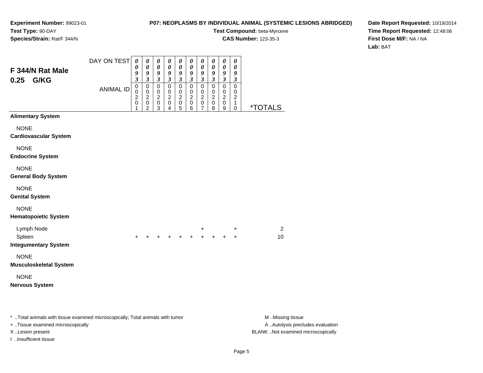### **P07: NEOPLASMS BY INDIVIDUAL ANIMAL (SYSTEMIC LESIONS ABRIDGED)**

**Test Compound:** beta-Myrcene**CAS Number:** 123-35-3

**Date Report Requested:** 10/19/2014**Time Report Requested:** 12:48:06**First Dose M/F:** NA / NA**Lab:** BAT

|                                                                                | DAY ON TEST      | $\boldsymbol{\theta}$<br>0         | $\boldsymbol{\theta}$<br>$\boldsymbol{\theta}$                              | $\boldsymbol{\theta}$<br>$\pmb{\theta}$                            | $\boldsymbol{\theta}$<br>$\pmb{\theta}$                | $\boldsymbol{\theta}$<br>0                           | $\pmb{\theta}$<br>$\boldsymbol{\theta}$                      | $\boldsymbol{\theta}$<br>$\boldsymbol{\theta}$            | 0<br>$\pmb{\theta}$                                            | $\pmb{\theta}$<br>$\pmb{\theta}$                           | 0<br>0                                                         |                       |
|--------------------------------------------------------------------------------|------------------|------------------------------------|-----------------------------------------------------------------------------|--------------------------------------------------------------------|--------------------------------------------------------|------------------------------------------------------|--------------------------------------------------------------|-----------------------------------------------------------|----------------------------------------------------------------|------------------------------------------------------------|----------------------------------------------------------------|-----------------------|
| F 344/N Rat Male<br>0.25<br>G/KG                                               |                  | 9<br>$\mathfrak{z}$                | 9<br>$\mathfrak{z}$                                                         | $\boldsymbol{g}$<br>$\mathfrak{z}$                                 | 9<br>$\mathfrak{z}$                                    | 9<br>$\boldsymbol{\mathfrak{z}}$                     | $\boldsymbol{g}$<br>$\mathfrak{z}$                           | $\boldsymbol{g}$<br>$\mathfrak{z}$                        | 9<br>$\mathfrak{z}$                                            | $\boldsymbol{g}$<br>$\mathfrak{z}$                         | 9<br>$\mathfrak{z}$                                            |                       |
|                                                                                | <b>ANIMAL ID</b> | 0<br>0<br>$\overline{c}$<br>0<br>1 | $\pmb{0}$<br>$\mathbf 0$<br>$\boldsymbol{2}$<br>$\pmb{0}$<br>$\overline{c}$ | $\mathbf 0$<br>$\mathbf 0$<br>$\boldsymbol{2}$<br>$\mathbf 0$<br>3 | $\mathbf 0$<br>$\mathbf 0$<br>$\overline{c}$<br>0<br>4 | $\pmb{0}$<br>$\mathbf 0$<br>$\overline{2}$<br>0<br>5 | $\pmb{0}$<br>$\mathbf 0$<br>$\overline{2}$<br>$\pmb{0}$<br>6 | 0<br>$\mathbf 0$<br>$\overline{c}$<br>0<br>$\overline{7}$ | $\pmb{0}$<br>$\mathbf 0$<br>$\boldsymbol{2}$<br>$\pmb{0}$<br>8 | $\pmb{0}$<br>$\pmb{0}$<br>$\overline{2}$<br>$\pmb{0}$<br>9 | $\pmb{0}$<br>$\pmb{0}$<br>$\boldsymbol{2}$<br>1<br>$\mathbf 0$ | <i><b>*TOTALS</b></i> |
| <b>Alimentary System</b>                                                       |                  |                                    |                                                                             |                                                                    |                                                        |                                                      |                                                              |                                                           |                                                                |                                                            |                                                                |                       |
| <b>NONE</b><br><b>Cardiovascular System</b>                                    |                  |                                    |                                                                             |                                                                    |                                                        |                                                      |                                                              |                                                           |                                                                |                                                            |                                                                |                       |
| <b>NONE</b><br><b>Endocrine System</b>                                         |                  |                                    |                                                                             |                                                                    |                                                        |                                                      |                                                              |                                                           |                                                                |                                                            |                                                                |                       |
| <b>NONE</b><br><b>General Body System</b>                                      |                  |                                    |                                                                             |                                                                    |                                                        |                                                      |                                                              |                                                           |                                                                |                                                            |                                                                |                       |
| <b>NONE</b><br><b>Genital System</b>                                           |                  |                                    |                                                                             |                                                                    |                                                        |                                                      |                                                              |                                                           |                                                                |                                                            |                                                                |                       |
| <b>NONE</b><br><b>Hematopoietic System</b>                                     |                  |                                    |                                                                             |                                                                    |                                                        |                                                      |                                                              |                                                           |                                                                |                                                            |                                                                |                       |
| Lymph Node                                                                     |                  |                                    |                                                                             |                                                                    |                                                        |                                                      |                                                              |                                                           | $+$<br>+ +                                                     |                                                            | +                                                              | $\overline{c}$        |
| Spleen<br><b>Integumentary System</b>                                          |                  |                                    |                                                                             |                                                                    | $+$                                                    | $+$                                                  | $\ddotmark$                                                  |                                                           |                                                                | $\ddot{}$                                                  | $+$                                                            | 10                    |
| <b>NONE</b><br><b>Musculoskeletal System</b>                                   |                  |                                    |                                                                             |                                                                    |                                                        |                                                      |                                                              |                                                           |                                                                |                                                            |                                                                |                       |
| <b>NONE</b>                                                                    |                  |                                    |                                                                             |                                                                    |                                                        |                                                      |                                                              |                                                           |                                                                |                                                            |                                                                |                       |
| <b>Nervous System</b>                                                          |                  |                                    |                                                                             |                                                                    |                                                        |                                                      |                                                              |                                                           |                                                                |                                                            |                                                                |                       |
|                                                                                |                  |                                    |                                                                             |                                                                    |                                                        |                                                      |                                                              |                                                           |                                                                |                                                            |                                                                |                       |
| * Total animals with tissue examined microscopically; Total animals with tumor |                  |                                    |                                                                             |                                                                    |                                                        |                                                      |                                                              |                                                           |                                                                |                                                            |                                                                | M Missing tissue      |

+ ..Tissue examined microscopically

I ..Insufficient tissue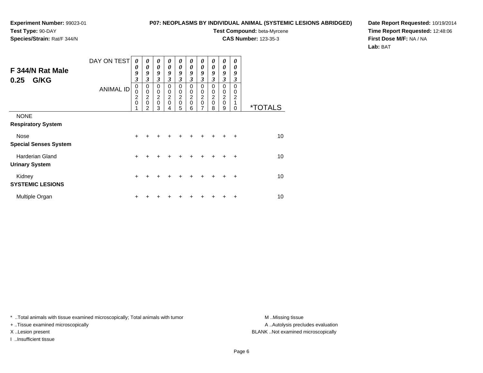**Species/Strain:** Rat/F 344/N

### **P07: NEOPLASMS BY INDIVIDUAL ANIMAL (SYSTEMIC LESIONS ABRIDGED)**

**Test Compound:** beta-Myrcene

**CAS Number:** 123-35-3

**Date Report Requested:** 10/19/2014**Time Report Requested:** 12:48:06**First Dose M/F:** NA / NA**Lab:** BAT

| F 344/N Rat Male<br>G/KG<br>0.25         | DAY ON TEST<br><b>ANIMAL ID</b> | $\boldsymbol{\theta}$<br>$\boldsymbol{\theta}$<br>9<br>$\overline{\mathbf{3}}$<br>$\mathbf 0$<br>$\mathbf 0$<br>$\frac{2}{0}$ | 0<br>$\theta$<br>9<br>3<br>$\mathbf 0$<br>$\mathbf 0$<br>$\frac{2}{0}$ | $\boldsymbol{\theta}$<br>$\boldsymbol{\theta}$<br>9<br>3<br>$\mathbf 0$<br>$\mathbf 0$<br>$\frac{2}{0}$ | 0<br>0<br>9<br>3<br>$\Omega$<br>0<br>$\boldsymbol{2}$<br>$\mathbf 0$ | $\boldsymbol{\theta}$<br>$\boldsymbol{\theta}$<br>9<br>$\boldsymbol{\beta}$<br>$\mathbf 0$<br>$\pmb{0}$<br>$\frac{2}{0}$ | 0<br>$\boldsymbol{\theta}$<br>9<br>3<br>$\Omega$<br>0<br>$\overline{c}$<br>$\mathbf 0$ | $\boldsymbol{\theta}$<br>$\boldsymbol{\theta}$<br>9<br>$\mathfrak{z}$<br>$\mathbf 0$<br>$\mathbf 0$<br>$\frac{2}{0}$ | 0<br>0<br>9<br>3<br>$\mathbf 0$<br>0<br>$\overline{c}$<br>$\mathbf 0$ | 0<br>0<br>9<br>3<br>$\mathbf 0$<br>0<br>$\overline{\mathbf{c}}$<br>$\mathbf 0$ | 0<br>0<br>9<br>3<br>0<br>0<br>2 |                       |
|------------------------------------------|---------------------------------|-------------------------------------------------------------------------------------------------------------------------------|------------------------------------------------------------------------|---------------------------------------------------------------------------------------------------------|----------------------------------------------------------------------|--------------------------------------------------------------------------------------------------------------------------|----------------------------------------------------------------------------------------|----------------------------------------------------------------------------------------------------------------------|-----------------------------------------------------------------------|--------------------------------------------------------------------------------|---------------------------------|-----------------------|
|                                          |                                 |                                                                                                                               | 2                                                                      | 3                                                                                                       |                                                                      | 5                                                                                                                        | 6                                                                                      | 7                                                                                                                    | 8                                                                     | 9                                                                              | 0                               | <i><b>*TOTALS</b></i> |
| <b>NONE</b><br><b>Respiratory System</b> |                                 |                                                                                                                               |                                                                        |                                                                                                         |                                                                      |                                                                                                                          |                                                                                        |                                                                                                                      |                                                                       |                                                                                |                                 |                       |
| Nose                                     |                                 | +                                                                                                                             |                                                                        |                                                                                                         |                                                                      |                                                                                                                          |                                                                                        |                                                                                                                      |                                                                       |                                                                                | $\ddot{}$                       | 10 <sup>1</sup>       |
| <b>Special Senses System</b>             |                                 |                                                                                                                               |                                                                        |                                                                                                         |                                                                      |                                                                                                                          |                                                                                        |                                                                                                                      |                                                                       |                                                                                |                                 |                       |
| <b>Harderian Gland</b>                   |                                 | $\ddot{}$                                                                                                                     |                                                                        |                                                                                                         |                                                                      |                                                                                                                          |                                                                                        |                                                                                                                      |                                                                       |                                                                                | +                               | 10 <sup>1</sup>       |
| <b>Urinary System</b>                    |                                 |                                                                                                                               |                                                                        |                                                                                                         |                                                                      |                                                                                                                          |                                                                                        |                                                                                                                      |                                                                       |                                                                                |                                 |                       |
| Kidney<br><b>SYSTEMIC LESIONS</b>        |                                 | +                                                                                                                             |                                                                        |                                                                                                         |                                                                      |                                                                                                                          |                                                                                        |                                                                                                                      |                                                                       |                                                                                | $\ddot{}$                       | 10 <sup>1</sup>       |
| Multiple Organ                           |                                 | +                                                                                                                             |                                                                        |                                                                                                         |                                                                      |                                                                                                                          |                                                                                        |                                                                                                                      |                                                                       |                                                                                | ٠                               | 10                    |

\* ..Total animals with tissue examined microscopically; Total animals with tumor **M** . Missing tissue M ..Missing tissue

+ ..Tissue examined microscopically

I ..Insufficient tissue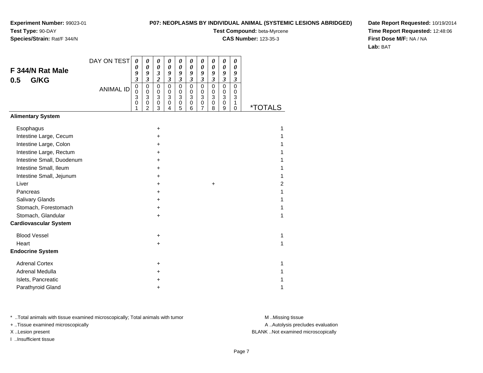### **P07: NEOPLASMS BY INDIVIDUAL ANIMAL (SYSTEMIC LESIONS ABRIDGED)**

**Test Compound:** beta-Myrcene

**CAS Number:** 123-35-3

**Date Report Requested:** 10/19/2014**Time Report Requested:** 12:48:06**First Dose M/F:** NA / NA**Lab:** BAT

|                              | DAY ON TEST      | 0                                      | 0                                                            | 0                               | 0                               | 0                                         | $\boldsymbol{\theta}$                                                   | 0                                                   | 0                               | 0                                                              | 0                                                 |                       |
|------------------------------|------------------|----------------------------------------|--------------------------------------------------------------|---------------------------------|---------------------------------|-------------------------------------------|-------------------------------------------------------------------------|-----------------------------------------------------|---------------------------------|----------------------------------------------------------------|---------------------------------------------------|-----------------------|
| F 344/N Rat Male             |                  | 0<br>9                                 | $\boldsymbol{\theta}$<br>9                                   | $\boldsymbol{\theta}$<br>3      | $\boldsymbol{\theta}$<br>9      | 0<br>9                                    | $\boldsymbol{\theta}$<br>9                                              | 0<br>9                                              | 0<br>9                          | $\boldsymbol{\theta}$<br>9                                     | $\boldsymbol{\theta}$<br>9                        |                       |
| G/KG<br>0.5                  |                  | 3                                      | $\boldsymbol{\mathfrak{z}}$                                  | $\overline{\mathbf{c}}$         | $\boldsymbol{\mathfrak{z}}$     | $\boldsymbol{\mathfrak{z}}$               | $\boldsymbol{\mathfrak{z}}$                                             | $\boldsymbol{\mathfrak{z}}$                         | $\boldsymbol{\beta}$            | $\boldsymbol{\beta}$                                           | $\boldsymbol{\beta}$                              |                       |
|                              | <b>ANIMAL ID</b> | $\mathbf 0$<br>$\Omega$<br>3<br>0<br>1 | $\pmb{0}$<br>$\mathbf 0$<br>3<br>$\pmb{0}$<br>$\overline{c}$ | $\mathbf 0$<br>0<br>3<br>0<br>3 | $\mathbf 0$<br>0<br>3<br>0<br>4 | $\mathbf 0$<br>0<br>3<br>$\mathbf 0$<br>5 | $\mathbf 0$<br>$\pmb{0}$<br>$\ensuremath{\mathsf{3}}$<br>$\pmb{0}$<br>6 | $\mathbf 0$<br>$\Omega$<br>3<br>0<br>$\overline{7}$ | $\mathbf 0$<br>0<br>3<br>0<br>8 | $\mathbf 0$<br>$\mathbf 0$<br>$\mathbf{3}$<br>$\mathbf 0$<br>9 | $\mathbf 0$<br>$\Omega$<br>$\mathbf{3}$<br>1<br>0 | <i><b>*TOTALS</b></i> |
| <b>Alimentary System</b>     |                  |                                        |                                                              |                                 |                                 |                                           |                                                                         |                                                     |                                 |                                                                |                                                   |                       |
| Esophagus                    |                  |                                        |                                                              | $\ddot{}$                       |                                 |                                           |                                                                         |                                                     |                                 |                                                                |                                                   | 1                     |
| Intestine Large, Cecum       |                  |                                        |                                                              | +                               |                                 |                                           |                                                                         |                                                     |                                 |                                                                |                                                   |                       |
| Intestine Large, Colon       |                  |                                        |                                                              | $\pm$                           |                                 |                                           |                                                                         |                                                     |                                 |                                                                |                                                   |                       |
| Intestine Large, Rectum      |                  |                                        |                                                              | +                               |                                 |                                           |                                                                         |                                                     |                                 |                                                                |                                                   |                       |
| Intestine Small, Duodenum    |                  |                                        |                                                              | +                               |                                 |                                           |                                                                         |                                                     |                                 |                                                                |                                                   |                       |
| Intestine Small, Ileum       |                  |                                        |                                                              | +                               |                                 |                                           |                                                                         |                                                     |                                 |                                                                |                                                   |                       |
| Intestine Small, Jejunum     |                  |                                        |                                                              | +                               |                                 |                                           |                                                                         |                                                     |                                 |                                                                |                                                   |                       |
| Liver                        |                  |                                        |                                                              | +                               |                                 |                                           |                                                                         |                                                     | +                               |                                                                |                                                   | 2                     |
| Pancreas                     |                  |                                        |                                                              | +                               |                                 |                                           |                                                                         |                                                     |                                 |                                                                |                                                   |                       |
| Salivary Glands              |                  |                                        |                                                              | $\pm$                           |                                 |                                           |                                                                         |                                                     |                                 |                                                                |                                                   |                       |
| Stomach, Forestomach         |                  |                                        |                                                              | +                               |                                 |                                           |                                                                         |                                                     |                                 |                                                                |                                                   |                       |
| Stomach, Glandular           |                  |                                        |                                                              | $\pm$                           |                                 |                                           |                                                                         |                                                     |                                 |                                                                |                                                   |                       |
| <b>Cardiovascular System</b> |                  |                                        |                                                              |                                 |                                 |                                           |                                                                         |                                                     |                                 |                                                                |                                                   |                       |
| <b>Blood Vessel</b>          |                  |                                        |                                                              | $\ddot{}$                       |                                 |                                           |                                                                         |                                                     |                                 |                                                                |                                                   | 1                     |
| Heart                        |                  |                                        |                                                              | $\ddot{}$                       |                                 |                                           |                                                                         |                                                     |                                 |                                                                |                                                   | 1                     |
| <b>Endocrine System</b>      |                  |                                        |                                                              |                                 |                                 |                                           |                                                                         |                                                     |                                 |                                                                |                                                   |                       |
| <b>Adrenal Cortex</b>        |                  |                                        |                                                              | +                               |                                 |                                           |                                                                         |                                                     |                                 |                                                                |                                                   |                       |
| Adrenal Medulla              |                  |                                        |                                                              | +                               |                                 |                                           |                                                                         |                                                     |                                 |                                                                |                                                   |                       |
| Islets, Pancreatic           |                  |                                        |                                                              | +                               |                                 |                                           |                                                                         |                                                     |                                 |                                                                |                                                   |                       |
| Parathyroid Gland            |                  |                                        |                                                              | +                               |                                 |                                           |                                                                         |                                                     |                                 |                                                                |                                                   |                       |

\* ..Total animals with tissue examined microscopically; Total animals with tumor **M** . Missing tissue M ..Missing tissue

+ ..Tissue examined microscopically

I ..Insufficient tissue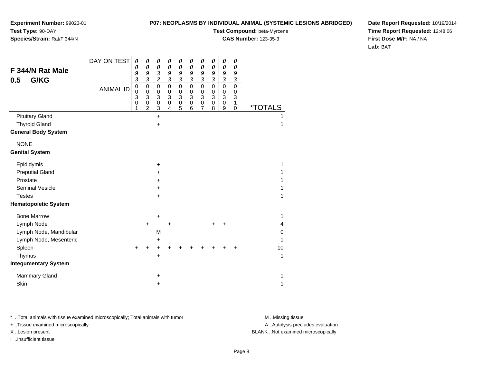# **Species/Strain:** Rat/F 344/N

### **P07: NEOPLASMS BY INDIVIDUAL ANIMAL (SYSTEMIC LESIONS ABRIDGED)**

**Test Compound:** beta-Myrcene

**CAS Number:** 123-35-3

**Date Report Requested:** 10/19/2014**Time Report Requested:** 12:48:06**First Dose M/F:** NA / NA**Lab:** BAT

|                             | DAY ON TEST      | 0                                  | 0                                                       | 0                                               | 0                                              | 0                                          | $\boldsymbol{\theta}$                                   | 0                                                                    | 0                                                              | 0                                                       | 0                       |                       |
|-----------------------------|------------------|------------------------------------|---------------------------------------------------------|-------------------------------------------------|------------------------------------------------|--------------------------------------------|---------------------------------------------------------|----------------------------------------------------------------------|----------------------------------------------------------------|---------------------------------------------------------|-------------------------|-----------------------|
| F 344/N Rat Male            |                  | $\boldsymbol{\theta}$<br>9         | $\boldsymbol{\theta}$<br>9                              | 0<br>3                                          | $\boldsymbol{\theta}$<br>9                     | $\boldsymbol{\theta}$<br>9                 | $\boldsymbol{\theta}$<br>9                              | 0<br>9                                                               | $\boldsymbol{\theta}$<br>9                                     | 0<br>9                                                  | 0<br>9                  |                       |
| G/KG<br>0.5                 |                  | $\mathfrak{z}$                     | $\boldsymbol{\mathfrak{z}}$                             | $\overline{\mathbf{c}}$                         | $\boldsymbol{\mathfrak{z}}$                    | $\boldsymbol{\beta}$                       | $\mathfrak{z}$                                          | $\mathfrak{z}$                                                       | $\mathfrak{z}$                                                 | $\boldsymbol{\beta}$                                    | $\boldsymbol{\beta}$    |                       |
|                             | <b>ANIMAL ID</b> | $\mathbf 0$<br>0<br>3<br>$\pmb{0}$ | $\mathbf 0$<br>$\mathbf 0$<br>$\mathbf{3}$<br>$\pmb{0}$ | $\mathbf 0$<br>0<br>$\mathbf{3}$<br>$\mathbf 0$ | $\mathbf 0$<br>$\mathbf 0$<br>3<br>$\mathbf 0$ | $\mathbf 0$<br>$\pmb{0}$<br>3<br>$\pmb{0}$ | $\pmb{0}$<br>$\pmb{0}$<br>$\overline{3}$<br>$\mathbf 0$ | $\mathbf 0$<br>$\mathbf 0$<br>$\ensuremath{\mathsf{3}}$<br>$\pmb{0}$ | $\pmb{0}$<br>$\,0\,$<br>$\ensuremath{\mathsf{3}}$<br>$\pmb{0}$ | $\mathbf 0$<br>$\pmb{0}$<br>$\mathbf{3}$<br>$\mathbf 0$ | $\Omega$<br>0<br>3<br>1 |                       |
|                             |                  | 1                                  | $\overline{2}$                                          | 3                                               | 4                                              | 5                                          | 6                                                       | 7                                                                    | 8                                                              | 9                                                       | $\mathbf 0$             | <i><b>*TOTALS</b></i> |
| <b>Pituitary Gland</b>      |                  |                                    |                                                         | $+$                                             |                                                |                                            |                                                         |                                                                      |                                                                |                                                         |                         | 1                     |
| <b>Thyroid Gland</b>        |                  |                                    |                                                         | $\ddot{}$                                       |                                                |                                            |                                                         |                                                                      |                                                                |                                                         |                         | 1                     |
| <b>General Body System</b>  |                  |                                    |                                                         |                                                 |                                                |                                            |                                                         |                                                                      |                                                                |                                                         |                         |                       |
| <b>NONE</b>                 |                  |                                    |                                                         |                                                 |                                                |                                            |                                                         |                                                                      |                                                                |                                                         |                         |                       |
| <b>Genital System</b>       |                  |                                    |                                                         |                                                 |                                                |                                            |                                                         |                                                                      |                                                                |                                                         |                         |                       |
| Epididymis                  |                  |                                    |                                                         | $\ddot{}$                                       |                                                |                                            |                                                         |                                                                      |                                                                |                                                         |                         | 1                     |
| <b>Preputial Gland</b>      |                  |                                    |                                                         | ÷                                               |                                                |                                            |                                                         |                                                                      |                                                                |                                                         |                         |                       |
| Prostate                    |                  |                                    |                                                         |                                                 |                                                |                                            |                                                         |                                                                      |                                                                |                                                         |                         |                       |
| <b>Seminal Vesicle</b>      |                  |                                    |                                                         | $\pm$                                           |                                                |                                            |                                                         |                                                                      |                                                                |                                                         |                         | 1                     |
| <b>Testes</b>               |                  |                                    |                                                         | +                                               |                                                |                                            |                                                         |                                                                      |                                                                |                                                         |                         | 1                     |
| <b>Hematopoietic System</b> |                  |                                    |                                                         |                                                 |                                                |                                            |                                                         |                                                                      |                                                                |                                                         |                         |                       |
| <b>Bone Marrow</b>          |                  |                                    |                                                         | +                                               |                                                |                                            |                                                         |                                                                      |                                                                |                                                         |                         | 1                     |
| Lymph Node                  |                  |                                    | $\ddot{}$                                               |                                                 | $\ddot{}$                                      |                                            |                                                         |                                                                      |                                                                |                                                         |                         | 4                     |
| Lymph Node, Mandibular      |                  |                                    |                                                         | M                                               |                                                |                                            |                                                         |                                                                      |                                                                |                                                         |                         | 0                     |
| Lymph Node, Mesenteric      |                  |                                    |                                                         | +                                               |                                                |                                            |                                                         |                                                                      |                                                                |                                                         |                         | 1                     |
| Spleen                      |                  | $\pm$                              |                                                         |                                                 |                                                |                                            |                                                         |                                                                      |                                                                |                                                         |                         | 10                    |
| Thymus                      |                  |                                    |                                                         | $\ddot{}$                                       |                                                |                                            |                                                         |                                                                      |                                                                |                                                         |                         | 1                     |
| <b>Integumentary System</b> |                  |                                    |                                                         |                                                 |                                                |                                            |                                                         |                                                                      |                                                                |                                                         |                         |                       |
| Mammary Gland               |                  |                                    |                                                         | $\pm$                                           |                                                |                                            |                                                         |                                                                      |                                                                |                                                         |                         | 1                     |
| Skin                        |                  |                                    |                                                         | +                                               |                                                |                                            |                                                         |                                                                      |                                                                |                                                         |                         | 1                     |

\* ..Total animals with tissue examined microscopically; Total animals with tumor **M** . Missing tissue M ..Missing tissue

+ ..Tissue examined microscopically

I ..Insufficient tissue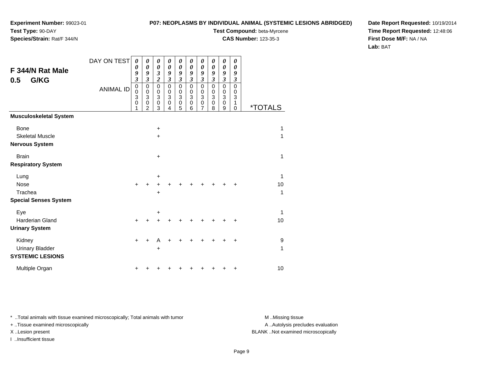**Species/Strain:** Rat/F 344/N

### **P07: NEOPLASMS BY INDIVIDUAL ANIMAL (SYSTEMIC LESIONS ABRIDGED)**

**Test Compound:** beta-Myrcene**CAS Number:** 123-35-3

**Date Report Requested:** 10/19/2014**Time Report Requested:** 12:48:06**First Dose M/F:** NA / NA**Lab:** BAT

| Page 9 |  |  |
|--------|--|--|

A ..Autolysis precludes evaluation

| F 344/N Rat Male<br>G/KG<br>0.5                   | DAY ON TEST<br><b>ANIMAL ID</b> | 0<br>0<br>9<br>3<br>$\pmb{0}$<br>$\mathbf 0$<br>3<br>0<br>1 | 0<br>0<br>9<br>$\boldsymbol{\beta}$<br>0<br>$\mathbf 0$<br>3<br>0<br>2 | 0<br>$\boldsymbol{\theta}$<br>$\boldsymbol{\beta}$<br>$\overline{2}$<br>$\mathbf 0$<br>$\mathbf 0$<br>3<br>$\pmb{0}$<br>3 | 0<br>0<br>9<br>$\boldsymbol{\beta}$<br>$\mathbf 0$<br>0<br>3<br>0<br>4 | 0<br>$\boldsymbol{\theta}$<br>9<br>$\mathfrak{z}$<br>$\mathbf 0$<br>0<br>3<br>$\pmb{0}$<br>5 | 0<br>0<br>9<br>$\boldsymbol{\beta}$<br>$\mathbf 0$<br>0<br>3<br>0<br>6 | 0<br>$\boldsymbol{\theta}$<br>9<br>$\mathfrak{z}$<br>$\mathbf 0$<br>$\mathbf 0$<br>3<br>$\mathbf 0$<br>$\overline{7}$ | 0<br>0<br>9<br>$\boldsymbol{\mathfrak{z}}$<br>$\mathbf 0$<br>0<br>3<br>0<br>8 | 0<br>0<br>9<br>$\boldsymbol{\mathfrak{z}}$<br>$\mathbf 0$<br>0<br>$\ensuremath{\mathsf{3}}$<br>$\boldsymbol{0}$<br>9 | 0<br>0<br>9<br>3<br>$\mathbf 0$<br>0<br>3<br>1<br>0 | <i><b>*TOTALS</b></i> |
|---------------------------------------------------|---------------------------------|-------------------------------------------------------------|------------------------------------------------------------------------|---------------------------------------------------------------------------------------------------------------------------|------------------------------------------------------------------------|----------------------------------------------------------------------------------------------|------------------------------------------------------------------------|-----------------------------------------------------------------------------------------------------------------------|-------------------------------------------------------------------------------|----------------------------------------------------------------------------------------------------------------------|-----------------------------------------------------|-----------------------|
| <b>Musculoskeletal System</b>                     |                                 |                                                             |                                                                        |                                                                                                                           |                                                                        |                                                                                              |                                                                        |                                                                                                                       |                                                                               |                                                                                                                      |                                                     |                       |
| <b>Bone</b>                                       |                                 |                                                             |                                                                        | $\ddot{}$                                                                                                                 |                                                                        |                                                                                              |                                                                        |                                                                                                                       |                                                                               |                                                                                                                      |                                                     | 1                     |
| <b>Skeletal Muscle</b><br><b>Nervous System</b>   |                                 |                                                             |                                                                        | $\ddot{}$                                                                                                                 |                                                                        |                                                                                              |                                                                        |                                                                                                                       |                                                                               |                                                                                                                      |                                                     | 1                     |
| <b>Brain</b>                                      |                                 |                                                             |                                                                        | $\ddot{}$                                                                                                                 |                                                                        |                                                                                              |                                                                        |                                                                                                                       |                                                                               |                                                                                                                      |                                                     | 1                     |
| <b>Respiratory System</b>                         |                                 |                                                             |                                                                        |                                                                                                                           |                                                                        |                                                                                              |                                                                        |                                                                                                                       |                                                                               |                                                                                                                      |                                                     |                       |
| Lung                                              |                                 |                                                             |                                                                        | $\ddot{}$                                                                                                                 |                                                                        |                                                                                              |                                                                        |                                                                                                                       |                                                                               |                                                                                                                      |                                                     | $\mathbf{1}$          |
| Nose                                              |                                 | $\ddot{}$                                                   |                                                                        |                                                                                                                           |                                                                        |                                                                                              |                                                                        |                                                                                                                       |                                                                               |                                                                                                                      |                                                     | 10                    |
| Trachea                                           |                                 |                                                             |                                                                        | $\ddot{}$                                                                                                                 |                                                                        |                                                                                              |                                                                        |                                                                                                                       |                                                                               |                                                                                                                      |                                                     | 1                     |
| <b>Special Senses System</b>                      |                                 |                                                             |                                                                        |                                                                                                                           |                                                                        |                                                                                              |                                                                        |                                                                                                                       |                                                                               |                                                                                                                      |                                                     |                       |
| Eye                                               |                                 |                                                             |                                                                        | +                                                                                                                         |                                                                        |                                                                                              |                                                                        |                                                                                                                       |                                                                               |                                                                                                                      |                                                     | $\mathbf{1}$          |
| <b>Harderian Gland</b>                            |                                 | $\ddot{}$                                                   | +                                                                      | +                                                                                                                         |                                                                        |                                                                                              |                                                                        |                                                                                                                       |                                                                               |                                                                                                                      | +                                                   | 10                    |
| <b>Urinary System</b>                             |                                 |                                                             |                                                                        |                                                                                                                           |                                                                        |                                                                                              |                                                                        |                                                                                                                       |                                                                               |                                                                                                                      |                                                     |                       |
| Kidney                                            |                                 | $+$                                                         |                                                                        | А                                                                                                                         |                                                                        |                                                                                              |                                                                        |                                                                                                                       |                                                                               |                                                                                                                      | ٠                                                   | $\boldsymbol{9}$      |
| <b>Urinary Bladder</b><br><b>SYSTEMIC LESIONS</b> |                                 |                                                             |                                                                        | +                                                                                                                         |                                                                        |                                                                                              |                                                                        |                                                                                                                       |                                                                               |                                                                                                                      |                                                     | 1                     |
| Multiple Organ                                    |                                 | +                                                           |                                                                        |                                                                                                                           |                                                                        |                                                                                              |                                                                        |                                                                                                                       |                                                                               | ٠                                                                                                                    | +                                                   | 10                    |

\* ..Total animals with tissue examined microscopically; Total animals with tumor **M** ...Missing tissue M ...Missing tissue

+ ..Tissue examined microscopically

X ..Lesion present BLANK ..Not examined microscopically

I ..Insufficient tissue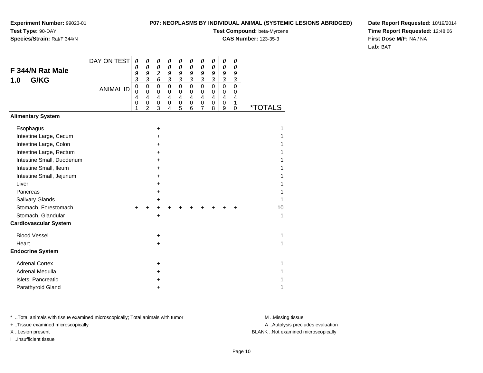### **P07: NEOPLASMS BY INDIVIDUAL ANIMAL (SYSTEMIC LESIONS ABRIDGED)**

**Test Compound:** beta-Myrcene

**CAS Number:** 123-35-3

**Date Report Requested:** 10/19/2014**Time Report Requested:** 12:48:06**First Dose M/F:** NA / NA**Lab:** BAT

|                              | DAY ON TEST      | 0                       | 0                          | 0                       | 0                       | 0                          | 0                           | 0                          | 0                          | 0                           | 0                    |                       |
|------------------------------|------------------|-------------------------|----------------------------|-------------------------|-------------------------|----------------------------|-----------------------------|----------------------------|----------------------------|-----------------------------|----------------------|-----------------------|
| F 344/N Rat Male             |                  | 0<br>9                  | $\boldsymbol{\theta}$<br>9 | 0<br>$\boldsymbol{2}$   | 0<br>9                  | $\boldsymbol{\theta}$<br>9 | $\boldsymbol{\theta}$<br>9  | 0<br>9                     | $\boldsymbol{\theta}$<br>9 | 0<br>9                      | 0<br>9               |                       |
| G/KG<br>1.0                  |                  | $\overline{\mathbf{3}}$ | $\overline{\mathbf{3}}$    | 6                       | $\mathfrak{z}$          | $\mathfrak{z}$             | $\boldsymbol{\mathfrak{z}}$ | $\overline{\mathbf{3}}$    | $\boldsymbol{\beta}$       | $\boldsymbol{\mathfrak{z}}$ | $\boldsymbol{\beta}$ |                       |
|                              | <b>ANIMAL ID</b> | $\mathsf 0$<br>$\Omega$ | $\mathbf 0$<br>$\Omega$    | $\mathbf 0$<br>$\Omega$ | $\mathbf 0$<br>$\Omega$ | $\mathbf 0$<br>$\Omega$    | $\mathbf 0$<br>$\mathbf 0$  | $\mathbf 0$<br>$\mathbf 0$ | $\mathbf 0$<br>$\mathbf 0$ | $\Omega$<br>0               | $\mathbf 0$<br>0     |                       |
|                              |                  | $\overline{4}$          | 4                          | $\overline{4}$          | $\overline{4}$          | $\overline{4}$             | 4                           | 4                          | $\overline{4}$             | $\overline{\mathbf{4}}$     | 4                    |                       |
|                              |                  | 0                       | 0<br>$\overline{c}$        | $\mathbf 0$<br>3        | 0<br>4                  | $\mathbf 0$<br>5           | $\pmb{0}$<br>6              | 0<br>7                     | $\mathbf 0$<br>8           | 0<br>9                      | 1<br>$\mathbf 0$     | <i><b>*TOTALS</b></i> |
| <b>Alimentary System</b>     |                  |                         |                            |                         |                         |                            |                             |                            |                            |                             |                      |                       |
| Esophagus                    |                  |                         |                            | +                       |                         |                            |                             |                            |                            |                             |                      | 1                     |
| Intestine Large, Cecum       |                  |                         |                            | $\div$                  |                         |                            |                             |                            |                            |                             |                      |                       |
| Intestine Large, Colon       |                  |                         |                            |                         |                         |                            |                             |                            |                            |                             |                      |                       |
| Intestine Large, Rectum      |                  |                         |                            | +                       |                         |                            |                             |                            |                            |                             |                      |                       |
| Intestine Small, Duodenum    |                  |                         |                            | +                       |                         |                            |                             |                            |                            |                             |                      |                       |
| Intestine Small, Ileum       |                  |                         |                            | ٠                       |                         |                            |                             |                            |                            |                             |                      |                       |
| Intestine Small, Jejunum     |                  |                         |                            |                         |                         |                            |                             |                            |                            |                             |                      |                       |
| Liver                        |                  |                         |                            | ٠                       |                         |                            |                             |                            |                            |                             |                      |                       |
| Pancreas                     |                  |                         |                            | ٠                       |                         |                            |                             |                            |                            |                             |                      |                       |
| Salivary Glands              |                  |                         |                            | +                       |                         |                            |                             |                            |                            |                             |                      |                       |
| Stomach, Forestomach         |                  |                         |                            |                         |                         |                            |                             |                            |                            |                             |                      | 10                    |
| Stomach, Glandular           |                  |                         |                            | $\pm$                   |                         |                            |                             |                            |                            |                             |                      | 1                     |
| <b>Cardiovascular System</b> |                  |                         |                            |                         |                         |                            |                             |                            |                            |                             |                      |                       |
| <b>Blood Vessel</b>          |                  |                         |                            | $\ddot{}$               |                         |                            |                             |                            |                            |                             |                      | 1                     |
| Heart                        |                  |                         |                            | +                       |                         |                            |                             |                            |                            |                             |                      | 1                     |
| <b>Endocrine System</b>      |                  |                         |                            |                         |                         |                            |                             |                            |                            |                             |                      |                       |
| <b>Adrenal Cortex</b>        |                  |                         |                            | $\pm$                   |                         |                            |                             |                            |                            |                             |                      | 1                     |
| Adrenal Medulla              |                  |                         |                            | +                       |                         |                            |                             |                            |                            |                             |                      | 1                     |
| Islets, Pancreatic           |                  |                         |                            |                         |                         |                            |                             |                            |                            |                             |                      |                       |
| Parathyroid Gland            |                  |                         |                            | ٠                       |                         |                            |                             |                            |                            |                             |                      | 1                     |

\* ..Total animals with tissue examined microscopically; Total animals with tumor **M** . Missing tissue M ..Missing tissue

+ ..Tissue examined microscopically

I ..Insufficient tissue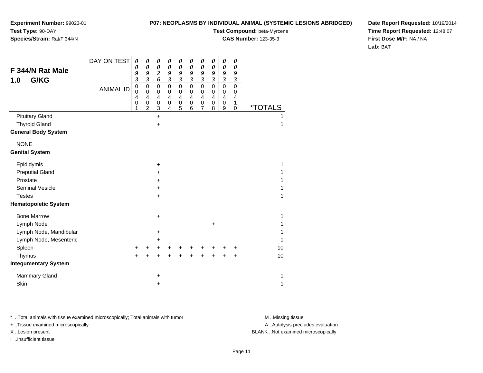# **Species/Strain:** Rat/F 344/N

### **P07: NEOPLASMS BY INDIVIDUAL ANIMAL (SYSTEMIC LESIONS ABRIDGED)**

**Test Compound:** beta-Myrcene

**CAS Number:** 123-35-3

**Date Report Requested:** 10/19/2014**Time Report Requested:** 12:48:07**First Dose M/F:** NA / NA**Lab:** BAT

|                             | DAY ON TEST      | 0                                                             | 0                                                                   | 0                                                                         | 0                                                                   | 0                                                                | 0                                                        | 0                               | $\boldsymbol{\theta}$                 | 0                               | 0                               |                       |  |
|-----------------------------|------------------|---------------------------------------------------------------|---------------------------------------------------------------------|---------------------------------------------------------------------------|---------------------------------------------------------------------|------------------------------------------------------------------|----------------------------------------------------------|---------------------------------|---------------------------------------|---------------------------------|---------------------------------|-----------------------|--|
| F 344/N Rat Male            |                  | 0<br>9                                                        | $\boldsymbol{\theta}$<br>9                                          | 0<br>$\overline{\mathbf{c}}$                                              | $\boldsymbol{\theta}$<br>9                                          | $\boldsymbol{\theta}$<br>9                                       | $\boldsymbol{\theta}$<br>9                               | 0<br>9                          | $\boldsymbol{\theta}$<br>9            | 0<br>9                          | 0<br>9                          |                       |  |
| G/KG<br>1.0                 |                  | 3                                                             | $\boldsymbol{\mathfrak{z}}$                                         | 6                                                                         | $\mathfrak{z}$                                                      | $\mathfrak{z}$                                                   | $\boldsymbol{\mathfrak{z}}$                              | $\overline{\mathbf{3}}$         | $\boldsymbol{\mathfrak{z}}$           | $\boldsymbol{\beta}$            | $\boldsymbol{\mathfrak{z}}$     |                       |  |
|                             | <b>ANIMAL ID</b> | $\pmb{0}$<br>$\mathbf 0$<br>$\overline{\mathbf{4}}$<br>0<br>1 | $\mathbf 0$<br>$\mathbf 0$<br>$\overline{4}$<br>0<br>$\overline{2}$ | $\mathbf 0$<br>$\mathbf 0$<br>$\overline{\mathbf{4}}$<br>$\mathbf 0$<br>3 | $\overline{0}$<br>$\mathbf 0$<br>$\overline{4}$<br>$\mathbf 0$<br>4 | $\mathbf 0$<br>$\mathbf 0$<br>$\overline{4}$<br>$\mathbf 0$<br>5 | $\overline{0}$<br>0<br>$\overline{\mathbf{4}}$<br>0<br>6 | $\mathbf 0$<br>0<br>4<br>0<br>7 | $\pmb{0}$<br>0<br>4<br>$\pmb{0}$<br>8 | $\mathbf 0$<br>0<br>4<br>0<br>9 | $\mathbf 0$<br>0<br>4<br>1<br>0 | <i><b>*TOTALS</b></i> |  |
| <b>Pituitary Gland</b>      |                  |                                                               |                                                                     | $\ddot{}$                                                                 |                                                                     |                                                                  |                                                          |                                 |                                       |                                 |                                 |                       |  |
| <b>Thyroid Gland</b>        |                  |                                                               |                                                                     | $\ddot{}$                                                                 |                                                                     |                                                                  |                                                          |                                 |                                       |                                 |                                 | 1                     |  |
| <b>General Body System</b>  |                  |                                                               |                                                                     |                                                                           |                                                                     |                                                                  |                                                          |                                 |                                       |                                 |                                 |                       |  |
| <b>NONE</b>                 |                  |                                                               |                                                                     |                                                                           |                                                                     |                                                                  |                                                          |                                 |                                       |                                 |                                 |                       |  |
| <b>Genital System</b>       |                  |                                                               |                                                                     |                                                                           |                                                                     |                                                                  |                                                          |                                 |                                       |                                 |                                 |                       |  |
| Epididymis                  |                  |                                                               |                                                                     | +                                                                         |                                                                     |                                                                  |                                                          |                                 |                                       |                                 |                                 | 1                     |  |
| <b>Preputial Gland</b>      |                  |                                                               |                                                                     | ٠                                                                         |                                                                     |                                                                  |                                                          |                                 |                                       |                                 |                                 | 1                     |  |
| Prostate                    |                  |                                                               |                                                                     | +                                                                         |                                                                     |                                                                  |                                                          |                                 |                                       |                                 |                                 |                       |  |
| <b>Seminal Vesicle</b>      |                  |                                                               |                                                                     | +                                                                         |                                                                     |                                                                  |                                                          |                                 |                                       |                                 |                                 | 1                     |  |
| <b>Testes</b>               |                  |                                                               |                                                                     | $\ddot{}$                                                                 |                                                                     |                                                                  |                                                          |                                 |                                       |                                 |                                 | 1                     |  |
| <b>Hematopoietic System</b> |                  |                                                               |                                                                     |                                                                           |                                                                     |                                                                  |                                                          |                                 |                                       |                                 |                                 |                       |  |
| <b>Bone Marrow</b>          |                  |                                                               |                                                                     | +                                                                         |                                                                     |                                                                  |                                                          |                                 |                                       |                                 |                                 | 1                     |  |
| Lymph Node                  |                  |                                                               |                                                                     |                                                                           |                                                                     |                                                                  |                                                          |                                 | $\ddot{}$                             |                                 |                                 | 1                     |  |
| Lymph Node, Mandibular      |                  |                                                               |                                                                     | +                                                                         |                                                                     |                                                                  |                                                          |                                 |                                       |                                 |                                 | 1                     |  |
| Lymph Node, Mesenteric      |                  |                                                               |                                                                     | +                                                                         |                                                                     |                                                                  |                                                          |                                 |                                       |                                 |                                 | 1                     |  |
| Spleen                      |                  | $\pm$                                                         |                                                                     | +                                                                         | +                                                                   |                                                                  |                                                          |                                 |                                       |                                 |                                 | 10                    |  |
| Thymus                      |                  |                                                               |                                                                     | +                                                                         | +                                                                   | +                                                                | +                                                        | +                               | +                                     |                                 | +                               | 10                    |  |
| <b>Integumentary System</b> |                  |                                                               |                                                                     |                                                                           |                                                                     |                                                                  |                                                          |                                 |                                       |                                 |                                 |                       |  |
| Mammary Gland               |                  |                                                               |                                                                     | +                                                                         |                                                                     |                                                                  |                                                          |                                 |                                       |                                 |                                 | 1                     |  |
| Skin                        |                  |                                                               |                                                                     | +                                                                         |                                                                     |                                                                  |                                                          |                                 |                                       |                                 |                                 | 1                     |  |

\* ..Total animals with tissue examined microscopically; Total animals with tumor **M** . Missing tissue M ..Missing tissue

+ ..Tissue examined microscopically

I ..Insufficient tissue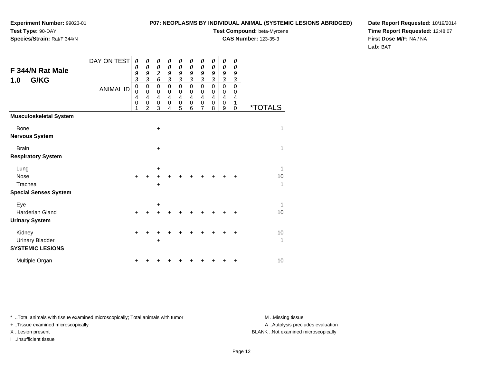# **Species/Strain:** Rat/F 344/N

### **P07: NEOPLASMS BY INDIVIDUAL ANIMAL (SYSTEMIC LESIONS ABRIDGED)**

**Test Compound:** beta-Myrcene

**CAS Number:** 123-35-3

**Date Report Requested:** 10/19/2014**Time Report Requested:** 12:48:07**First Dose M/F:** NA / NA**Lab:** BAT

| F 344/N Rat Male<br>G/KG<br>1.0                   | DAY ON TEST<br><b>ANIMAL ID</b> | 0<br>0<br>9<br>3<br>0<br>0<br>4<br>0 | 0<br>$\boldsymbol{\theta}$<br>9<br>$\overline{\mathbf{3}}$<br>0<br>$\mathbf 0$<br>4<br>0<br>2 | 0<br>$\boldsymbol{\theta}$<br>$\overline{\mathbf{c}}$<br>6<br>$\mathbf 0$<br>$\mathbf 0$<br>4<br>$\mathbf 0$<br>3 | 0<br>$\boldsymbol{\theta}$<br>9<br>$\mathfrak{z}$<br>$\mathbf 0$<br>$\mathbf 0$<br>$\overline{4}$<br>$\mathbf 0$<br>4 | 0<br>$\boldsymbol{\theta}$<br>9<br>$\boldsymbol{\beta}$<br>$\mathbf 0$<br>$\mathbf 0$<br>$\overline{\mathbf{4}}$<br>0<br>5 | 0<br>$\boldsymbol{\theta}$<br>9<br>$\mathfrak{z}$<br>$\mathbf 0$<br>0<br>$\overline{4}$<br>0<br>6 | 0<br>$\boldsymbol{\theta}$<br>9<br>$\mathfrak{z}$<br>$\mathbf 0$<br>$\mathbf 0$<br>$\overline{4}$<br>$\mathbf 0$<br>7 | 0<br>$\boldsymbol{\theta}$<br>9<br>$\mathfrak{z}$<br>$\mathbf 0$<br>0<br>$\overline{4}$<br>0<br>8 | 0<br>$\boldsymbol{\theta}$<br>9<br>$\mathfrak{z}$<br>$\mathbf 0$<br>$\mathbf 0$<br>4<br>$\mathbf 0$<br>9 | $\boldsymbol{\theta}$<br>$\boldsymbol{\theta}$<br>9<br>$\boldsymbol{\beta}$<br>$\mathbf 0$<br>0<br>4<br>1<br>$\mathbf 0$ | <i><b>*TOTALS</b></i> |
|---------------------------------------------------|---------------------------------|--------------------------------------|-----------------------------------------------------------------------------------------------|-------------------------------------------------------------------------------------------------------------------|-----------------------------------------------------------------------------------------------------------------------|----------------------------------------------------------------------------------------------------------------------------|---------------------------------------------------------------------------------------------------|-----------------------------------------------------------------------------------------------------------------------|---------------------------------------------------------------------------------------------------|----------------------------------------------------------------------------------------------------------|--------------------------------------------------------------------------------------------------------------------------|-----------------------|
| <b>Musculoskeletal System</b>                     |                                 |                                      |                                                                                               |                                                                                                                   |                                                                                                                       |                                                                                                                            |                                                                                                   |                                                                                                                       |                                                                                                   |                                                                                                          |                                                                                                                          |                       |
| <b>Bone</b>                                       |                                 |                                      |                                                                                               | $\ddot{}$                                                                                                         |                                                                                                                       |                                                                                                                            |                                                                                                   |                                                                                                                       |                                                                                                   |                                                                                                          |                                                                                                                          | 1                     |
| <b>Nervous System</b>                             |                                 |                                      |                                                                                               |                                                                                                                   |                                                                                                                       |                                                                                                                            |                                                                                                   |                                                                                                                       |                                                                                                   |                                                                                                          |                                                                                                                          |                       |
| <b>Brain</b>                                      |                                 |                                      |                                                                                               | $\ddot{}$                                                                                                         |                                                                                                                       |                                                                                                                            |                                                                                                   |                                                                                                                       |                                                                                                   |                                                                                                          |                                                                                                                          | 1                     |
| <b>Respiratory System</b>                         |                                 |                                      |                                                                                               |                                                                                                                   |                                                                                                                       |                                                                                                                            |                                                                                                   |                                                                                                                       |                                                                                                   |                                                                                                          |                                                                                                                          |                       |
| Lung                                              |                                 |                                      |                                                                                               | +                                                                                                                 |                                                                                                                       |                                                                                                                            |                                                                                                   |                                                                                                                       |                                                                                                   |                                                                                                          |                                                                                                                          | 1                     |
| Nose                                              |                                 | $+$                                  |                                                                                               |                                                                                                                   |                                                                                                                       |                                                                                                                            |                                                                                                   |                                                                                                                       |                                                                                                   |                                                                                                          | +                                                                                                                        | 10                    |
| Trachea                                           |                                 |                                      |                                                                                               | +                                                                                                                 |                                                                                                                       |                                                                                                                            |                                                                                                   |                                                                                                                       |                                                                                                   |                                                                                                          |                                                                                                                          | 1                     |
| <b>Special Senses System</b>                      |                                 |                                      |                                                                                               |                                                                                                                   |                                                                                                                       |                                                                                                                            |                                                                                                   |                                                                                                                       |                                                                                                   |                                                                                                          |                                                                                                                          |                       |
| Eye                                               |                                 |                                      |                                                                                               | +                                                                                                                 |                                                                                                                       |                                                                                                                            |                                                                                                   |                                                                                                                       |                                                                                                   |                                                                                                          |                                                                                                                          | 1                     |
| <b>Harderian Gland</b>                            |                                 | $\ddot{}$                            |                                                                                               |                                                                                                                   |                                                                                                                       |                                                                                                                            |                                                                                                   |                                                                                                                       |                                                                                                   |                                                                                                          | +                                                                                                                        | 10                    |
| <b>Urinary System</b>                             |                                 |                                      |                                                                                               |                                                                                                                   |                                                                                                                       |                                                                                                                            |                                                                                                   |                                                                                                                       |                                                                                                   |                                                                                                          |                                                                                                                          |                       |
| Kidney                                            |                                 | $\pm$                                |                                                                                               |                                                                                                                   |                                                                                                                       |                                                                                                                            |                                                                                                   |                                                                                                                       |                                                                                                   |                                                                                                          | ٠                                                                                                                        | 10                    |
| <b>Urinary Bladder</b><br><b>SYSTEMIC LESIONS</b> |                                 |                                      |                                                                                               |                                                                                                                   |                                                                                                                       |                                                                                                                            |                                                                                                   |                                                                                                                       |                                                                                                   |                                                                                                          |                                                                                                                          | 1                     |
| Multiple Organ                                    |                                 |                                      |                                                                                               |                                                                                                                   |                                                                                                                       |                                                                                                                            |                                                                                                   |                                                                                                                       |                                                                                                   |                                                                                                          | +                                                                                                                        | 10                    |

\* ..Total animals with tissue examined microscopically; Total animals with tumor **M** . Missing tissue M ..Missing tissue

+ ..Tissue examined microscopically

I ..Insufficient tissue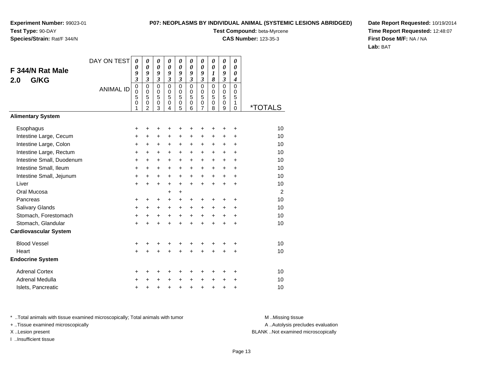## **Species/Strain:** Rat/F 344/N

### **P07: NEOPLASMS BY INDIVIDUAL ANIMAL (SYSTEMIC LESIONS ABRIDGED)**

**Test Compound:** beta-Myrcene

**CAS Number:** 123-35-3

**Date Report Requested:** 10/19/2014**Time Report Requested:** 12:48:07**First Dose M/F:** NA / NA**Lab:** BAT

|                              | DAY ON TEST      | 0                               | 0                                                              | 0                               | 0                                   | 0                                                   | 0                                       | 0                                                                             | 0                                         | 0                          | 0                                      |                       |
|------------------------------|------------------|---------------------------------|----------------------------------------------------------------|---------------------------------|-------------------------------------|-----------------------------------------------------|-----------------------------------------|-------------------------------------------------------------------------------|-------------------------------------------|----------------------------|----------------------------------------|-----------------------|
| F 344/N Rat Male             |                  | 0<br>9                          | 0<br>9                                                         | 0<br>9                          | $\boldsymbol{\theta}$<br>9          | $\boldsymbol{\theta}$<br>9                          | $\boldsymbol{\theta}$<br>9              | $\boldsymbol{\theta}$<br>9                                                    | 0<br>$\boldsymbol{l}$                     | $\boldsymbol{\theta}$<br>9 | $\boldsymbol{\theta}$<br>0             |                       |
| G/KG<br>2.0                  |                  | $\mathfrak{z}$                  | $\mathfrak{z}$                                                 | $\mathfrak{z}$                  | $\overline{\mathbf{3}}$             | $\mathfrak{z}$                                      | $\mathfrak{z}$                          | $\mathfrak{z}$                                                                | 8                                         | $\overline{\mathbf{3}}$    | $\overline{\boldsymbol{4}}$            |                       |
|                              | <b>ANIMAL ID</b> | 0<br>$\mathbf 0$<br>5<br>0<br>1 | $\mathbf 0$<br>$\mathbf 0$<br>5<br>$\pmb{0}$<br>$\overline{2}$ | $\mathbf 0$<br>0<br>5<br>0<br>3 | $\Omega$<br>$\Omega$<br>5<br>0<br>4 | $\mathbf 0$<br>$\mathbf 0$<br>5<br>$\mathbf 0$<br>5 | $\mathbf 0$<br>$\pmb{0}$<br>5<br>0<br>6 | $\mathbf 0$<br>$\mathbf 0$<br>$\overline{5}$<br>$\mathbf 0$<br>$\overline{7}$ | $\mathbf 0$<br>$\mathbf 0$<br>5<br>0<br>8 | 0<br>0<br>5<br>0<br>9      | 0<br>$\mathbf 0$<br>5<br>1<br>$\Omega$ | <i><b>*TOTALS</b></i> |
| <b>Alimentary System</b>     |                  |                                 |                                                                |                                 |                                     |                                                     |                                         |                                                                               |                                           |                            |                                        |                       |
| Esophagus                    |                  | +                               | ٠                                                              | ٠                               | +                                   | +                                                   | +                                       | ٠                                                                             | +                                         | +                          | +                                      | 10                    |
| Intestine Large, Cecum       |                  | +                               | +                                                              | +                               | +                                   | +                                                   | +                                       | +                                                                             | +                                         | +                          | +                                      | 10                    |
| Intestine Large, Colon       |                  | +                               | +                                                              | +                               | +                                   | $\ddot{}$                                           | $\ddot{}$                               | +                                                                             | +                                         | +                          | $\ddot{}$                              | 10                    |
| Intestine Large, Rectum      |                  | +                               | $\ddot{}$                                                      | $\ddot{}$                       | $\ddot{}$                           | $\ddot{}$                                           | $\ddot{}$                               | $\ddot{}$                                                                     | $\ddot{}$                                 | $\ddot{}$                  | $\ddot{}$                              | 10                    |
| Intestine Small, Duodenum    |                  | +                               | $\ddot{}$                                                      | $\ddot{}$                       | $\ddot{}$                           | $\ddot{}$                                           | $+$                                     | $\ddot{}$                                                                     | $\ddot{}$                                 | $\ddot{}$                  | $\ddot{}$                              | 10                    |
| Intestine Small, Ileum       |                  | +                               | $\ddot{}$                                                      | $\ddot{}$                       | $\ddot{}$                           | $\ddot{}$                                           | +                                       | $\ddot{}$                                                                     | $\ddot{}$                                 | $\ddot{}$                  | $\ddot{}$                              | 10                    |
| Intestine Small, Jejunum     |                  | +                               | +                                                              | $\ddot{}$                       | $\ddot{}$                           | $\ddot{}$                                           | $\ddot{}$                               | $\ddot{}$                                                                     | $\ddot{}$                                 | $\ddot{}$                  | $\ddot{}$                              | 10                    |
| Liver                        |                  | $\ddot{}$                       | $\ddot{}$                                                      | $\ddot{}$                       | $\ddot{}$                           | $\ddot{}$                                           | $\ddot{}$                               | $\ddot{}$                                                                     | $\ddot{}$                                 | $\ddot{}$                  | $\ddot{}$                              | 10                    |
| Oral Mucosa                  |                  |                                 |                                                                |                                 | +                                   | $\ddot{}$                                           |                                         |                                                                               |                                           |                            |                                        | $\overline{2}$        |
| Pancreas                     |                  | +                               | +                                                              | +                               | +                                   | +                                                   | $\pm$                                   | $\pm$                                                                         | +                                         | +                          | +                                      | 10                    |
| Salivary Glands              |                  | $\ddot{}$                       | $\ddot{}$                                                      | $\ddot{}$                       | $\ddot{}$                           | $\ddot{}$                                           | $\ddot{}$                               | $\ddot{}$                                                                     | $\ddot{}$                                 | +                          | $\ddot{}$                              | 10                    |
| Stomach, Forestomach         |                  | +                               | $\ddot{}$                                                      | $\ddot{}$                       | $\ddot{}$                           | $\ddot{}$                                           | $\ddot{}$                               | $\ddot{}$                                                                     | $\ddot{}$                                 | $\ddot{}$                  | $\ddot{}$                              | 10                    |
| Stomach, Glandular           |                  | $\ddot{}$                       |                                                                | $\ddot{}$                       | $\ddot{}$                           | $\ddot{}$                                           | $\ddot{}$                               | $\ddot{}$                                                                     | $\ddot{}$                                 | $\ddot{}$                  | $\ddot{}$                              | 10                    |
| <b>Cardiovascular System</b> |                  |                                 |                                                                |                                 |                                     |                                                     |                                         |                                                                               |                                           |                            |                                        |                       |
| <b>Blood Vessel</b>          |                  | +                               | +                                                              | +                               | +                                   | +                                                   | +                                       | +                                                                             | +                                         | +                          | +                                      | 10                    |
| Heart                        |                  | $\ddot{}$                       |                                                                | Ŧ.                              | $\ddot{}$                           | $\ddot{}$                                           |                                         | $\ddot{}$                                                                     | $\ddot{}$                                 | $\ddot{}$                  | $\ddot{}$                              | 10                    |
| <b>Endocrine System</b>      |                  |                                 |                                                                |                                 |                                     |                                                     |                                         |                                                                               |                                           |                            |                                        |                       |
| <b>Adrenal Cortex</b>        |                  | +                               | +                                                              | +                               | +                                   | +                                                   | +                                       | ٠                                                                             | +                                         | ٠                          | ٠                                      | 10                    |
| Adrenal Medulla              |                  | +                               |                                                                | ٠                               | +                                   | +                                                   | $\ddot{}$                               | $\pm$                                                                         | +                                         | +                          | +                                      | 10                    |
| Islets, Pancreatic           |                  | +                               | +                                                              | +                               | +                                   | +                                                   | +                                       | $\ddot{}$                                                                     | $\ddot{}$                                 | +                          | +                                      | 10                    |

\* ..Total animals with tissue examined microscopically; Total animals with tumor **M** . Missing tissue M ..Missing tissue

+ ..Tissue examined microscopically

I ..Insufficient tissue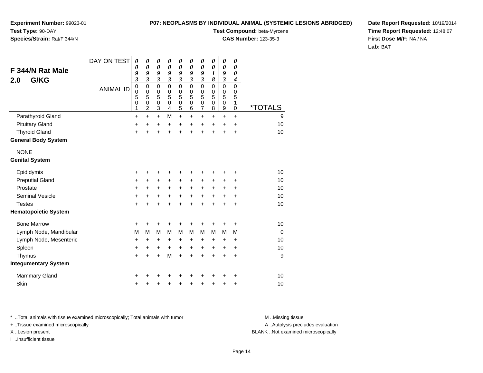**P07: NEOPLASMS BY INDIVIDUAL ANIMAL (SYSTEMIC LESIONS ABRIDGED)**

**Test Compound:** beta-Myrcene**CAS Number:** 123-35-3

**Experiment Number:** 99023-01**Test Type:** 90-DAY

### **Species/Strain:** Rat/F 344/N

**Date Report Requested:** 10/19/2014**Time Report Requested:** 12:48:07**First Dose M/F:** NA / NA**Lab:** BAT

| F 344/N Rat Male<br>G/KG<br>2.0 | DAY ON TEST<br><b>ANIMAL ID</b> | $\boldsymbol{\theta}$<br>$\boldsymbol{\theta}$<br>9<br>3<br>$\mathbf 0$<br>$\mathbf 0$<br>5 | $\boldsymbol{\theta}$<br>$\boldsymbol{\theta}$<br>9<br>3<br>$\mathbf 0$<br>$\pmb{0}$<br>5 | $\boldsymbol{\theta}$<br>$\pmb{\theta}$<br>9<br>$\mathfrak{z}$<br>$\mathbf 0$<br>$\pmb{0}$<br>5 | 0<br>$\boldsymbol{\theta}$<br>9<br>$\mathfrak{z}$<br>$\mathbf 0$<br>$\mathbf 0$<br>5 | $\boldsymbol{\theta}$<br>$\boldsymbol{\theta}$<br>9<br>$\mathfrak{z}$<br>$\mathbf 0$<br>0<br>5 | $\pmb{\theta}$<br>$\boldsymbol{\theta}$<br>9<br>$\mathfrak{z}$<br>$\mathbf 0$<br>$\mathbf 0$<br>5 | $\pmb{\theta}$<br>$\pmb{\theta}$<br>9<br>$\overline{\mathbf{3}}$<br>0<br>$\begin{array}{c} 0 \\ 5 \end{array}$ | 0<br>$\boldsymbol{\theta}$<br>1<br>8<br>0<br>0<br>5 | $\pmb{\theta}$<br>$\boldsymbol{\theta}$<br>9<br>$\overline{\mathbf{3}}$<br>0<br>0<br>5 | 0<br>$\boldsymbol{\theta}$<br>0<br>$\boldsymbol{4}$<br>$\Omega$<br>0<br>5 |                       |
|---------------------------------|---------------------------------|---------------------------------------------------------------------------------------------|-------------------------------------------------------------------------------------------|-------------------------------------------------------------------------------------------------|--------------------------------------------------------------------------------------|------------------------------------------------------------------------------------------------|---------------------------------------------------------------------------------------------------|----------------------------------------------------------------------------------------------------------------|-----------------------------------------------------|----------------------------------------------------------------------------------------|---------------------------------------------------------------------------|-----------------------|
|                                 |                                 | 0<br>1                                                                                      | $\pmb{0}$<br>$\overline{c}$                                                               | $\pmb{0}$<br>3                                                                                  | $\mathbf 0$<br>4                                                                     | $\mathbf 0$<br>5                                                                               | $\mathbf 0$<br>6                                                                                  | $\frac{0}{7}$                                                                                                  | 0<br>8                                              | 0<br>9                                                                                 | 1<br>0                                                                    | <i><b>*TOTALS</b></i> |
| Parathyroid Gland               |                                 | $\ddot{}$                                                                                   | $+$                                                                                       | $+$                                                                                             | M                                                                                    | $\ddot{}$                                                                                      | $\ddot{}$                                                                                         | $\ddot{}$                                                                                                      | $\ddot{}$                                           | $\ddot{}$                                                                              | $\ddot{}$                                                                 | 9                     |
| <b>Pituitary Gland</b>          |                                 | +                                                                                           | +                                                                                         | $\ddot{}$                                                                                       | +                                                                                    | +                                                                                              | $\ddot{}$                                                                                         | $\pm$                                                                                                          | $\pm$                                               | $\pm$                                                                                  | $\ddot{}$                                                                 | 10                    |
| <b>Thyroid Gland</b>            |                                 | $\ddot{}$                                                                                   |                                                                                           | $\ddot{}$                                                                                       | $\ddot{}$                                                                            | $\ddot{}$                                                                                      | $\ddot{}$                                                                                         | $\ddot{}$                                                                                                      | $\ddot{}$                                           | $\ddot{}$                                                                              | $\ddot{}$                                                                 | 10                    |
| <b>General Body System</b>      |                                 |                                                                                             |                                                                                           |                                                                                                 |                                                                                      |                                                                                                |                                                                                                   |                                                                                                                |                                                     |                                                                                        |                                                                           |                       |
| <b>NONE</b>                     |                                 |                                                                                             |                                                                                           |                                                                                                 |                                                                                      |                                                                                                |                                                                                                   |                                                                                                                |                                                     |                                                                                        |                                                                           |                       |
| <b>Genital System</b>           |                                 |                                                                                             |                                                                                           |                                                                                                 |                                                                                      |                                                                                                |                                                                                                   |                                                                                                                |                                                     |                                                                                        |                                                                           |                       |
| Epididymis                      |                                 | +                                                                                           |                                                                                           | +                                                                                               | +                                                                                    | +                                                                                              | +                                                                                                 | +                                                                                                              | +                                                   | +                                                                                      | +                                                                         | 10                    |
| <b>Preputial Gland</b>          |                                 | $\pmb{+}$                                                                                   | $\ddot{}$                                                                                 | $\ddot{}$                                                                                       | $\ddot{}$                                                                            | $\ddot{}$                                                                                      | $\ddot{}$                                                                                         | +                                                                                                              | +                                                   | +                                                                                      | +                                                                         | 10                    |
| Prostate                        |                                 | $\ddot{}$                                                                                   | $\ddot{}$                                                                                 | $\ddot{}$                                                                                       | $\ddot{}$                                                                            | $\ddot{}$                                                                                      | $\ddot{}$                                                                                         | $\ddot{}$                                                                                                      | $\ddot{}$                                           | +                                                                                      | +                                                                         | 10                    |
| <b>Seminal Vesicle</b>          |                                 | $\pmb{+}$                                                                                   | +                                                                                         | +                                                                                               | +                                                                                    | $\ddot{}$                                                                                      | $\ddot{}$                                                                                         | $\ddot{}$                                                                                                      | +                                                   | +                                                                                      | $\ddot{}$                                                                 | 10                    |
| <b>Testes</b>                   |                                 | $\ddot{}$                                                                                   |                                                                                           | $\div$                                                                                          | $\ddot{}$                                                                            | $\ddot{}$                                                                                      | $\ddot{}$                                                                                         | $\ddot{}$                                                                                                      | $\ddot{}$                                           | $\div$                                                                                 | $\ddot{}$                                                                 | 10                    |
| <b>Hematopoietic System</b>     |                                 |                                                                                             |                                                                                           |                                                                                                 |                                                                                      |                                                                                                |                                                                                                   |                                                                                                                |                                                     |                                                                                        |                                                                           |                       |
| <b>Bone Marrow</b>              |                                 | +                                                                                           | ٠                                                                                         | ٠                                                                                               | ٠                                                                                    | +                                                                                              | +                                                                                                 | +                                                                                                              | +                                                   | +                                                                                      | +                                                                         | 10                    |
| Lymph Node, Mandibular          |                                 | M                                                                                           | M                                                                                         | M                                                                                               | M                                                                                    | M                                                                                              | м                                                                                                 | M                                                                                                              | м                                                   | м                                                                                      | М                                                                         | $\Omega$              |
| Lymph Node, Mesenteric          |                                 | +                                                                                           | $\ddot{}$                                                                                 | $\ddot{}$                                                                                       | $\ddot{}$                                                                            | +                                                                                              | $\ddot{}$                                                                                         | $\pm$                                                                                                          | ٠                                                   | ÷                                                                                      | ÷                                                                         | 10                    |
| Spleen                          |                                 | $\ddot{}$                                                                                   | +                                                                                         | $\ddot{}$                                                                                       | $\ddot{}$                                                                            | $\ddot{}$                                                                                      | $\ddot{}$                                                                                         | $\ddot{}$                                                                                                      | $\ddot{}$                                           | $\ddot{}$                                                                              | $\ddot{}$                                                                 | 10                    |
| Thymus                          |                                 | $\ddot{}$                                                                                   | $\ddot{}$                                                                                 | $\ddot{}$                                                                                       | M                                                                                    | $\ddot{}$                                                                                      | $\ddot{}$                                                                                         | $\ddot{}$                                                                                                      | $\ddot{}$                                           | $\ddot{}$                                                                              | $\ddot{}$                                                                 | 9                     |
| <b>Integumentary System</b>     |                                 |                                                                                             |                                                                                           |                                                                                                 |                                                                                      |                                                                                                |                                                                                                   |                                                                                                                |                                                     |                                                                                        |                                                                           |                       |
| <b>Mammary Gland</b>            |                                 | +                                                                                           |                                                                                           |                                                                                                 |                                                                                      | +                                                                                              |                                                                                                   |                                                                                                                |                                                     |                                                                                        | ٠                                                                         | 10                    |
| Skin                            |                                 | $\ddot{}$                                                                                   |                                                                                           | +                                                                                               | +                                                                                    | +                                                                                              | +                                                                                                 | +                                                                                                              | +                                                   | +                                                                                      | +                                                                         | 10                    |

\* ..Total animals with tissue examined microscopically; Total animals with tumor **M** . Missing tissue M ..Missing tissue

+ ..Tissue examined microscopically

I ..Insufficient tissue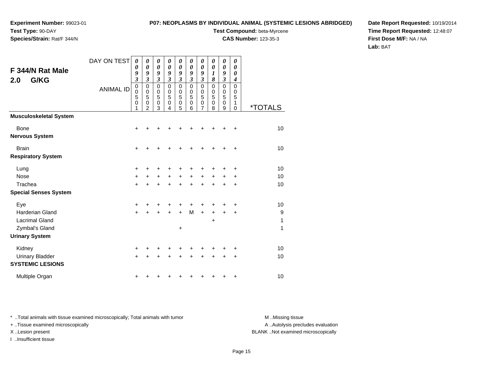# **Species/Strain:** Rat/F 344/N

### **P07: NEOPLASMS BY INDIVIDUAL ANIMAL (SYSTEMIC LESIONS ABRIDGED)**

**Test Compound:** beta-Myrcene

**CAS Number:** 123-35-3

**Date Report Requested:** 10/19/2014**Time Report Requested:** 12:48:07**First Dose M/F:** NA / NA**Lab:** BAT

| F 344/N Rat Male<br>G/KG<br>2.0                   | DAY ON TEST      | $\boldsymbol{\theta}$<br>0<br>9<br>$\mathfrak{z}$   | 0<br>0<br>9<br>3                           | 0<br>0<br>9<br>3              | 0<br>$\boldsymbol{\theta}$<br>9<br>$\mathfrak{z}$ | $\boldsymbol{\theta}$<br>0<br>9<br>$\mathfrak{z}$ | 0<br>0<br>9<br>$\mathfrak{z}$             | 0<br>0<br>9<br>3                                    | 0<br>0<br>$\boldsymbol{l}$<br>8                     | 0<br>0<br>9<br>$\mathfrak{z}$                       | 0<br>$\boldsymbol{\theta}$<br>0<br>$\boldsymbol{4}$ |                       |
|---------------------------------------------------|------------------|-----------------------------------------------------|--------------------------------------------|-------------------------------|---------------------------------------------------|---------------------------------------------------|-------------------------------------------|-----------------------------------------------------|-----------------------------------------------------|-----------------------------------------------------|-----------------------------------------------------|-----------------------|
|                                                   | <b>ANIMAL ID</b> | $\mathbf 0$<br>$\mathbf 0$<br>5<br>$\mathbf 0$<br>1 | 0<br>$\pmb{0}$<br>5<br>0<br>$\overline{2}$ | $\pmb{0}$<br>0<br>5<br>0<br>3 | 0<br>$\mathbf 0$<br>5<br>$\mathbf 0$<br>4         | $\mathbf 0$<br>0<br>5<br>$\mathbf 0$<br>5         | $\mathbf 0$<br>0<br>5<br>$\mathbf 0$<br>6 | $\mathbf 0$<br>$\mathbf 0$<br>5<br>$\mathbf 0$<br>7 | $\mathbf 0$<br>$\mathbf 0$<br>5<br>$\mathbf 0$<br>8 | $\mathbf 0$<br>$\mathbf 0$<br>5<br>$\mathbf 0$<br>9 | $\mathsf 0$<br>0<br>5<br>1<br>$\mathbf 0$           | <i><b>*TOTALS</b></i> |
| <b>Musculoskeletal System</b>                     |                  |                                                     |                                            |                               |                                                   |                                                   |                                           |                                                     |                                                     |                                                     |                                                     |                       |
| <b>Bone</b><br><b>Nervous System</b>              |                  | +                                                   |                                            |                               |                                                   |                                                   |                                           |                                                     | +                                                   | +                                                   | +                                                   | 10                    |
| <b>Brain</b><br><b>Respiratory System</b>         |                  | $\ddot{}$                                           |                                            | +                             |                                                   |                                                   |                                           | ٠                                                   | +                                                   | +                                                   | +                                                   | 10                    |
| Lung                                              |                  | +                                                   |                                            | +                             |                                                   |                                                   |                                           | +                                                   | +                                                   | +                                                   | +                                                   | 10                    |
| <b>Nose</b>                                       |                  | $+$                                                 | $\ddot{}$                                  | $+$                           | $\ddot{}$                                         | $+$                                               | $\ddot{}$                                 | $+$                                                 | $\ddot{}$                                           | $\ddot{}$                                           | $\ddot{}$                                           | 10                    |
| Trachea<br><b>Special Senses System</b>           |                  | $+$                                                 | $\ddot{}$                                  | $\ddot{}$                     | $\ddot{}$                                         | $\ddot{}$                                         | $\ddot{}$                                 | $\ddot{}$                                           | $\ddot{}$                                           | $\ddot{}$                                           | $\ddot{}$                                           | 10                    |
| Eye                                               |                  | +                                                   |                                            |                               |                                                   |                                                   | +                                         | +                                                   | +                                                   | ٠                                                   | +                                                   | 10                    |
| <b>Harderian Gland</b>                            |                  | $\ddot{}$                                           |                                            | +                             | +                                                 | $\ddot{}$                                         | M                                         | $+$                                                 | $\ddot{}$                                           | +                                                   | +                                                   | 9                     |
| <b>Lacrimal Gland</b><br>Zymbal's Gland           |                  |                                                     |                                            |                               |                                                   | +                                                 |                                           |                                                     | $\ddot{}$                                           |                                                     |                                                     | 1<br>1                |
| <b>Urinary System</b>                             |                  |                                                     |                                            |                               |                                                   |                                                   |                                           |                                                     |                                                     |                                                     |                                                     |                       |
| Kidney                                            |                  | +                                                   |                                            |                               |                                                   |                                                   |                                           |                                                     | +                                                   | +                                                   | +                                                   | 10                    |
| <b>Urinary Bladder</b><br><b>SYSTEMIC LESIONS</b> |                  | $+$                                                 | +                                          | +                             | $\ddot{}$                                         | $\ddot{}$                                         | $\ddot{}$                                 | $\ddot{}$                                           | $\ddot{}$                                           | $\ddot{}$                                           | $\ddot{}$                                           | 10                    |
| Multiple Organ                                    |                  | +                                                   |                                            |                               |                                                   |                                                   |                                           | +                                                   | +                                                   | +                                                   | $\ddot{}$                                           | 10                    |

\* ..Total animals with tissue examined microscopically; Total animals with tumor **M** . Missing tissue M ..Missing tissue

+ ..Tissue examined microscopically

I ..Insufficient tissue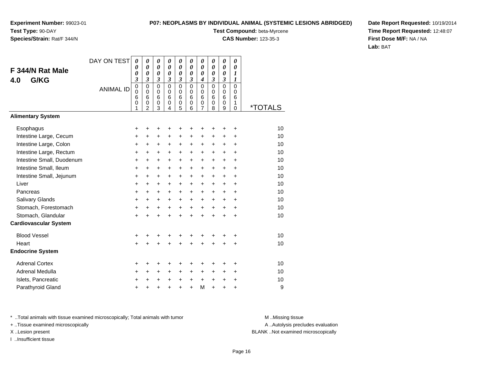# **Species/Strain:** Rat/F 344/N

### **P07: NEOPLASMS BY INDIVIDUAL ANIMAL (SYSTEMIC LESIONS ABRIDGED)**

**Test Compound:** beta-Myrcene

**CAS Number:** 123-35-3

**Date Report Requested:** 10/19/2014**Time Report Requested:** 12:48:07**First Dose M/F:** NA / NA**Lab:** BAT

|                              | DAY ON TEST      | 0                       | 0                          | 0                                              | 0                                              | 0                          | 0                          | 0                                              | 0                                              | 0                                              | 0                     |                       |
|------------------------------|------------------|-------------------------|----------------------------|------------------------------------------------|------------------------------------------------|----------------------------|----------------------------|------------------------------------------------|------------------------------------------------|------------------------------------------------|-----------------------|-----------------------|
| F 344/N Rat Male             |                  | 0<br>0                  | 0<br>$\boldsymbol{\theta}$ | $\boldsymbol{\theta}$<br>$\boldsymbol{\theta}$ | $\boldsymbol{\theta}$<br>$\boldsymbol{\theta}$ | $\boldsymbol{\theta}$<br>0 | $\boldsymbol{\theta}$<br>0 | $\boldsymbol{\theta}$<br>$\boldsymbol{\theta}$ | $\boldsymbol{\theta}$<br>$\boldsymbol{\theta}$ | $\boldsymbol{\theta}$<br>$\boldsymbol{\theta}$ | 0<br>$\boldsymbol{l}$ |                       |
| G/KG<br>4.0                  |                  | $\overline{\mathbf{3}}$ | $\mathfrak{z}$             | $\boldsymbol{\beta}$                           | $\boldsymbol{\beta}$                           | $\mathfrak{z}$             | $\boldsymbol{\beta}$       | 4                                              | $\boldsymbol{\beta}$                           | $\mathfrak{z}$                                 | $\boldsymbol{l}$      |                       |
|                              | <b>ANIMAL ID</b> | 0                       | $\mathbf 0$<br>$\Omega$    | $\mathbf 0$                                    | $\mathbf 0$                                    | $\mathbf 0$                | $\Omega$                   | $\mathbf 0$                                    | $\mathbf 0$                                    | $\overline{0}$                                 | $\mathbf 0$           |                       |
|                              |                  | $\mathbf 0$<br>6        | 6                          | $\mathbf 0$<br>6                               | $\mathbf 0$<br>6                               | $\mathbf 0$<br>6           | $\Omega$<br>6              | $\mathbf 0$<br>6                               | $\mathbf 0$<br>6                               | $\mathbf 0$<br>6                               | $\mathbf 0$<br>6      |                       |
|                              |                  | 0<br>1                  | 0<br>$\overline{2}$        | 0<br>3                                         | 0<br>4                                         | 0<br>$\overline{5}$        | 0<br>6                     | $\boldsymbol{0}$<br>$\overline{7}$             | $\mathbf 0$<br>8                               | 0<br>9                                         | 1<br>$\mathbf 0$      | <i><b>*TOTALS</b></i> |
| <b>Alimentary System</b>     |                  |                         |                            |                                                |                                                |                            |                            |                                                |                                                |                                                |                       |                       |
| Esophagus                    |                  | +                       | +                          | +                                              | +                                              | +                          | +                          | +                                              |                                                | +                                              | +                     | 10                    |
| Intestine Large, Cecum       |                  | +                       | +                          | +                                              | +                                              | +                          | $\ddot{}$                  | $\ddot{}$                                      | $\ddot{}$                                      | $\ddot{}$                                      | +                     | 10                    |
| Intestine Large, Colon       |                  | $\ddot{}$               | $\ddot{}$                  | $\ddot{}$                                      | $\ddot{}$                                      | +                          | $\ddot{}$                  | $\ddot{}$                                      | $\ddot{}$                                      | $\ddot{}$                                      | $\ddot{}$             | 10                    |
| Intestine Large, Rectum      |                  | +                       | $\ddot{}$                  | $\ddot{}$                                      | +                                              | +                          | +                          | $\ddot{}$                                      | +                                              | +                                              | $\ddot{}$             | 10                    |
| Intestine Small, Duodenum    |                  | $\pm$                   | +                          | $\ddot{}$                                      | $\ddot{}$                                      | $+$                        | $\ddot{}$                  | $\ddot{}$                                      | $\ddot{}$                                      | $+$                                            | +                     | 10                    |
| Intestine Small, Ileum       |                  | $\ddot{}$               | $\ddot{}$                  | +                                              | $\ddot{}$                                      | +                          | $\ddot{}$                  | +                                              | +                                              | $\ddot{}$                                      | $\ddot{}$             | 10                    |
| Intestine Small, Jejunum     |                  | $\ddot{}$               | +                          | +                                              | $\pm$                                          | $\ddot{}$                  | $\ddot{}$                  | +                                              | $\ddot{}$                                      | $\ddot{}$                                      | +                     | 10                    |
| Liver                        |                  | $\ddot{}$               | $\ddot{}$                  | $\ddot{}$                                      | $\ddot{}$                                      | +                          | +                          | $\ddot{}$                                      | $\ddot{}$                                      | $\ddot{}$                                      | $\ddot{}$             | 10                    |
| Pancreas                     |                  | $\ddot{}$               | $\ddot{}$                  | $\ddot{}$                                      | $\ddot{}$                                      | $\ddot{}$                  | +                          | +                                              | +                                              | +                                              | +                     | 10                    |
| Salivary Glands              |                  | $\ddot{}$               | $\ddot{}$                  | $\ddot{}$                                      | +                                              | $\ddot{}$                  | +                          | +                                              | $\ddot{}$                                      | $\ddot{}$                                      | $\ddot{}$             | 10                    |
| Stomach, Forestomach         |                  | +                       | $\ddot{}$                  | +                                              | +                                              | +                          | +                          | +                                              | +                                              | +                                              | +                     | 10                    |
| Stomach, Glandular           |                  | $\ddot{}$               | $\ddot{}$                  | $\ddot{}$                                      | $\ddot{}$                                      | $\ddot{}$                  | $\ddot{}$                  | $\ddot{}$                                      | $\ddot{}$                                      | ÷                                              | $\ddot{}$             | 10                    |
| <b>Cardiovascular System</b> |                  |                         |                            |                                                |                                                |                            |                            |                                                |                                                |                                                |                       |                       |
| <b>Blood Vessel</b>          |                  | +                       | +                          | +                                              | +                                              | +                          | +                          | +                                              |                                                | ٠                                              | +                     | 10                    |
| Heart                        |                  | $\ddot{}$               |                            | $\ddot{}$                                      |                                                | $\ddot{}$                  |                            | $\ddot{}$                                      | ÷                                              | $\ddot{}$                                      | +                     | 10                    |
| <b>Endocrine System</b>      |                  |                         |                            |                                                |                                                |                            |                            |                                                |                                                |                                                |                       |                       |
| <b>Adrenal Cortex</b>        |                  | +                       | +                          | +                                              | +                                              | +                          | +                          | +                                              | +                                              | +                                              | +                     | 10                    |
| Adrenal Medulla              |                  | +                       | $\ddot{}$                  | +                                              | $\ddot{}$                                      | +                          | $\ddot{}$                  | +                                              | +                                              | $\ddot{}$                                      | $\ddot{}$             | 10                    |
| Islets, Pancreatic           |                  | +                       | +                          | +                                              | +                                              | +                          | $\ddot{}$                  | $\ddot{}$                                      | $\ddot{}$                                      | +                                              | +                     | 10                    |
| Parathyroid Gland            |                  | +                       | +                          | +                                              | +                                              | $\ddot{}$                  | $\ddot{}$                  | M                                              | $\ddot{}$                                      | $\ddot{}$                                      | +                     | 9                     |

\* ..Total animals with tissue examined microscopically; Total animals with tumor **M** . Missing tissue M ..Missing tissue

+ ..Tissue examined microscopically

I ..Insufficient tissue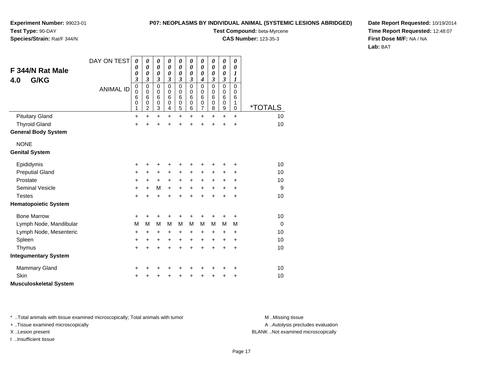**P07: NEOPLASMS BY INDIVIDUAL ANIMAL (SYSTEMIC LESIONS ABRIDGED)**

**Experiment Number:** 99023-01**Test Type:** 90-DAY**Species/Strain:** Rat/F 344/N

**Test Compound:** beta-Myrcene

**CAS Number:** 123-35-3

**Date Report Requested:** 10/19/2014**Time Report Requested:** 12:48:07**First Dose M/F:** NA / NA**Lab:** BAT

| F 344/N Rat Male<br>G/KG<br>4.0 | DAY ON TEST<br><b>ANIMAL ID</b> | 0<br>0<br>0<br>3<br>$\mathbf 0$<br>0<br>6<br>$\mathbf 0$ | 0<br>0<br>$\boldsymbol{\theta}$<br>3<br>0<br>0<br>6<br>0 | 0<br>$\boldsymbol{\theta}$<br>$\boldsymbol{\theta}$<br>$\mathfrak{z}$<br>$\mathbf 0$<br>0<br>6<br>$\mathbf 0$ | 0<br>0<br>0<br>3<br>$\mathbf 0$<br>0<br>6<br>$\mathbf 0$ | 0<br>$\boldsymbol{\theta}$<br>0<br>$\mathfrak{z}$<br>$\mathbf 0$<br>0<br>$6\phantom{1}6$<br>$\mathbf 0$ | 0<br>0<br>0<br>3<br>$\mathbf 0$<br>0<br>6<br>0 | 0<br>0<br>0<br>$\boldsymbol{4}$<br>$\mathbf 0$<br>0<br>6<br>0 | 0<br>0<br>0<br>3<br>0<br>$\Omega$<br>6<br>$\mathbf 0$ | $\boldsymbol{\theta}$<br>$\boldsymbol{\theta}$<br>0<br>$\mathfrak{z}$<br>$\mathbf 0$<br>0<br>6<br>$\mathbf 0$ | $\boldsymbol{\theta}$<br>0<br>1<br>$\boldsymbol{l}$<br>$\Omega$<br>$\Omega$<br>6<br>1 |                       |
|---------------------------------|---------------------------------|----------------------------------------------------------|----------------------------------------------------------|---------------------------------------------------------------------------------------------------------------|----------------------------------------------------------|---------------------------------------------------------------------------------------------------------|------------------------------------------------|---------------------------------------------------------------|-------------------------------------------------------|---------------------------------------------------------------------------------------------------------------|---------------------------------------------------------------------------------------|-----------------------|
|                                 |                                 | 1                                                        | 2                                                        | $\ensuremath{\mathsf{3}}$                                                                                     | 4                                                        | 5                                                                                                       | 6                                              | $\overline{7}$                                                | 8                                                     | 9                                                                                                             | $\mathbf 0$                                                                           | <i><b>*TOTALS</b></i> |
| <b>Pituitary Gland</b>          |                                 | $\ddot{}$                                                | $\ddot{}$                                                | $\ddot{}$                                                                                                     | $\ddot{}$                                                | $\ddot{}$                                                                                               | +                                              | $\ddot{}$                                                     | $\ddot{}$                                             | $\ddot{}$                                                                                                     | $\ddot{}$                                                                             | 10                    |
| <b>Thyroid Gland</b>            |                                 | $\ddot{}$                                                | $\ddot{}$                                                | $\ddot{}$                                                                                                     | $\ddot{}$                                                | $\ddot{}$                                                                                               | $\ddot{}$                                      | $\ddot{}$                                                     | $\ddot{}$                                             | $\ddot{}$                                                                                                     | $\ddot{}$                                                                             | 10                    |
| <b>General Body System</b>      |                                 |                                                          |                                                          |                                                                                                               |                                                          |                                                                                                         |                                                |                                                               |                                                       |                                                                                                               |                                                                                       |                       |
| <b>NONE</b>                     |                                 |                                                          |                                                          |                                                                                                               |                                                          |                                                                                                         |                                                |                                                               |                                                       |                                                                                                               |                                                                                       |                       |
| <b>Genital System</b>           |                                 |                                                          |                                                          |                                                                                                               |                                                          |                                                                                                         |                                                |                                                               |                                                       |                                                                                                               |                                                                                       |                       |
| Epididymis                      |                                 | +                                                        | +                                                        | +                                                                                                             | +                                                        | +                                                                                                       | +                                              | +                                                             | +                                                     | +                                                                                                             | +                                                                                     | 10                    |
| <b>Preputial Gland</b>          |                                 | +                                                        | +                                                        | +                                                                                                             | +                                                        | +                                                                                                       | +                                              | +                                                             | +                                                     | +                                                                                                             | +                                                                                     | 10                    |
| Prostate                        |                                 | +                                                        | $\ddot{}$                                                | $\ddot{}$                                                                                                     | $\ddot{}$                                                | $\ddot{}$                                                                                               | $\ddot{}$                                      | $\ddot{}$                                                     | +                                                     | +                                                                                                             | $\ddot{}$                                                                             | 10                    |
| <b>Seminal Vesicle</b>          |                                 | +                                                        | $\ddot{}$                                                | M                                                                                                             | $\ddot{}$                                                | $\ddot{}$                                                                                               | $\ddot{}$                                      | $\ddot{}$                                                     | +                                                     | $\ddot{}$                                                                                                     | $\ddot{}$                                                                             | 9                     |
| <b>Testes</b>                   |                                 | $\ddot{}$                                                | $\ddot{}$                                                | $\ddot{}$                                                                                                     | $\ddot{}$                                                | $\ddot{}$                                                                                               | $\ddot{}$                                      | $\ddot{}$                                                     | $\ddot{}$                                             | $\ddot{}$                                                                                                     | $\ddot{}$                                                                             | 10                    |
| <b>Hematopoietic System</b>     |                                 |                                                          |                                                          |                                                                                                               |                                                          |                                                                                                         |                                                |                                                               |                                                       |                                                                                                               |                                                                                       |                       |
| <b>Bone Marrow</b>              |                                 | +                                                        | +                                                        | +                                                                                                             | +                                                        | +                                                                                                       | +                                              | +                                                             | +                                                     | +                                                                                                             | +                                                                                     | 10                    |
| Lymph Node, Mandibular          |                                 | M                                                        | M                                                        | M                                                                                                             | M                                                        | M                                                                                                       | M                                              | M                                                             | M                                                     | M                                                                                                             | M                                                                                     | $\overline{0}$        |
| Lymph Node, Mesenteric          |                                 | +                                                        | $\ddot{}$                                                | $\ddot{}$                                                                                                     | +                                                        | $\ddot{}$                                                                                               | +                                              | $\ddot{}$                                                     | +                                                     | $\ddot{}$                                                                                                     | $\ddot{}$                                                                             | 10                    |
| Spleen                          |                                 | +                                                        | +                                                        | +                                                                                                             | +                                                        | $\ddot{}$                                                                                               | +                                              | $\ddot{}$                                                     | +                                                     | $\ddot{}$                                                                                                     | $\ddot{}$                                                                             | 10                    |
| Thymus                          |                                 | $\ddot{}$                                                | $\ddot{}$                                                | $\ddot{}$                                                                                                     | $\ddot{}$                                                | $\ddot{}$                                                                                               | $\ddot{}$                                      | $\ddot{}$                                                     | $\ddot{}$                                             | $\ddot{}$                                                                                                     | $\ddot{}$                                                                             | 10                    |
| <b>Integumentary System</b>     |                                 |                                                          |                                                          |                                                                                                               |                                                          |                                                                                                         |                                                |                                                               |                                                       |                                                                                                               |                                                                                       |                       |
| <b>Mammary Gland</b>            |                                 | +                                                        | +                                                        | +                                                                                                             | +                                                        | +                                                                                                       | +                                              | +                                                             | +                                                     | +                                                                                                             | $\ddot{}$                                                                             | 10                    |
| Skin                            |                                 |                                                          |                                                          | +                                                                                                             | +                                                        | +                                                                                                       |                                                | +                                                             | +                                                     | +                                                                                                             | +                                                                                     | 10                    |
| <b>Musculoskeletal System</b>   |                                 |                                                          |                                                          |                                                                                                               |                                                          |                                                                                                         |                                                |                                                               |                                                       |                                                                                                               |                                                                                       |                       |

\* ..Total animals with tissue examined microscopically; Total animals with tumor **M** . Missing tissue M ..Missing tissue

+ ..Tissue examined microscopically

I ..Insufficient tissue

A ..Autolysis precludes evaluation

X ..Lesion present BLANK ..Not examined microscopically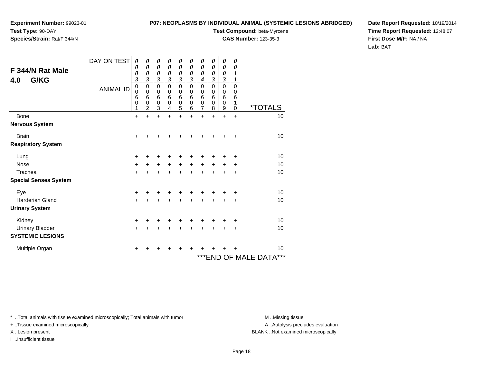# **Species/Strain:** Rat/F 344/N

### **P07: NEOPLASMS BY INDIVIDUAL ANIMAL (SYSTEMIC LESIONS ABRIDGED)**

**Test Compound:** beta-Myrcene

**CAS Number:** 123-35-3

**Date Report Requested:** 10/19/2014**Time Report Requested:** 12:48:07**First Dose M/F:** NA / NA**Lab:** BAT

| F 344/N Rat Male<br>G/KG<br>4.0 | DAY ON TEST<br><b>ANIMAL ID</b> | 0<br>0<br>0<br>$\boldsymbol{\beta}$<br>$\mathbf 0$<br>0<br>6<br>0<br>1 | 0<br>0<br>$\boldsymbol{\theta}$<br>3<br>$\mathbf 0$<br>0<br>6<br>0<br>$\overline{c}$ | 0<br>0<br>0<br>3<br>0<br>0<br>6<br>0<br>3 | 0<br>0<br>0<br>3<br>0<br>0<br>6<br>0<br>4 | 0<br>0<br>0<br>3<br>0<br>0<br>6<br>0<br>5 | 0<br>0<br>0<br>3<br>$\mathbf 0$<br>0<br>6<br>0<br>6 | 0<br>0<br>0<br>4<br>$\mathbf 0$<br>0<br>6<br>$\mathbf 0$<br>7 | 0<br>$\boldsymbol{\theta}$<br>0<br>3<br>$\mathbf 0$<br>0<br>6<br>0<br>8 | 0<br>0<br>0<br>3<br>$\mathbf 0$<br>0<br>$6\phantom{1}6$<br>$\mathbf 0$<br>9 | 0<br>0<br>1<br>1<br>$\mathbf 0$<br>0<br>6<br>1<br>0 | <i><b>*TOTALS</b></i>      |
|---------------------------------|---------------------------------|------------------------------------------------------------------------|--------------------------------------------------------------------------------------|-------------------------------------------|-------------------------------------------|-------------------------------------------|-----------------------------------------------------|---------------------------------------------------------------|-------------------------------------------------------------------------|-----------------------------------------------------------------------------|-----------------------------------------------------|----------------------------|
| <b>Bone</b>                     |                                 | +                                                                      | $\ddot{}$                                                                            | $\ddot{}$                                 | $\ddot{}$                                 | $\ddot{}$                                 | $\ddot{}$                                           | $\ddot{}$                                                     | $\ddot{}$                                                               | $\ddot{}$                                                                   | $\ddot{}$                                           | 10                         |
| <b>Nervous System</b>           |                                 |                                                                        |                                                                                      |                                           |                                           |                                           |                                                     |                                                               |                                                                         |                                                                             |                                                     |                            |
| <b>Brain</b>                    |                                 | $\pm$                                                                  |                                                                                      |                                           |                                           |                                           |                                                     |                                                               |                                                                         |                                                                             | ÷                                                   | 10                         |
| <b>Respiratory System</b>       |                                 |                                                                        |                                                                                      |                                           |                                           |                                           |                                                     |                                                               |                                                                         |                                                                             |                                                     |                            |
| Lung                            |                                 | +                                                                      |                                                                                      |                                           |                                           |                                           |                                                     |                                                               |                                                                         |                                                                             | ٠                                                   | 10                         |
| <b>Nose</b>                     |                                 | $\ddot{}$                                                              | $\pm$                                                                                | $\ddot{}$                                 | +                                         | $\ddot{}$                                 | $\ddot{}$                                           | $\ddot{}$                                                     | +                                                                       | ٠                                                                           | +                                                   | 10                         |
| Trachea                         |                                 | +                                                                      | $\pm$                                                                                | $\ddot{}$                                 | +                                         | $+$                                       | $\ddot{}$                                           | $+$                                                           | $\ddot{}$                                                               | $+$                                                                         | +                                                   | 10                         |
| <b>Special Senses System</b>    |                                 |                                                                        |                                                                                      |                                           |                                           |                                           |                                                     |                                                               |                                                                         |                                                                             |                                                     |                            |
| Eye                             |                                 | $\ddot{}$                                                              |                                                                                      |                                           |                                           |                                           |                                                     |                                                               |                                                                         |                                                                             | ÷                                                   | 10                         |
| <b>Harderian Gland</b>          |                                 | $\ddot{}$                                                              | +                                                                                    | +                                         | +                                         | $\ddot{}$                                 | $\div$                                              | $\ddot{}$                                                     | $\ddot{}$                                                               | $\pm$                                                                       | ÷                                                   | 10                         |
| <b>Urinary System</b>           |                                 |                                                                        |                                                                                      |                                           |                                           |                                           |                                                     |                                                               |                                                                         |                                                                             |                                                     |                            |
| Kidney                          |                                 | +                                                                      |                                                                                      | +                                         |                                           |                                           |                                                     |                                                               |                                                                         |                                                                             | +                                                   | 10                         |
| <b>Urinary Bladder</b>          |                                 | $\ddot{}$                                                              |                                                                                      | $\ddot{}$                                 |                                           |                                           |                                                     |                                                               |                                                                         |                                                                             | $\ddot{}$                                           | 10                         |
| <b>SYSTEMIC LESIONS</b>         |                                 |                                                                        |                                                                                      |                                           |                                           |                                           |                                                     |                                                               |                                                                         |                                                                             |                                                     |                            |
| Multiple Organ                  |                                 | +                                                                      |                                                                                      | +                                         |                                           | +                                         | +                                                   | +                                                             |                                                                         |                                                                             | +                                                   | 10                         |
|                                 |                                 |                                                                        |                                                                                      |                                           |                                           |                                           |                                                     |                                                               |                                                                         |                                                                             |                                                     | ***<br>***END OF MALE DATA |

\* ..Total animals with tissue examined microscopically; Total animals with tumor **M** . Missing tissue M ..Missing tissue

+ ..Tissue examined microscopically

I ..Insufficient tissue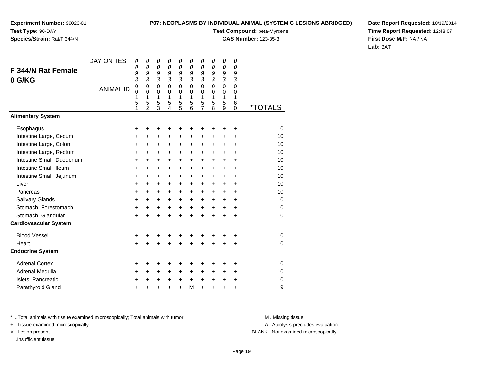# **Species/Strain:** Rat/F 344/N

### **P07: NEOPLASMS BY INDIVIDUAL ANIMAL (SYSTEMIC LESIONS ABRIDGED)**

**Test Compound:** beta-Myrcene

**CAS Number:** 123-35-3

**Date Report Requested:** 10/19/2014**Time Report Requested:** 12:48:07**First Dose M/F:** NA / NA**Lab:** BAT

| F 344/N Rat Female<br>0 G/KG | DAY ON TEST<br><b>ANIMAL ID</b> | $\boldsymbol{\theta}$<br>$\boldsymbol{\theta}$<br>9<br>$\mathfrak{z}$<br>$\pmb{0}$<br>$\mathbf 0$<br>1<br>5<br>1 | 0<br>0<br>9<br>$\mathfrak{z}$<br>$\mathbf 0$<br>$\Omega$<br>$\mathbf{1}$<br>5<br>$\overline{2}$ | 0<br>0<br>9<br>3<br>$\Omega$<br>$\mathbf 0$<br>$\mathbf{1}$<br>5<br>$\overline{3}$ | 0<br>0<br>9<br>3<br>$\Omega$<br>$\Omega$<br>1<br>5<br>$\overline{4}$ | $\boldsymbol{\theta}$<br>$\boldsymbol{\theta}$<br>9<br>$\mathfrak{z}$<br>$\mathbf 0$<br>$\mathbf 0$<br>$\mathbf{1}$<br>$\frac{5}{5}$ | 0<br>0<br>9<br>$\overline{\mathbf{3}}$<br>$\Omega$<br>$\Omega$<br>$\mathbf{1}$<br>5<br>6 | 0<br>0<br>9<br>3<br>$\mathbf 0$<br>0<br>1<br>5<br>$\overline{7}$ | 0<br>0<br>9<br>$\mathfrak{z}$<br>$\Omega$<br>$\Omega$<br>$\mathbf{1}$<br>5<br>8 | 0<br>$\boldsymbol{\theta}$<br>9<br>$\mathfrak{z}$<br>$\Omega$<br>$\mathbf 0$<br>1<br>5<br>9 | 0<br>0<br>9<br>3<br>$\mathbf 0$<br>0<br>$\mathbf{1}$<br>6<br>$\mathbf 0$ | <i><b>*TOTALS</b></i> |
|------------------------------|---------------------------------|------------------------------------------------------------------------------------------------------------------|-------------------------------------------------------------------------------------------------|------------------------------------------------------------------------------------|----------------------------------------------------------------------|--------------------------------------------------------------------------------------------------------------------------------------|------------------------------------------------------------------------------------------|------------------------------------------------------------------|---------------------------------------------------------------------------------|---------------------------------------------------------------------------------------------|--------------------------------------------------------------------------|-----------------------|
| <b>Alimentary System</b>     |                                 |                                                                                                                  |                                                                                                 |                                                                                    |                                                                      |                                                                                                                                      |                                                                                          |                                                                  |                                                                                 |                                                                                             |                                                                          |                       |
| Esophagus                    |                                 | +                                                                                                                | +                                                                                               | ٠                                                                                  | +                                                                    | +                                                                                                                                    |                                                                                          | +                                                                |                                                                                 |                                                                                             | ٠                                                                        | 10                    |
| Intestine Large, Cecum       |                                 | +                                                                                                                | $\ddot{}$                                                                                       | $\ddot{}$                                                                          | $\ddot{}$                                                            | $\ddot{}$                                                                                                                            | $\ddot{}$                                                                                | +                                                                | $\ddot{}$                                                                       | $\ddot{}$                                                                                   | $\ddot{}$                                                                | 10                    |
| Intestine Large, Colon       |                                 | +                                                                                                                | +                                                                                               | +                                                                                  | +                                                                    | $\ddot{}$                                                                                                                            | +                                                                                        | $\ddot{}$                                                        | $\ddot{}$                                                                       | $\ddot{}$                                                                                   | $\ddot{}$                                                                | 10                    |
| Intestine Large, Rectum      |                                 | $\ddot{}$                                                                                                        | $\ddot{}$                                                                                       | $\ddot{}$                                                                          | $\ddot{}$                                                            | $\ddot{}$                                                                                                                            | $\ddot{}$                                                                                | $\ddot{}$                                                        | $\ddot{}$                                                                       | $\ddot{}$                                                                                   | $\ddot{}$                                                                | 10                    |
| Intestine Small, Duodenum    |                                 | $\ddot{}$                                                                                                        | $\ddot{}$                                                                                       | $\ddot{}$                                                                          | $\ddot{}$                                                            | $\ddot{}$                                                                                                                            | $\ddot{}$                                                                                | $\ddot{}$                                                        | $\ddot{}$                                                                       | $\ddot{}$                                                                                   | $\ddot{}$                                                                | 10                    |
| Intestine Small, Ileum       |                                 | $\ddot{}$                                                                                                        | $\ddot{}$                                                                                       | $\ddot{}$                                                                          | $\ddot{}$                                                            | $\ddot{}$                                                                                                                            | $\ddot{}$                                                                                | $\ddot{}$                                                        | $\ddot{}$                                                                       | $\ddot{}$                                                                                   | $\ddot{}$                                                                | 10                    |
| Intestine Small, Jejunum     |                                 | +                                                                                                                | $\ddot{}$                                                                                       | $\ddot{}$                                                                          | $\ddot{}$                                                            | $\ddot{}$                                                                                                                            | $\ddot{}$                                                                                | $\ddot{}$                                                        | $\ddot{}$                                                                       | $\ddot{}$                                                                                   | $\ddot{}$                                                                | 10                    |
| Liver                        |                                 | +                                                                                                                | $\ddot{}$                                                                                       | $\ddot{}$                                                                          | $\ddot{}$                                                            | $\ddot{}$                                                                                                                            | $\ddot{}$                                                                                | $\ddot{}$                                                        | $\ddot{}$                                                                       | $\ddot{}$                                                                                   | $\ddot{}$                                                                | 10                    |
| Pancreas                     |                                 | $\ddot{}$                                                                                                        | $\ddot{}$                                                                                       | $\ddot{}$                                                                          | $\ddot{}$                                                            | $\ddot{}$                                                                                                                            | $+$                                                                                      | $\ddot{}$                                                        | $\ddot{}$                                                                       | $\ddot{}$                                                                                   | $\ddot{}$                                                                | 10                    |
| Salivary Glands              |                                 | $\ddot{}$                                                                                                        | $\ddot{}$                                                                                       | $\ddot{}$                                                                          | $\ddot{}$                                                            | $+$                                                                                                                                  | $+$                                                                                      | $+$                                                              | $\ddot{}$                                                                       | $\ddot{}$                                                                                   | $\ddot{}$                                                                | 10                    |
| Stomach, Forestomach         |                                 | +                                                                                                                | $\ddot{}$                                                                                       | $\ddot{}$                                                                          | $\ddot{}$                                                            | $+$                                                                                                                                  | $+$                                                                                      | $+$                                                              | $+$                                                                             | $\ddot{}$                                                                                   | $\ddot{}$                                                                | 10                    |
| Stomach, Glandular           |                                 | $\ddot{}$                                                                                                        | $\ddot{}$                                                                                       | $\ddot{}$                                                                          | $\ddot{}$                                                            | $\ddot{}$                                                                                                                            | $\ddot{}$                                                                                | $\ddot{}$                                                        | $\ddot{}$                                                                       | $\ddot{}$                                                                                   | $\ddot{}$                                                                | 10                    |
| <b>Cardiovascular System</b> |                                 |                                                                                                                  |                                                                                                 |                                                                                    |                                                                      |                                                                                                                                      |                                                                                          |                                                                  |                                                                                 |                                                                                             |                                                                          |                       |
| <b>Blood Vessel</b>          |                                 | +                                                                                                                |                                                                                                 | +                                                                                  | +                                                                    | +                                                                                                                                    | +                                                                                        | +                                                                | +                                                                               |                                                                                             | +                                                                        | 10                    |
| Heart                        |                                 | $\ddot{}$                                                                                                        |                                                                                                 | $\ddot{}$                                                                          | +                                                                    | $\ddot{}$                                                                                                                            |                                                                                          | $\ddot{}$                                                        | +                                                                               |                                                                                             | +                                                                        | 10                    |
| <b>Endocrine System</b>      |                                 |                                                                                                                  |                                                                                                 |                                                                                    |                                                                      |                                                                                                                                      |                                                                                          |                                                                  |                                                                                 |                                                                                             |                                                                          |                       |
| <b>Adrenal Cortex</b>        |                                 | +                                                                                                                | +                                                                                               | +                                                                                  | +                                                                    | +                                                                                                                                    | +                                                                                        | +                                                                | +                                                                               |                                                                                             | ÷                                                                        | 10                    |
| Adrenal Medulla              |                                 | $\ddot{}$                                                                                                        | $\ddot{}$                                                                                       | +                                                                                  | +                                                                    | +                                                                                                                                    | $\pm$                                                                                    | $\ddot{}$                                                        | $\ddot{}$                                                                       | $\ddot{}$                                                                                   | $\ddot{}$                                                                | 10                    |
| Islets, Pancreatic           |                                 | +                                                                                                                | +                                                                                               | +                                                                                  | +                                                                    | $\ddot{}$                                                                                                                            | $\ddot{}$                                                                                | $\ddot{}$                                                        | $\ddot{}$                                                                       | +                                                                                           | +                                                                        | 10                    |
| Parathyroid Gland            |                                 | +                                                                                                                |                                                                                                 | +                                                                                  | +                                                                    | $\ddot{}$                                                                                                                            | M                                                                                        | $\ddot{}$                                                        | +                                                                               | $\ddot{}$                                                                                   | +                                                                        | 9                     |

\* ..Total animals with tissue examined microscopically; Total animals with tumor **M** . Missing tissue M ..Missing tissue

+ ..Tissue examined microscopically

I ..Insufficient tissue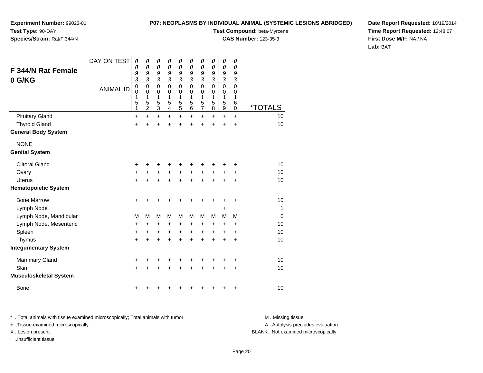### **P07: NEOPLASMS BY INDIVIDUAL ANIMAL (SYSTEMIC LESIONS ABRIDGED)Test Compound:** beta-Myrcene

**CAS Number:** 123-35-3

**Experiment Number:** 99023-01**Test Type:** 90-DAY

### **Species/Strain:** Rat/F 344/N

**Date Report Requested:** 10/19/2014**Time Report Requested:** 12:48:07**First Dose M/F:** NA / NA**Lab:** BAT

| <b>F 344/N Rat Female</b>     | DAY ON TEST      | 0<br>0<br>9                                       | $\boldsymbol{\theta}$<br>$\boldsymbol{\theta}$<br>9                     | 0<br>$\boldsymbol{\theta}$<br>9                                     | 0<br>$\boldsymbol{\theta}$<br>9                                                            | 0<br>$\boldsymbol{\theta}$<br>9                                   | 0<br>$\boldsymbol{\theta}$<br>9                                      | 0<br>$\boldsymbol{\theta}$<br>9                          | 0<br>$\boldsymbol{\theta}$<br>9                                | 0<br>$\boldsymbol{\theta}$<br>9                                             | 0<br>0<br>9                                                     |                       |
|-------------------------------|------------------|---------------------------------------------------|-------------------------------------------------------------------------|---------------------------------------------------------------------|--------------------------------------------------------------------------------------------|-------------------------------------------------------------------|----------------------------------------------------------------------|----------------------------------------------------------|----------------------------------------------------------------|-----------------------------------------------------------------------------|-----------------------------------------------------------------|-----------------------|
| 0 G/KG                        | <b>ANIMAL ID</b> | $\mathfrak{z}$<br>$\mathbf 0$<br>0<br>1<br>5<br>1 | $\overline{\mathbf{3}}$<br>$\mathbf 0$<br>0<br>1<br>5<br>$\overline{2}$ | $\mathfrak{z}$<br>$\mathbf 0$<br>0<br>$\mathbf{1}$<br>$\frac{5}{3}$ | $\mathfrak{z}$<br>$\mathbf 0$<br>$\boldsymbol{0}$<br>1<br>$\overline{5}$<br>$\overline{4}$ | $\overline{\mathbf{3}}$<br>$\mathbf 0$<br>0<br>1<br>$\frac{5}{5}$ | $\boldsymbol{\beta}$<br>$\mathbf 0$<br>0<br>1<br>5<br>$\overline{6}$ | $\mathfrak{z}$<br>$\mathbf 0$<br>0<br>1<br>$\frac{5}{7}$ | $\boldsymbol{\beta}$<br>$\mathbf 0$<br>0<br>1<br>$\frac{5}{8}$ | $\mathfrak{z}$<br>$\mathbf 0$<br>0<br>$\mathbf{1}$<br>5<br>$\boldsymbol{9}$ | $\boldsymbol{\beta}$<br>$\mathbf 0$<br>0<br>1<br>6<br>$\pmb{0}$ | <i><b>*TOTALS</b></i> |
| <b>Pituitary Gland</b>        |                  | $\ddot{}$                                         | $\ddot{}$                                                               | $\ddot{}$                                                           | $\ddot{}$                                                                                  | $\ddot{}$                                                         | $\ddot{}$                                                            | $\ddot{}$                                                | $\ddot{}$                                                      | $\ddot{}$                                                                   | $\ddot{}$                                                       | 10                    |
| <b>Thyroid Gland</b>          |                  | $\ddot{}$                                         | Ŧ.                                                                      | Ŧ.                                                                  | Ŧ.                                                                                         | ÷                                                                 | $\ddot{}$                                                            |                                                          | ÷                                                              | $\ddot{}$                                                                   | $\ddot{}$                                                       | 10                    |
| <b>General Body System</b>    |                  |                                                   |                                                                         |                                                                     |                                                                                            |                                                                   |                                                                      |                                                          |                                                                |                                                                             |                                                                 |                       |
| <b>NONE</b>                   |                  |                                                   |                                                                         |                                                                     |                                                                                            |                                                                   |                                                                      |                                                          |                                                                |                                                                             |                                                                 |                       |
| <b>Genital System</b>         |                  |                                                   |                                                                         |                                                                     |                                                                                            |                                                                   |                                                                      |                                                          |                                                                |                                                                             |                                                                 |                       |
| <b>Clitoral Gland</b>         |                  | +                                                 | +                                                                       | +                                                                   | +                                                                                          | +                                                                 | +                                                                    |                                                          |                                                                | +                                                                           | +                                                               | 10                    |
| Ovary                         |                  | +                                                 | +                                                                       | +                                                                   | +                                                                                          | +                                                                 | +                                                                    | +                                                        | +                                                              | +                                                                           | +                                                               | 10                    |
| <b>Uterus</b>                 |                  | $\ddot{}$                                         | +                                                                       | +                                                                   | +                                                                                          | +                                                                 | +                                                                    |                                                          | +                                                              | +                                                                           | +                                                               | 10                    |
| <b>Hematopoietic System</b>   |                  |                                                   |                                                                         |                                                                     |                                                                                            |                                                                   |                                                                      |                                                          |                                                                |                                                                             |                                                                 |                       |
| <b>Bone Marrow</b>            |                  | +                                                 | +                                                                       | +                                                                   |                                                                                            | +                                                                 | +                                                                    |                                                          |                                                                | +                                                                           | +                                                               | 10                    |
| Lymph Node                    |                  |                                                   |                                                                         |                                                                     |                                                                                            |                                                                   |                                                                      |                                                          |                                                                | +                                                                           |                                                                 | 1                     |
| Lymph Node, Mandibular        |                  | M                                                 | M                                                                       | M                                                                   | M                                                                                          | M                                                                 | M                                                                    | М                                                        | M                                                              | м                                                                           | M                                                               | $\Omega$              |
| Lymph Node, Mesenteric        |                  | $\ddot{}$                                         | +                                                                       | +                                                                   | $\ddot{}$                                                                                  | +                                                                 | +                                                                    | +                                                        | +                                                              | $\ddot{}$                                                                   | +                                                               | 10                    |
| Spleen                        |                  | $\ddot{}$                                         | $\ddot{}$                                                               | $\ddot{}$                                                           | $\ddot{}$                                                                                  | $\ddot{}$                                                         | $\ddot{}$                                                            | $\ddot{}$                                                | $\ddot{}$                                                      | $\ddot{}$                                                                   | $\ddot{}$                                                       | 10                    |
| Thymus                        |                  | $\ddot{}$                                         | $\ddot{}$                                                               | $\ddot{}$                                                           | $\ddot{}$                                                                                  | $\ddot{}$                                                         | $\ddot{}$                                                            | $\ddot{}$                                                | $\ddot{}$                                                      | $\ddot{}$                                                                   | $\ddot{}$                                                       | 10                    |
| <b>Integumentary System</b>   |                  |                                                   |                                                                         |                                                                     |                                                                                            |                                                                   |                                                                      |                                                          |                                                                |                                                                             |                                                                 |                       |
| <b>Mammary Gland</b>          |                  | +                                                 | +                                                                       | +                                                                   | +                                                                                          | +                                                                 | +                                                                    |                                                          | +                                                              | +                                                                           | +                                                               | 10                    |
| Skin                          |                  | $\ddot{}$                                         |                                                                         | +                                                                   | $\ddot{}$                                                                                  |                                                                   | +                                                                    |                                                          |                                                                |                                                                             | $\ddot{}$                                                       | 10                    |
| <b>Musculoskeletal System</b> |                  |                                                   |                                                                         |                                                                     |                                                                                            |                                                                   |                                                                      |                                                          |                                                                |                                                                             |                                                                 |                       |
| <b>Bone</b>                   |                  | +                                                 |                                                                         |                                                                     |                                                                                            |                                                                   |                                                                      |                                                          |                                                                | +                                                                           | +                                                               | 10                    |

\* ..Total animals with tissue examined microscopically; Total animals with tumor **M** . Missing tissue M ..Missing tissue + ..Tissue examined microscopically X ..Lesion present BLANK ..Not examined microscopically

I ..Insufficient tissue

A ..Autolysis precludes evaluation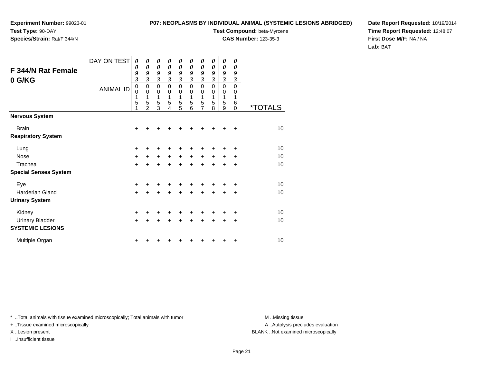**Species/Strain:** Rat/F 344/N

### **P07: NEOPLASMS BY INDIVIDUAL ANIMAL (SYSTEMIC LESIONS ABRIDGED)**

**Test Compound:** beta-Myrcene

**CAS Number:** 123-35-3

**Date Report Requested:** 10/19/2014**Time Report Requested:** 12:48:07**First Dose M/F:** NA / NA**Lab:** BAT

| F 344/N Rat Female<br>0 G/KG              | DAY ON TEST<br><b>ANIMAL ID</b> | $\boldsymbol{\theta}$<br>$\boldsymbol{\theta}$<br>9<br>3<br>$\pmb{0}$<br>$\mathbf 0$<br>1<br>5 | 0<br>$\boldsymbol{\theta}$<br>9<br>3<br>0<br>$\mathbf 0$<br>1<br>5<br>$\overline{2}$ | 0<br>$\boldsymbol{\theta}$<br>9<br>$\boldsymbol{\beta}$<br>$\pmb{0}$<br>$\mathbf 0$<br>1<br>5<br>3 | 0<br>$\boldsymbol{\theta}$<br>9<br>$\boldsymbol{\beta}$<br>$\pmb{0}$<br>$\mathbf 0$<br>1<br>5<br>4 | 0<br>$\boldsymbol{\theta}$<br>9<br>3<br>$\pmb{0}$<br>$\mathbf 0$<br>1<br>5<br>5 | 0<br>$\boldsymbol{\theta}$<br>9<br>$\boldsymbol{\beta}$<br>$\mathbf 0$<br>0<br>1<br>5<br>6 | 0<br>$\boldsymbol{\theta}$<br>9<br>3<br>0<br>$\pmb{0}$<br>1<br>5<br>$\overline{7}$ | 0<br>$\boldsymbol{\theta}$<br>9<br>$\mathfrak{z}$<br>$\pmb{0}$<br>0<br>1<br>5<br>8 | 0<br>$\boldsymbol{\theta}$<br>9<br>3<br>$\pmb{0}$<br>$\mathbf 0$<br>1<br>5<br>9 | 0<br>$\boldsymbol{\theta}$<br>9<br>$\boldsymbol{\beta}$<br>$\mathbf 0$<br>0<br>1<br>6<br>$\mathbf 0$ | <i><b>*TOTALS</b></i> |
|-------------------------------------------|---------------------------------|------------------------------------------------------------------------------------------------|--------------------------------------------------------------------------------------|----------------------------------------------------------------------------------------------------|----------------------------------------------------------------------------------------------------|---------------------------------------------------------------------------------|--------------------------------------------------------------------------------------------|------------------------------------------------------------------------------------|------------------------------------------------------------------------------------|---------------------------------------------------------------------------------|------------------------------------------------------------------------------------------------------|-----------------------|
| Nervous System                            |                                 |                                                                                                |                                                                                      |                                                                                                    |                                                                                                    |                                                                                 |                                                                                            |                                                                                    |                                                                                    |                                                                                 |                                                                                                      |                       |
| <b>Brain</b><br><b>Respiratory System</b> |                                 | $\ddot{}$                                                                                      |                                                                                      |                                                                                                    |                                                                                                    |                                                                                 | +                                                                                          | ٠                                                                                  | ٠                                                                                  | ٠                                                                               | $\ddot{}$                                                                                            | 10                    |
| Lung                                      |                                 | +                                                                                              |                                                                                      |                                                                                                    |                                                                                                    | +                                                                               | +                                                                                          | +                                                                                  | +                                                                                  | +                                                                               | +                                                                                                    | 10                    |
| Nose                                      |                                 | $\ddot{}$                                                                                      | $\ddot{}$                                                                            | $+$                                                                                                | $\ddot{}$                                                                                          | $+$                                                                             | $\ddot{}$                                                                                  | $+$                                                                                | $\ddot{}$                                                                          | $\ddot{}$                                                                       | $\ddot{}$                                                                                            | 10                    |
| Trachea                                   |                                 | $\ddot{}$                                                                                      |                                                                                      | +                                                                                                  | +                                                                                                  | $\pm$                                                                           | $\ddot{}$                                                                                  | $\ddot{}$                                                                          | $\ddot{}$                                                                          | $\ddot{}$                                                                       | $\ddot{}$                                                                                            | 10                    |
| <b>Special Senses System</b>              |                                 |                                                                                                |                                                                                      |                                                                                                    |                                                                                                    |                                                                                 |                                                                                            |                                                                                    |                                                                                    |                                                                                 |                                                                                                      |                       |
| Eye                                       |                                 | +                                                                                              |                                                                                      |                                                                                                    |                                                                                                    |                                                                                 |                                                                                            | +                                                                                  | +                                                                                  |                                                                                 | +                                                                                                    | 10                    |
| Harderian Gland                           |                                 | $\ddot{}$                                                                                      |                                                                                      |                                                                                                    | $\div$                                                                                             | +                                                                               | $\ddot{}$                                                                                  | +                                                                                  | +                                                                                  | +                                                                               | $\ddot{}$                                                                                            | 10                    |
| <b>Urinary System</b>                     |                                 |                                                                                                |                                                                                      |                                                                                                    |                                                                                                    |                                                                                 |                                                                                            |                                                                                    |                                                                                    |                                                                                 |                                                                                                      |                       |
| Kidney                                    |                                 | +                                                                                              |                                                                                      |                                                                                                    |                                                                                                    |                                                                                 | +                                                                                          | +                                                                                  | +                                                                                  |                                                                                 | +                                                                                                    | 10                    |
| <b>Urinary Bladder</b>                    |                                 | $\ddot{}$                                                                                      |                                                                                      | $\ddot{}$                                                                                          | $\ddot{}$                                                                                          | $\ddot{}$                                                                       | $\ddot{}$                                                                                  | $\ddot{}$                                                                          | $\ddot{}$                                                                          | +                                                                               | +                                                                                                    | 10                    |
| <b>SYSTEMIC LESIONS</b>                   |                                 |                                                                                                |                                                                                      |                                                                                                    |                                                                                                    |                                                                                 |                                                                                            |                                                                                    |                                                                                    |                                                                                 |                                                                                                      |                       |
| Multiple Organ                            |                                 | +                                                                                              |                                                                                      |                                                                                                    |                                                                                                    | ٠                                                                               | +                                                                                          | +                                                                                  | +                                                                                  | +                                                                               | +                                                                                                    | 10                    |

\* ..Total animals with tissue examined microscopically; Total animals with tumor **M** . Missing tissue M ..Missing tissue

+ ..Tissue examined microscopically

I ..Insufficient tissue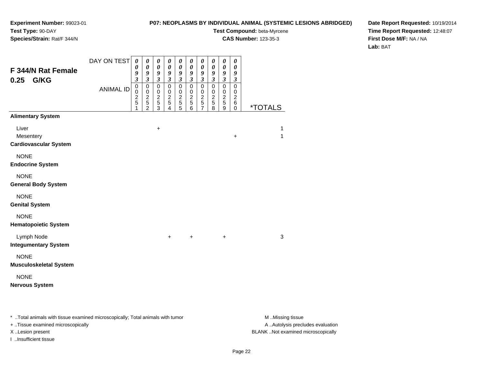### **P07: NEOPLASMS BY INDIVIDUAL ANIMAL (SYSTEMIC LESIONS ABRIDGED)**

**Test Compound:** beta-Myrcene

**CAS Number:** 123-35-3

**Date Report Requested:** 10/19/2014**Time Report Requested:** 12:48:07**First Dose M/F:** NA / NA**Lab:** BAT

| F 344/N Rat Female<br>G/KG<br>0.25                 | DAY ON TEST      | $\boldsymbol{\theta}$<br>0<br>9<br>$\mathfrak{z}$ | 0<br>0<br>9<br>$\mathfrak{z}$                             | 0<br>$\pmb{\theta}$<br>$\boldsymbol{g}$<br>$\mathfrak{z}$      | 0<br>$\boldsymbol{\theta}$<br>9<br>$\overline{\mathbf{3}}$ | $\boldsymbol{\theta}$<br>$\boldsymbol{\theta}$<br>9<br>$\mathfrak{z}$ | 0<br>0<br>9<br>$\overline{\mathbf{3}}$               | 0<br>0<br>9<br>$\overline{\mathbf{3}}$                        | $\boldsymbol{\theta}$<br>$\boldsymbol{\theta}$<br>9<br>$\mathfrak{z}$ | 0<br>$\pmb{\theta}$<br>9<br>$\overline{\mathbf{3}}$ | 0<br>0<br>9<br>$\mathfrak{z}$                        |                   |
|----------------------------------------------------|------------------|---------------------------------------------------|-----------------------------------------------------------|----------------------------------------------------------------|------------------------------------------------------------|-----------------------------------------------------------------------|------------------------------------------------------|---------------------------------------------------------------|-----------------------------------------------------------------------|-----------------------------------------------------|------------------------------------------------------|-------------------|
|                                                    | <b>ANIMAL ID</b> | $\overline{0}$<br>$\pmb{0}$<br>$rac{2}{5}$<br>1   | $\pmb{0}$<br>$\pmb{0}$<br>$\frac{2}{5}$<br>$\overline{2}$ | $\overline{0}$<br>$\pmb{0}$<br>$\frac{2}{5}$<br>$\overline{3}$ | $\overline{0}$<br>$\,0\,$<br>$\frac{2}{5}$<br>4            | $\mathsf 0$<br>0<br>$\frac{2}{5}$<br>$\overline{5}$                   | $\mathbf 0$<br>$\pmb{0}$<br>$\overline{c}$<br>5<br>6 | $\mathsf 0$<br>$\mathbf 0$<br>$\frac{2}{5}$<br>$\overline{7}$ | $\mathsf 0$<br>$\pmb{0}$<br>$\frac{2}{5}$<br>8                        | $\overline{0}$<br>$\pmb{0}$<br>$\frac{2}{5}$<br>9   | $\pmb{0}$<br>0<br>$\overline{c}$<br>6<br>$\mathbf 0$ | *TOTALS           |
| <b>Alimentary System</b>                           |                  |                                                   |                                                           |                                                                |                                                            |                                                                       |                                                      |                                                               |                                                                       |                                                     |                                                      |                   |
| Liver<br>Mesentery<br><b>Cardiovascular System</b> |                  |                                                   |                                                           | $\ddot{}$                                                      |                                                            |                                                                       |                                                      |                                                               |                                                                       |                                                     | $\ddot{}$                                            | $\mathbf{1}$<br>1 |
| <b>NONE</b><br><b>Endocrine System</b>             |                  |                                                   |                                                           |                                                                |                                                            |                                                                       |                                                      |                                                               |                                                                       |                                                     |                                                      |                   |
| <b>NONE</b><br><b>General Body System</b>          |                  |                                                   |                                                           |                                                                |                                                            |                                                                       |                                                      |                                                               |                                                                       |                                                     |                                                      |                   |
| <b>NONE</b><br><b>Genital System</b>               |                  |                                                   |                                                           |                                                                |                                                            |                                                                       |                                                      |                                                               |                                                                       |                                                     |                                                      |                   |
| <b>NONE</b><br><b>Hematopoietic System</b>         |                  |                                                   |                                                           |                                                                |                                                            |                                                                       |                                                      |                                                               |                                                                       |                                                     |                                                      |                   |
| Lymph Node<br><b>Integumentary System</b>          |                  |                                                   |                                                           |                                                                | $+$                                                        |                                                                       | $\ddot{}$                                            |                                                               |                                                                       | $\ddot{}$                                           |                                                      | $\mathbf{3}$      |
| <b>NONE</b><br><b>Musculoskeletal System</b>       |                  |                                                   |                                                           |                                                                |                                                            |                                                                       |                                                      |                                                               |                                                                       |                                                     |                                                      |                   |
| <b>NONE</b><br><b>Nervous System</b>               |                  |                                                   |                                                           |                                                                |                                                            |                                                                       |                                                      |                                                               |                                                                       |                                                     |                                                      |                   |

\* ..Total animals with tissue examined microscopically; Total animals with tumor **M** . Missing tissue M ..Missing tissue

+ ..Tissue examined microscopically

I ..Insufficient tissue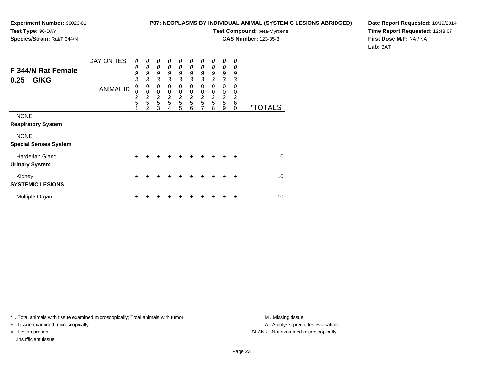### **P07: NEOPLASMS BY INDIVIDUAL ANIMAL (SYSTEMIC LESIONS ABRIDGED)**

**Test Compound:** beta-Myrcene**CAS Number:** 123-35-3

**Date Report Requested:** 10/19/2014**Time Report Requested:** 12:48:07**First Dose M/F:** NA / NA**Lab:** BAT

| F 344/N Rat Female<br>G/KG<br>0.25              | DAY ON TEST      | 0<br>0<br>9<br>$\mathfrak{z}$         | 0<br>$\boldsymbol{\theta}$<br>9<br>3                 | 0<br>$\boldsymbol{\theta}$<br>9<br>3         | 0<br>0<br>9<br>3                | 0<br>$\boldsymbol{\theta}$<br>9<br>3 | 0<br>0<br>9<br>3             | $\boldsymbol{\theta}$<br>$\boldsymbol{\theta}$<br>9<br>$\mathfrak{z}$ | $\boldsymbol{\theta}$<br>$\boldsymbol{\theta}$<br>9<br>3 | $\boldsymbol{\theta}$<br>$\boldsymbol{\theta}$<br>9<br>3 | $\boldsymbol{\theta}$<br>$\theta$<br>9<br>3      |                       |
|-------------------------------------------------|------------------|---------------------------------------|------------------------------------------------------|----------------------------------------------|---------------------------------|--------------------------------------|------------------------------|-----------------------------------------------------------------------|----------------------------------------------------------|----------------------------------------------------------|--------------------------------------------------|-----------------------|
|                                                 | <b>ANIMAL ID</b> | $\pmb{0}$<br>0<br>$\overline{c}$<br>5 | $\pmb{0}$<br>$\mathbf 0$<br>$\overline{c}$<br>5<br>2 | $\mathbf 0$<br>0<br>$\overline{c}$<br>5<br>3 | $\pmb{0}$<br>0<br>$\frac{2}{5}$ | $\mathbf 0$<br>0<br>$rac{2}{5}$<br>5 | 0<br>0<br>$\frac{2}{5}$<br>6 | $\pmb{0}$<br>$\pmb{0}$<br>$rac{2}{5}$<br>$\overline{7}$               | 0<br>0<br>$\frac{2}{5}$<br>8                             | $\pmb{0}$<br>$\mathbf 0$<br>$\frac{2}{5}$<br>9           | $\Omega$<br>0<br>$\overline{c}$<br>6<br>$\Omega$ | <i><b>*TOTALS</b></i> |
| <b>NONE</b><br><b>Respiratory System</b>        |                  |                                       |                                                      |                                              |                                 |                                      |                              |                                                                       |                                                          |                                                          |                                                  |                       |
| <b>NONE</b><br><b>Special Senses System</b>     |                  |                                       |                                                      |                                              |                                 |                                      |                              |                                                                       |                                                          |                                                          |                                                  |                       |
| <b>Harderian Gland</b><br><b>Urinary System</b> |                  | $+$                                   | ÷                                                    |                                              | $\div$                          | $\div$                               | $\div$                       | $\ddot{}$                                                             | +                                                        | +                                                        | $\ddot{}$                                        | 10 <sup>1</sup>       |
| Kidney<br><b>SYSTEMIC LESIONS</b>               |                  | $\ddot{}$                             | +                                                    |                                              |                                 |                                      |                              | +                                                                     | ٠                                                        | ٠                                                        | $\ddot{}$                                        | 10                    |
| Multiple Organ                                  |                  | ÷                                     |                                                      |                                              |                                 |                                      |                              | ٠                                                                     |                                                          | +                                                        | ÷                                                | 10                    |

\* ..Total animals with tissue examined microscopically; Total animals with tumor **M** . Missing tissue M ..Missing tissue

+ ..Tissue examined microscopically

I ..Insufficient tissue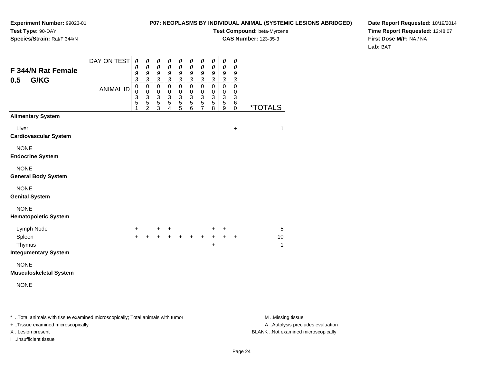### **P07: NEOPLASMS BY INDIVIDUAL ANIMAL (SYSTEMIC LESIONS ABRIDGED)**

**Test Compound:** beta-Myrcene

**CAS Number:** 123-35-3

**Date Report Requested:** 10/19/2014**Time Report Requested:** 12:48:07**First Dose M/F:** NA / NA**Lab:** BAT

|                                            | DAY ON TEST      | $\boldsymbol{\theta}$<br>0                       | $\pmb{\theta}$                                                | $\pmb{\theta}$<br>0                       | $\pmb{\theta}$<br>0                    | $\pmb{\theta}$<br>0                                                          | $\boldsymbol{\theta}$                          | $\pmb{\theta}$                                                     | $\boldsymbol{\theta}$                            | $\boldsymbol{\theta}$                                 | $\pmb{\theta}$<br>0                                                                |              |
|--------------------------------------------|------------------|--------------------------------------------------|---------------------------------------------------------------|-------------------------------------------|----------------------------------------|------------------------------------------------------------------------------|------------------------------------------------|--------------------------------------------------------------------|--------------------------------------------------|-------------------------------------------------------|------------------------------------------------------------------------------------|--------------|
| <b>F 344/N Rat Female</b><br>G/KG<br>0.5   |                  | 9<br>$\overline{\mathbf{3}}$                     | 0<br>9<br>$\overline{\mathbf{3}}$                             | 9<br>$\overline{\mathbf{3}}$              | 9<br>$\overline{\mathbf{3}}$           | 9<br>$\overline{\mathbf{3}}$                                                 | 0<br>9<br>$\mathfrak{z}$                       | $\boldsymbol{\theta}$<br>9<br>$\overline{\mathbf{3}}$              | 0<br>9<br>$\mathfrak{z}$                         | $\boldsymbol{\theta}$<br>9<br>$\overline{\mathbf{3}}$ | 9<br>$\mathfrak{z}$                                                                |              |
|                                            | <b>ANIMAL ID</b> | $\mathbf 0$<br>$\mathbf 0$<br>$\frac{3}{5}$<br>1 | $\mathbf 0$<br>$\mathbf 0$<br>$\frac{3}{5}$<br>$\overline{2}$ | $\mathsf 0$<br>0<br>$\,$ 3 $\,$<br>5<br>3 | $\mathsf 0$<br>0<br>$\frac{3}{5}$<br>4 | $\pmb{0}$<br>$\mathbf 0$<br>$\ensuremath{\mathsf{3}}$<br>$\overline{5}$<br>5 | $\mathbf 0$<br>$\pmb{0}$<br>$\frac{3}{5}$<br>6 | $\overline{0}$<br>$\mathbf 0$<br>$\sqrt{3}$<br>5<br>$\overline{7}$ | $\mathsf 0$<br>$\mathbf 0$<br>$\frac{3}{5}$<br>8 | $\overline{0}$<br>$\pmb{0}$<br>$\frac{3}{5}$<br>9     | $\overline{0}$<br>$\pmb{0}$<br>$\ensuremath{\mathsf{3}}$<br>$\,6\,$<br>$\mathbf 0$ | *TOTALS      |
| <b>Alimentary System</b>                   |                  |                                                  |                                                               |                                           |                                        |                                                                              |                                                |                                                                    |                                                  |                                                       |                                                                                    |              |
| Liver<br><b>Cardiovascular System</b>      |                  |                                                  |                                                               |                                           |                                        |                                                                              |                                                |                                                                    |                                                  |                                                       | $\ddot{}$                                                                          | $\mathbf{1}$ |
| <b>NONE</b><br><b>Endocrine System</b>     |                  |                                                  |                                                               |                                           |                                        |                                                                              |                                                |                                                                    |                                                  |                                                       |                                                                                    |              |
| <b>NONE</b><br><b>General Body System</b>  |                  |                                                  |                                                               |                                           |                                        |                                                                              |                                                |                                                                    |                                                  |                                                       |                                                                                    |              |
| <b>NONE</b><br><b>Genital System</b>       |                  |                                                  |                                                               |                                           |                                        |                                                                              |                                                |                                                                    |                                                  |                                                       |                                                                                    |              |
| <b>NONE</b><br><b>Hematopoietic System</b> |                  |                                                  |                                                               |                                           |                                        |                                                                              |                                                |                                                                    |                                                  |                                                       |                                                                                    |              |
| Lymph Node                                 |                  | $+$                                              |                                                               |                                           | $+$ $+$                                |                                                                              |                                                |                                                                    | +                                                | $+$                                                   |                                                                                    | 5            |
| Spleen                                     |                  | $\ddot{}$                                        | $\ddot{}$                                                     | $+$                                       | $+$                                    |                                                                              | $+$ +                                          | $+$                                                                | $\ddot{}$                                        | $\ddot{+}$                                            | $\ddot{}$                                                                          | 10           |
| Thymus<br><b>Integumentary System</b>      |                  |                                                  |                                                               |                                           |                                        |                                                                              |                                                |                                                                    | +                                                |                                                       |                                                                                    | $\mathbf{1}$ |
| <b>NONE</b>                                |                  |                                                  |                                                               |                                           |                                        |                                                                              |                                                |                                                                    |                                                  |                                                       |                                                                                    |              |
| <b>Musculoskeletal System</b>              |                  |                                                  |                                                               |                                           |                                        |                                                                              |                                                |                                                                    |                                                  |                                                       |                                                                                    |              |
| <b>NONE</b>                                |                  |                                                  |                                                               |                                           |                                        |                                                                              |                                                |                                                                    |                                                  |                                                       |                                                                                    |              |
|                                            |                  |                                                  |                                                               |                                           |                                        |                                                                              |                                                |                                                                    |                                                  |                                                       |                                                                                    |              |
|                                            |                  |                                                  |                                                               |                                           |                                        |                                                                              |                                                |                                                                    |                                                  |                                                       |                                                                                    |              |

\* ..Total animals with tissue examined microscopically; Total animals with tumor **M** . Missing tissue M ..Missing tissue

+ ..Tissue examined microscopically

I ..Insufficient tissue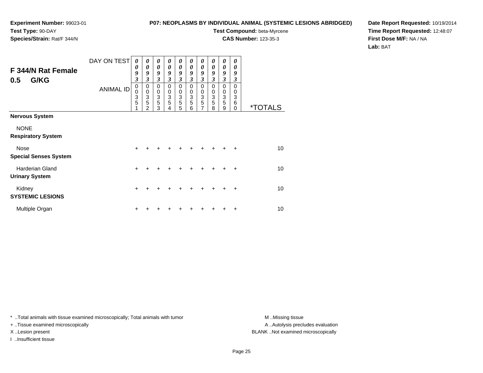### **P07: NEOPLASMS BY INDIVIDUAL ANIMAL (SYSTEMIC LESIONS ABRIDGED)**

**Test Compound:** beta-Myrcene

**CAS Number:** 123-35-3

**Date Report Requested:** 10/19/2014**Time Report Requested:** 12:48:07**First Dose M/F:** NA / NA**Lab:** BAT

| <b>F 344/N Rat Female</b><br>G/KG<br>0.5        | DAY ON TEST      | $\boldsymbol{\theta}$<br>0<br>9<br>3 | 0<br>0<br>9<br>3                                       | $\boldsymbol{\theta}$<br>$\boldsymbol{\theta}$<br>9<br>$\overline{\mathbf{3}}$ | 0<br>$\boldsymbol{\theta}$<br>9<br>3 | 0<br>0<br>9<br>$\mathfrak{z}$                                    | 0<br>0<br>9<br>3             | 0<br>0<br>9<br>$\mathfrak{z}$             | 0<br>0<br>9<br>3             | $\boldsymbol{\theta}$<br>0<br>9<br>3                              | 0<br>0<br>9<br>3             |                       |
|-------------------------------------------------|------------------|--------------------------------------|--------------------------------------------------------|--------------------------------------------------------------------------------|--------------------------------------|------------------------------------------------------------------|------------------------------|-------------------------------------------|------------------------------|-------------------------------------------------------------------|------------------------------|-----------------------|
|                                                 | <b>ANIMAL ID</b> | 0<br>0<br>3<br>5                     | $\mathbf 0$<br>$\mathbf 0$<br>3<br>5<br>$\overline{2}$ | $\Omega$<br>0<br>3<br>5<br>3                                                   | $\Omega$<br>0<br>3<br>5<br>4         | $\Omega$<br>$\begin{smallmatrix}0\3 \end{smallmatrix}$<br>5<br>5 | $\Omega$<br>0<br>3<br>5<br>6 | $\Omega$<br>0<br>$\overline{3}$<br>5<br>7 | $\Omega$<br>0<br>3<br>5<br>8 | $\Omega$<br>0<br>$\ensuremath{\mathsf{3}}$<br>$\overline{5}$<br>9 | $\Omega$<br>0<br>3<br>6<br>0 | <i><b>*TOTALS</b></i> |
| <b>Nervous System</b>                           |                  |                                      |                                                        |                                                                                |                                      |                                                                  |                              |                                           |                              |                                                                   |                              |                       |
| <b>NONE</b><br><b>Respiratory System</b>        |                  |                                      |                                                        |                                                                                |                                      |                                                                  |                              |                                           |                              |                                                                   |                              |                       |
| Nose<br><b>Special Senses System</b>            |                  | $\ddot{}$                            |                                                        |                                                                                |                                      |                                                                  |                              |                                           |                              |                                                                   | $\div$                       | 10 <sup>1</sup>       |
| <b>Harderian Gland</b><br><b>Urinary System</b> |                  | $\ddot{}$                            | +                                                      | +                                                                              |                                      | +                                                                | +                            | +                                         | +                            | +                                                                 | ÷                            | 10 <sup>1</sup>       |
| Kidney<br><b>SYSTEMIC LESIONS</b>               |                  | +                                    |                                                        |                                                                                |                                      |                                                                  |                              |                                           |                              |                                                                   | $\ddot{}$                    | 10                    |
| Multiple Organ                                  |                  | +                                    |                                                        |                                                                                |                                      |                                                                  |                              |                                           |                              |                                                                   | ٠                            | 10                    |

\* ..Total animals with tissue examined microscopically; Total animals with tumor **M** . Missing tissue M ..Missing tissue

+ ..Tissue examined microscopically

I ..Insufficient tissue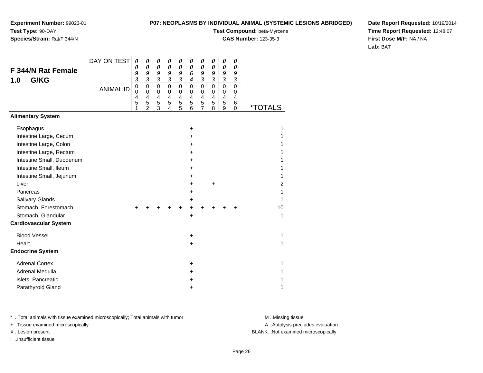**Species/Strain:** Rat/F 344/N

### **P07: NEOPLASMS BY INDIVIDUAL ANIMAL (SYSTEMIC LESIONS ABRIDGED)**

**Test Compound:** beta-Myrcene

**CAS Number:** 123-35-3

**Date Report Requested:** 10/19/2014**Time Report Requested:** 12:48:07**First Dose M/F:** NA / NA**Lab:** BAT

| F 344/N Rat Female<br>G/KG<br>1.0 | DAY ON TEST      | $\boldsymbol{\theta}$<br>0<br>9<br>$\mathfrak{z}$ | 0<br>$\boldsymbol{\theta}$<br>9<br>$\mathfrak{z}$         | 0<br>0<br>9<br>$\mathfrak{z}$                                   | 0<br>0<br>9<br>$\mathfrak{z}$   | 0<br>$\boldsymbol{\theta}$<br>9<br>$\mathfrak{z}$ | 0<br>$\boldsymbol{\theta}$<br>6<br>$\boldsymbol{4}$ | $\boldsymbol{\theta}$<br>$\boldsymbol{\theta}$<br>9<br>$\boldsymbol{\mathfrak{z}}$ | 0<br>0<br>9<br>$\mathfrak{z}$   | $\pmb{\theta}$<br>0<br>9<br>$\boldsymbol{\mathfrak{z}}$       | 0<br>0<br>9<br>$\boldsymbol{\mathfrak{z}}$ |                       |
|-----------------------------------|------------------|---------------------------------------------------|-----------------------------------------------------------|-----------------------------------------------------------------|---------------------------------|---------------------------------------------------|-----------------------------------------------------|------------------------------------------------------------------------------------|---------------------------------|---------------------------------------------------------------|--------------------------------------------|-----------------------|
|                                   | <b>ANIMAL ID</b> | $\mathbf 0$<br>$\pmb{0}$<br>4<br>5                | 0<br>$\mathbf 0$<br>$\overline{4}$<br>5<br>$\overline{2}$ | $\mathbf 0$<br>0<br>$\overline{\mathbf{4}}$<br>$\mathbf 5$<br>3 | $\mathbf 0$<br>0<br>4<br>5<br>4 | $\mathbf 0$<br>0<br>4<br>$\sqrt{5}$<br>5          | $\mathbf 0$<br>$\Omega$<br>$\overline{4}$<br>5<br>6 | $\mathbf 0$<br>0<br>$\overline{\mathbf{4}}$<br>5<br>$\overline{7}$                 | $\mathbf 0$<br>0<br>4<br>5<br>8 | $\pmb{0}$<br>0<br>$\overline{\mathbf{4}}$<br>$\mathbf 5$<br>9 | $\mathbf 0$<br>0<br>4<br>6<br>$\Omega$     | <i><b>*TOTALS</b></i> |
| <b>Alimentary System</b>          |                  |                                                   |                                                           |                                                                 |                                 |                                                   |                                                     |                                                                                    |                                 |                                                               |                                            |                       |
| Esophagus                         |                  |                                                   |                                                           |                                                                 |                                 |                                                   | $\ddot{}$                                           |                                                                                    |                                 |                                                               |                                            | 1                     |
| Intestine Large, Cecum            |                  |                                                   |                                                           |                                                                 |                                 |                                                   | +                                                   |                                                                                    |                                 |                                                               |                                            | 1                     |
| Intestine Large, Colon            |                  |                                                   |                                                           |                                                                 |                                 |                                                   | $\ddot{}$                                           |                                                                                    |                                 |                                                               |                                            | 1                     |
| Intestine Large, Rectum           |                  |                                                   |                                                           |                                                                 |                                 |                                                   | $\ddot{}$                                           |                                                                                    |                                 |                                                               |                                            | 1                     |
| Intestine Small, Duodenum         |                  |                                                   |                                                           |                                                                 |                                 |                                                   | +                                                   |                                                                                    |                                 |                                                               |                                            | 1                     |
| Intestine Small, Ileum            |                  |                                                   |                                                           |                                                                 |                                 |                                                   | +                                                   |                                                                                    |                                 |                                                               |                                            | 1                     |
| Intestine Small, Jejunum          |                  |                                                   |                                                           |                                                                 |                                 |                                                   | +                                                   |                                                                                    |                                 |                                                               |                                            | 1                     |
| Liver                             |                  |                                                   |                                                           |                                                                 |                                 |                                                   | +                                                   |                                                                                    | $\ddot{}$                       |                                                               |                                            | $\overline{c}$        |
| Pancreas                          |                  |                                                   |                                                           |                                                                 |                                 |                                                   | +                                                   |                                                                                    |                                 |                                                               |                                            | 1                     |
| Salivary Glands                   |                  |                                                   |                                                           |                                                                 |                                 |                                                   | +                                                   |                                                                                    |                                 |                                                               |                                            | 1                     |
| Stomach, Forestomach              |                  |                                                   |                                                           |                                                                 |                                 |                                                   | +                                                   |                                                                                    |                                 |                                                               |                                            | 10                    |
| Stomach, Glandular                |                  |                                                   |                                                           |                                                                 |                                 |                                                   | $\ddot{}$                                           |                                                                                    |                                 |                                                               |                                            | 1                     |
| <b>Cardiovascular System</b>      |                  |                                                   |                                                           |                                                                 |                                 |                                                   |                                                     |                                                                                    |                                 |                                                               |                                            |                       |
| <b>Blood Vessel</b>               |                  |                                                   |                                                           |                                                                 |                                 |                                                   | $\ddot{}$                                           |                                                                                    |                                 |                                                               |                                            | 1                     |
| Heart                             |                  |                                                   |                                                           |                                                                 |                                 |                                                   | +                                                   |                                                                                    |                                 |                                                               |                                            | 1                     |
| <b>Endocrine System</b>           |                  |                                                   |                                                           |                                                                 |                                 |                                                   |                                                     |                                                                                    |                                 |                                                               |                                            |                       |
| <b>Adrenal Cortex</b>             |                  |                                                   |                                                           |                                                                 |                                 |                                                   | $\ddot{}$                                           |                                                                                    |                                 |                                                               |                                            | 1                     |
| Adrenal Medulla                   |                  |                                                   |                                                           |                                                                 |                                 |                                                   | $\ddot{}$                                           |                                                                                    |                                 |                                                               |                                            | 1                     |
| Islets, Pancreatic                |                  |                                                   |                                                           |                                                                 |                                 |                                                   | +                                                   |                                                                                    |                                 |                                                               |                                            | 1                     |
| Parathyroid Gland                 |                  |                                                   |                                                           |                                                                 |                                 |                                                   | +                                                   |                                                                                    |                                 |                                                               |                                            | 1                     |

\* ..Total animals with tissue examined microscopically; Total animals with tumor **M** . Missing tissue M ..Missing tissue

+ ..Tissue examined microscopically

I ..Insufficient tissue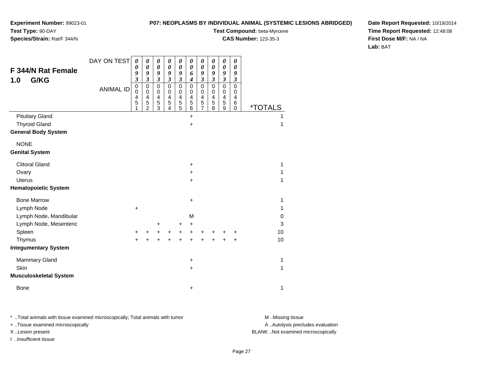### **P07: NEOPLASMS BY INDIVIDUAL ANIMAL (SYSTEMIC LESIONS ABRIDGED)**

**Experiment Number:** 99023-01**Test Type:** 90-DAY

### **Species/Strain:** Rat/F 344/N

**Test Compound:** beta-Myrcene

**CAS Number:** 123-35-3

**Date Report Requested:** 10/19/2014**Time Report Requested:** 12:48:08**First Dose M/F:** NA / NA**Lab:** BAT

| <b>F 344/N Rat Female</b><br>G/KG<br>1.0 | DAY ON TEST<br><b>ANIMAL ID</b> | $\boldsymbol{\theta}$<br>0<br>9<br>$\boldsymbol{\mathfrak{z}}$<br>$\mathbf 0$ | 0<br>0<br>9<br>$\mathfrak{z}$<br>$\mathbf 0$      | $\boldsymbol{\theta}$<br>$\boldsymbol{\theta}$<br>9<br>$\boldsymbol{\beta}$<br>$\mathbf 0$ | 0<br>0<br>9<br>$\overline{\mathbf{3}}$<br>$\mathbf 0$ | 0<br>0<br>9<br>$\mathfrak{z}$<br>$\mathbf 0$        | 0<br>$\boldsymbol{\theta}$<br>6<br>4<br>$\mathbf 0$ | 0<br>0<br>9<br>$\overline{\mathbf{3}}$<br>$\mathbf 0$ | 0<br>0<br>9<br>$\mathfrak{z}$<br>$\mathbf 0$ | 0<br>0<br>9<br>$\boldsymbol{\beta}$<br>$\mathbf 0$ | 0<br>0<br>9<br>$\boldsymbol{\beta}$<br>0 |                       |    |
|------------------------------------------|---------------------------------|-------------------------------------------------------------------------------|---------------------------------------------------|--------------------------------------------------------------------------------------------|-------------------------------------------------------|-----------------------------------------------------|-----------------------------------------------------|-------------------------------------------------------|----------------------------------------------|----------------------------------------------------|------------------------------------------|-----------------------|----|
|                                          |                                 | $\mathbf 0$<br>4<br>5<br>1                                                    | $\mathbf 0$<br>4<br>$\mathbf 5$<br>$\overline{2}$ | 0<br>$\overline{\mathbf{4}}$<br>$\frac{5}{3}$                                              | 0<br>$\overline{\mathbf{4}}$<br>5<br>4                | 0<br>$\overline{\mathbf{4}}$<br>5<br>$\overline{5}$ | 0<br>4<br>5<br>6                                    | 0<br>$\overline{\mathbf{4}}$<br>5<br>7                | 0<br>$\overline{\mathbf{4}}$<br>5<br>8       | 0<br>$\overline{4}$<br>$\sqrt{5}$<br>9             | 0<br>$\overline{4}$<br>6<br>$\mathbf 0$  | <i><b>*TOTALS</b></i> |    |
| <b>Pituitary Gland</b>                   |                                 |                                                                               |                                                   |                                                                                            |                                                       |                                                     | $+$                                                 |                                                       |                                              |                                                    |                                          |                       | 1  |
| <b>Thyroid Gland</b>                     |                                 |                                                                               |                                                   |                                                                                            |                                                       |                                                     | $\ddot{}$                                           |                                                       |                                              |                                                    |                                          |                       | 1  |
| <b>General Body System</b>               |                                 |                                                                               |                                                   |                                                                                            |                                                       |                                                     |                                                     |                                                       |                                              |                                                    |                                          |                       |    |
| <b>NONE</b>                              |                                 |                                                                               |                                                   |                                                                                            |                                                       |                                                     |                                                     |                                                       |                                              |                                                    |                                          |                       |    |
| <b>Genital System</b>                    |                                 |                                                                               |                                                   |                                                                                            |                                                       |                                                     |                                                     |                                                       |                                              |                                                    |                                          |                       |    |
| <b>Clitoral Gland</b>                    |                                 |                                                                               |                                                   |                                                                                            |                                                       |                                                     | +                                                   |                                                       |                                              |                                                    |                                          |                       | 1  |
| Ovary                                    |                                 |                                                                               |                                                   |                                                                                            |                                                       |                                                     | +                                                   |                                                       |                                              |                                                    |                                          |                       | 1  |
| <b>Uterus</b>                            |                                 |                                                                               |                                                   |                                                                                            |                                                       |                                                     | +                                                   |                                                       |                                              |                                                    |                                          |                       | 1  |
| <b>Hematopoietic System</b>              |                                 |                                                                               |                                                   |                                                                                            |                                                       |                                                     |                                                     |                                                       |                                              |                                                    |                                          |                       |    |
| <b>Bone Marrow</b>                       |                                 |                                                                               |                                                   |                                                                                            |                                                       |                                                     | $\ddot{}$                                           |                                                       |                                              |                                                    |                                          |                       | 1  |
| Lymph Node                               |                                 | +                                                                             |                                                   |                                                                                            |                                                       |                                                     |                                                     |                                                       |                                              |                                                    |                                          |                       | 1  |
| Lymph Node, Mandibular                   |                                 |                                                                               |                                                   |                                                                                            |                                                       |                                                     | М                                                   |                                                       |                                              |                                                    |                                          |                       | 0  |
| Lymph Node, Mesenteric                   |                                 |                                                                               |                                                   | +                                                                                          |                                                       | $\ddot{}$                                           | +                                                   |                                                       |                                              |                                                    |                                          |                       | 3  |
| Spleen                                   |                                 | +                                                                             | +                                                 | +                                                                                          | $\ddot{}$                                             | +                                                   | +                                                   | +                                                     | +                                            | +                                                  | +                                        |                       | 10 |
| Thymus                                   |                                 | $\ddot{}$                                                                     | +                                                 | +                                                                                          | +                                                     | $\pm$                                               | +                                                   | +                                                     | +                                            | +                                                  | +                                        |                       | 10 |
| <b>Integumentary System</b>              |                                 |                                                                               |                                                   |                                                                                            |                                                       |                                                     |                                                     |                                                       |                                              |                                                    |                                          |                       |    |
| <b>Mammary Gland</b>                     |                                 |                                                                               |                                                   |                                                                                            |                                                       |                                                     | +                                                   |                                                       |                                              |                                                    |                                          |                       | 1  |
| Skin                                     |                                 |                                                                               |                                                   |                                                                                            |                                                       |                                                     | +                                                   |                                                       |                                              |                                                    |                                          |                       | 1  |
| <b>Musculoskeletal System</b>            |                                 |                                                                               |                                                   |                                                                                            |                                                       |                                                     |                                                     |                                                       |                                              |                                                    |                                          |                       |    |
| <b>Bone</b>                              |                                 |                                                                               |                                                   |                                                                                            |                                                       |                                                     | +                                                   |                                                       |                                              |                                                    |                                          |                       | 1  |

\* ..Total animals with tissue examined microscopically; Total animals with tumor **M** . Missing tissue M ..Missing tissue

+ ..Tissue examined microscopically

I ..Insufficient tissue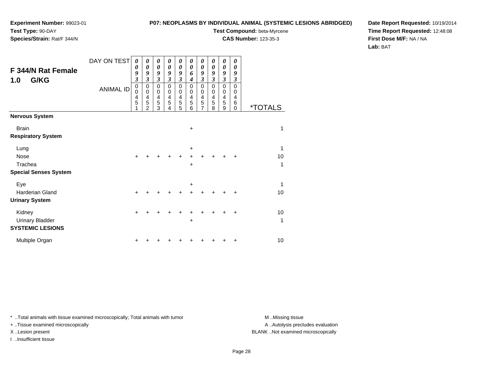**Species/Strain:** Rat/F 344/N

### **P07: NEOPLASMS BY INDIVIDUAL ANIMAL (SYSTEMIC LESIONS ABRIDGED)**

**Test Compound:** beta-Myrcene

**CAS Number:** 123-35-3

**Date Report Requested:** 10/19/2014**Time Report Requested:** 12:48:08**First Dose M/F:** NA / NA**Lab:** BAT

| F 344/N Rat Female<br>G/KG<br>1.0                    | DAY ON TEST<br><b>ANIMAL ID</b> | $\boldsymbol{\theta}$<br>0<br>9<br>$\mathfrak{z}$<br>$\mathbf 0$<br>$\mathbf 0$<br>4<br>5 | 0<br>0<br>9<br>3<br>$\mathbf 0$<br>0<br>4<br>5<br>$\overline{2}$ | 0<br>$\boldsymbol{\theta}$<br>9<br>$\boldsymbol{\beta}$<br>$\mathbf 0$<br>$\pmb{0}$<br>$\overline{4}$<br>5<br>3 | 0<br>0<br>9<br>$\boldsymbol{\beta}$<br>$\mathbf 0$<br>0<br>$\overline{4}$<br>5<br>4 | 0<br>$\boldsymbol{\theta}$<br>9<br>$\boldsymbol{\mathfrak{z}}$<br>$\mathbf 0$<br>$\pmb{0}$<br>$\overline{4}$<br>$\mathbf 5$<br>5 | 0<br>0<br>6<br>4<br>0<br>0<br>$\overline{4}$<br>5<br>6 | 0<br>$\pmb{\theta}$<br>9<br>$\boldsymbol{\mathfrak{z}}$<br>$\pmb{0}$<br>$\pmb{0}$<br>4<br>5<br>$\overline{7}$ | 0<br>0<br>9<br>3<br>$\mathbf 0$<br>0<br>4<br>5<br>8 | 0<br>0<br>9<br>$\overline{\mathbf{3}}$<br>$\mathbf 0$<br>0<br>4<br>5<br>9 | 0<br>0<br>9<br>3<br>$\mathbf 0$<br>0<br>4<br>6<br>0 | <i><b>*TOTALS</b></i> |
|------------------------------------------------------|---------------------------------|-------------------------------------------------------------------------------------------|------------------------------------------------------------------|-----------------------------------------------------------------------------------------------------------------|-------------------------------------------------------------------------------------|----------------------------------------------------------------------------------------------------------------------------------|--------------------------------------------------------|---------------------------------------------------------------------------------------------------------------|-----------------------------------------------------|---------------------------------------------------------------------------|-----------------------------------------------------|-----------------------|
| <b>Nervous System</b>                                |                                 |                                                                                           |                                                                  |                                                                                                                 |                                                                                     |                                                                                                                                  |                                                        |                                                                                                               |                                                     |                                                                           |                                                     |                       |
| <b>Brain</b><br><b>Respiratory System</b>            |                                 |                                                                                           |                                                                  |                                                                                                                 |                                                                                     |                                                                                                                                  | $\ddot{}$                                              |                                                                                                               |                                                     |                                                                           |                                                     | 1                     |
| Lung<br><b>Nose</b><br>Trachea                       |                                 | $\ddot{}$                                                                                 |                                                                  |                                                                                                                 |                                                                                     |                                                                                                                                  | $\ddot{}$<br>+<br>$\pm$                                |                                                                                                               |                                                     |                                                                           |                                                     | 1<br>10<br>1          |
| <b>Special Senses System</b>                         |                                 |                                                                                           |                                                                  |                                                                                                                 |                                                                                     |                                                                                                                                  |                                                        |                                                                                                               |                                                     |                                                                           |                                                     |                       |
| Eye<br>Harderian Gland<br><b>Urinary System</b>      |                                 | +                                                                                         |                                                                  |                                                                                                                 |                                                                                     |                                                                                                                                  | $\ddot{}$                                              |                                                                                                               |                                                     |                                                                           | +                                                   | $\mathbf 1$<br>10     |
| Kidney<br>Urinary Bladder<br><b>SYSTEMIC LESIONS</b> |                                 | $\ddot{}$                                                                                 |                                                                  |                                                                                                                 |                                                                                     |                                                                                                                                  | +                                                      |                                                                                                               |                                                     |                                                                           | ٠                                                   | 10<br>1               |
| Multiple Organ                                       |                                 | +                                                                                         |                                                                  |                                                                                                                 |                                                                                     |                                                                                                                                  |                                                        |                                                                                                               |                                                     |                                                                           | +                                                   | 10                    |

\* ..Total animals with tissue examined microscopically; Total animals with tumor **M** . Missing tissue M ..Missing tissue

+ ..Tissue examined microscopically

I ..Insufficient tissue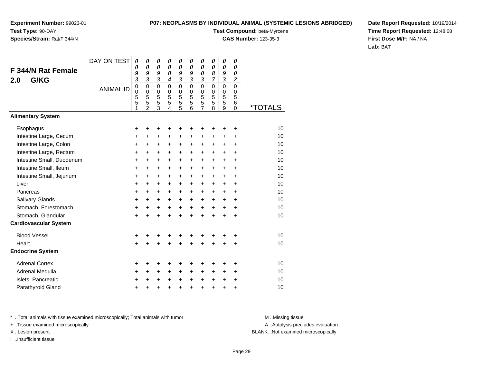# **Species/Strain:** Rat/F 344/N

### **P07: NEOPLASMS BY INDIVIDUAL ANIMAL (SYSTEMIC LESIONS ABRIDGED)**

**Test Compound:** beta-Myrcene

**CAS Number:** 123-35-3

**Date Report Requested:** 10/19/2014**Time Report Requested:** 12:48:08**First Dose M/F:** NA / NA**Lab:** BAT

|                              | DAY ON TEST      | 0                       | 0                                    | 0                          | 0                          | 0                       | 0                                 | 0                          | 0                                 | 0                          | 0                                 |                       |
|------------------------------|------------------|-------------------------|--------------------------------------|----------------------------|----------------------------|-------------------------|-----------------------------------|----------------------------|-----------------------------------|----------------------------|-----------------------------------|-----------------------|
| <b>F 344/N Rat Female</b>    |                  | 0<br>9                  | 0<br>9                               | 0<br>9                     | $\boldsymbol{\theta}$<br>0 | 0<br>9                  | $\boldsymbol{\theta}$<br>9        | 0<br>0                     | 0<br>8                            | 0<br>9                     | 0<br>0                            |                       |
| G/KG<br>2.0                  |                  | $\overline{\mathbf{3}}$ | $\mathfrak{z}$                       | 3                          | 4                          | $\overline{\mathbf{3}}$ | $\overline{\mathbf{3}}$           | 3                          | 7                                 | $\overline{\mathbf{3}}$    | $\boldsymbol{2}$                  |                       |
|                              | <b>ANIMAL ID</b> | 0<br>0<br>5<br>5        | $\mathbf 0$<br>$\mathbf 0$<br>5<br>5 | $\mathbf 0$<br>0<br>5<br>5 | $\mathbf 0$<br>0<br>5<br>5 | 0<br>0<br>5<br>5        | $\mathbf 0$<br>$\Omega$<br>5<br>5 | $\mathbf 0$<br>0<br>5<br>5 | $\mathbf 0$<br>$\Omega$<br>5<br>5 | $\mathbf 0$<br>0<br>5<br>5 | $\mathbf 0$<br>$\Omega$<br>5<br>6 |                       |
|                              |                  | 1                       | $\overline{2}$                       | $\overline{3}$             | 4                          | 5                       | 6                                 | 7                          | 8                                 | 9                          | $\Omega$                          | <i><b>*TOTALS</b></i> |
| <b>Alimentary System</b>     |                  |                         |                                      |                            |                            |                         |                                   |                            |                                   |                            |                                   |                       |
| Esophagus                    |                  | +                       | +                                    | +                          | +                          | +                       | +                                 | +                          |                                   | +                          | +                                 | 10                    |
| Intestine Large, Cecum       |                  | +                       | +                                    | +                          | +                          | +                       | +                                 | +                          | +                                 | +                          | +                                 | 10                    |
| Intestine Large, Colon       |                  | $\ddot{}$               | +                                    | +                          | +                          | +                       | $\ddot{}$                         | +                          | $\ddot{}$                         | $\ddot{}$                  | $\ddot{}$                         | 10                    |
| Intestine Large, Rectum      |                  | +                       | +                                    | +                          | $\ddot{}$                  | +                       | +                                 | +                          | $\ddot{}$                         | $\pm$                      | +                                 | 10                    |
| Intestine Small, Duodenum    |                  | $\ddot{}$               | $\ddot{}$                            | +                          | $\ddot{}$                  | +                       | $\ddot{}$                         | $\ddot{}$                  | $\ddot{}$                         | $\ddot{}$                  | $\ddot{}$                         | 10                    |
| Intestine Small, Ileum       |                  | $\ddot{}$               | +                                    | +                          | $\ddot{}$                  | +                       | $\ddot{}$                         | +                          | $\ddot{}$                         | $\ddot{}$                  | $\ddot{}$                         | 10                    |
| Intestine Small, Jejunum     |                  | $\ddot{}$               | +                                    | +                          | $\ddot{}$                  | $\ddot{}$               | $\ddot{}$                         | $\ddot{}$                  | $\ddot{}$                         | $\ddot{}$                  | $\ddot{}$                         | 10                    |
| Liver                        |                  | $\ddot{}$               | +                                    | +                          | $\ddot{}$                  | $\ddot{}$               | +                                 | $\ddot{}$                  | $\ddot{}$                         | +                          | +                                 | 10                    |
| Pancreas                     |                  | +                       | +                                    | $\ddot{}$                  | $\pm$                      | $\pm$                   | $\pm$                             | $\ddot{}$                  | $\ddot{}$                         | $\pm$                      | +                                 | 10                    |
| <b>Salivary Glands</b>       |                  | $\ddot{}$               | +                                    | $\ddot{}$                  | +                          | +                       | +                                 | $\ddot{}$                  | $\ddot{}$                         | +                          | +                                 | 10                    |
| Stomach, Forestomach         |                  | $\ddot{}$               | $\ddot{}$                            | $\ddot{}$                  | $\ddot{}$                  | $\ddot{}$               | $\ddot{}$                         | $\ddot{}$                  | $\ddot{}$                         | $+$                        | $\ddot{}$                         | 10                    |
| Stomach, Glandular           |                  | +                       | $\ddot{}$                            | $\ddot{}$                  | $\ddot{}$                  | $\ddot{}$               | $\ddot{}$                         | $\ddot{}$                  | $\ddot{}$                         | $\ddot{}$                  | $\ddot{}$                         | 10                    |
| <b>Cardiovascular System</b> |                  |                         |                                      |                            |                            |                         |                                   |                            |                                   |                            |                                   |                       |
| <b>Blood Vessel</b>          |                  | +                       | +                                    | +                          |                            | +                       | +                                 | +                          |                                   | +                          | +                                 | 10                    |
| Heart                        |                  | $\ddot{}$               | $\ddot{}$                            | $\ddot{}$                  | $\ddot{}$                  | $\ddot{}$               | $\ddot{}$                         | $\ddot{}$                  | $\ddot{}$                         | +                          | +                                 | 10                    |
| <b>Endocrine System</b>      |                  |                         |                                      |                            |                            |                         |                                   |                            |                                   |                            |                                   |                       |
| <b>Adrenal Cortex</b>        |                  | ٠                       | +                                    | +                          |                            | +                       | +                                 |                            |                                   |                            | +                                 | 10                    |
| Adrenal Medulla              |                  | +                       | $\ddot{}$                            | +                          | $\ddot{}$                  | +                       | $\ddot{}$                         | +                          | +                                 | +                          | +                                 | 10                    |
| Islets, Pancreatic           |                  | +                       | +                                    | +                          | $\div$                     | $\pm$                   | +                                 | +                          | $\ddot{}$                         | +                          | +                                 | 10                    |
| Parathyroid Gland            |                  | +                       | +                                    | +                          | +                          | +                       | +                                 | +                          | +                                 | +                          | +                                 | 10                    |

\* ..Total animals with tissue examined microscopically; Total animals with tumor **M** . Missing tissue M ..Missing tissue

+ ..Tissue examined microscopically

I ..Insufficient tissue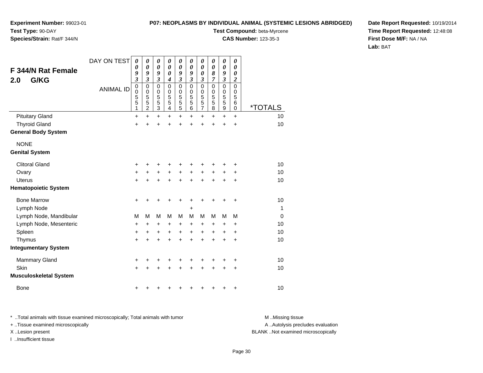### **P07: NEOPLASMS BY INDIVIDUAL ANIMAL (SYSTEMIC LESIONS ABRIDGED)**

**Experiment Number:** 99023-01**Test Type:** 90-DAY

**Species/Strain:** Rat/F 344/N

**Test Compound:** beta-Myrcene

**CAS Number:** 123-35-3

**Date Report Requested:** 10/19/2014**Time Report Requested:** 12:48:08**First Dose M/F:** NA / NA**Lab:** BAT

| F 344/N Rat Female<br>G/KG<br>2.0 | DAY ON TEST<br><b>ANIMAL ID</b> | $\boldsymbol{\theta}$<br>0<br>9<br>$\overline{\mathbf{3}}$<br>$\pmb{0}$<br>0<br>5<br>5<br>1 | 0<br>$\boldsymbol{\theta}$<br>9<br>$\overline{\mathbf{3}}$<br>$\mathbf 0$<br>$\mathbf 0$<br>5<br>5<br>$\overline{c}$ | 0<br>$\boldsymbol{\theta}$<br>9<br>$\overline{\mathbf{3}}$<br>$\mathbf 0$<br>0<br>5<br>5<br>$\overline{3}$ | $\boldsymbol{\theta}$<br>$\boldsymbol{\theta}$<br>$\boldsymbol{\theta}$<br>$\boldsymbol{4}$<br>$\mathbf 0$<br>0<br>5<br>5<br>4 | 0<br>$\boldsymbol{\theta}$<br>9<br>$\overline{\mathbf{3}}$<br>$\mathbf 0$<br>0<br>5<br>5<br>$\overline{5}$ | $\boldsymbol{\theta}$<br>$\boldsymbol{\theta}$<br>9<br>3<br>$\Omega$<br>0<br>5<br>5<br>6 | 0<br>$\boldsymbol{\theta}$<br>0<br>$\boldsymbol{\beta}$<br>$\mathbf 0$<br>0<br>$\overline{5}$<br>$\frac{5}{7}$ | 0<br>0<br>8<br>7<br>$\mathbf 0$<br>0<br>5<br>5<br>8 | 0<br>$\boldsymbol{\theta}$<br>9<br>$\boldsymbol{\mathfrak{z}}$<br>$\mathbf 0$<br>0<br>5<br>$\overline{5}$<br>$\boldsymbol{9}$ | 0<br>0<br>0<br>$\boldsymbol{2}$<br>$\Omega$<br>0<br>5<br>6<br>$\mathbf 0$ | <i><b>*TOTALS</b></i> |
|-----------------------------------|---------------------------------|---------------------------------------------------------------------------------------------|----------------------------------------------------------------------------------------------------------------------|------------------------------------------------------------------------------------------------------------|--------------------------------------------------------------------------------------------------------------------------------|------------------------------------------------------------------------------------------------------------|------------------------------------------------------------------------------------------|----------------------------------------------------------------------------------------------------------------|-----------------------------------------------------|-------------------------------------------------------------------------------------------------------------------------------|---------------------------------------------------------------------------|-----------------------|
| <b>Pituitary Gland</b>            |                                 | +                                                                                           | $\ddot{}$                                                                                                            | $\ddot{}$                                                                                                  | $\ddot{}$                                                                                                                      | $\ddot{}$                                                                                                  | $+$                                                                                      | $\ddot{}$                                                                                                      | $\ddot{}$                                           | $+$                                                                                                                           | $+$                                                                       | 10                    |
| <b>Thyroid Gland</b>              |                                 | +                                                                                           | +                                                                                                                    | +                                                                                                          | +                                                                                                                              | +                                                                                                          |                                                                                          | +                                                                                                              | +                                                   | +                                                                                                                             | +                                                                         | 10                    |
| <b>General Body System</b>        |                                 |                                                                                             |                                                                                                                      |                                                                                                            |                                                                                                                                |                                                                                                            |                                                                                          |                                                                                                                |                                                     |                                                                                                                               |                                                                           |                       |
| <b>NONE</b>                       |                                 |                                                                                             |                                                                                                                      |                                                                                                            |                                                                                                                                |                                                                                                            |                                                                                          |                                                                                                                |                                                     |                                                                                                                               |                                                                           |                       |
| <b>Genital System</b>             |                                 |                                                                                             |                                                                                                                      |                                                                                                            |                                                                                                                                |                                                                                                            |                                                                                          |                                                                                                                |                                                     |                                                                                                                               |                                                                           |                       |
| <b>Clitoral Gland</b>             |                                 | +                                                                                           | ٠                                                                                                                    | +                                                                                                          | +                                                                                                                              | +                                                                                                          |                                                                                          | +                                                                                                              | ٠                                                   | +                                                                                                                             | +                                                                         | 10                    |
| Ovary                             |                                 | +                                                                                           | +                                                                                                                    | +                                                                                                          | $\ddot{}$                                                                                                                      | $\ddot{}$                                                                                                  | $\ddot{}$                                                                                | +                                                                                                              | +                                                   | +                                                                                                                             | +                                                                         | 10                    |
| Uterus                            |                                 | +                                                                                           | +                                                                                                                    | +                                                                                                          | +                                                                                                                              | +                                                                                                          |                                                                                          | +                                                                                                              | +                                                   | +                                                                                                                             | +                                                                         | 10                    |
| <b>Hematopoietic System</b>       |                                 |                                                                                             |                                                                                                                      |                                                                                                            |                                                                                                                                |                                                                                                            |                                                                                          |                                                                                                                |                                                     |                                                                                                                               |                                                                           |                       |
| <b>Bone Marrow</b>                |                                 | $\ddot{}$                                                                                   | +                                                                                                                    | +                                                                                                          | +                                                                                                                              | +                                                                                                          |                                                                                          | +                                                                                                              | +                                                   | +                                                                                                                             | +                                                                         | 10                    |
| Lymph Node                        |                                 |                                                                                             |                                                                                                                      |                                                                                                            |                                                                                                                                |                                                                                                            | +                                                                                        |                                                                                                                |                                                     |                                                                                                                               |                                                                           | $\overline{1}$        |
| Lymph Node, Mandibular            |                                 | M                                                                                           | M                                                                                                                    | M                                                                                                          | М                                                                                                                              | M                                                                                                          | M                                                                                        | M                                                                                                              | M                                                   | M                                                                                                                             | M                                                                         | $\mathbf 0$           |
| Lymph Node, Mesenteric            |                                 | +                                                                                           | +                                                                                                                    | +                                                                                                          | +                                                                                                                              | +                                                                                                          | +                                                                                        | +                                                                                                              | +                                                   | +                                                                                                                             | +                                                                         | 10                    |
| Spleen                            |                                 | +                                                                                           | +                                                                                                                    | +                                                                                                          | +                                                                                                                              | +                                                                                                          | +                                                                                        | +                                                                                                              | +                                                   | +                                                                                                                             | +                                                                         | 10                    |
| Thymus                            |                                 | +                                                                                           | +                                                                                                                    | +                                                                                                          | +                                                                                                                              | +                                                                                                          |                                                                                          | +                                                                                                              | +                                                   | $\ddot{}$                                                                                                                     | $\ddot{}$                                                                 | 10                    |
| <b>Integumentary System</b>       |                                 |                                                                                             |                                                                                                                      |                                                                                                            |                                                                                                                                |                                                                                                            |                                                                                          |                                                                                                                |                                                     |                                                                                                                               |                                                                           |                       |
| <b>Mammary Gland</b>              |                                 | +                                                                                           | +                                                                                                                    | +                                                                                                          | +                                                                                                                              | +                                                                                                          | +                                                                                        | +                                                                                                              | +                                                   | +                                                                                                                             | +                                                                         | 10                    |
| Skin                              |                                 | +                                                                                           |                                                                                                                      | +                                                                                                          | +                                                                                                                              | +                                                                                                          |                                                                                          |                                                                                                                |                                                     | +                                                                                                                             | +                                                                         | 10                    |
| <b>Musculoskeletal System</b>     |                                 |                                                                                             |                                                                                                                      |                                                                                                            |                                                                                                                                |                                                                                                            |                                                                                          |                                                                                                                |                                                     |                                                                                                                               |                                                                           |                       |
| Bone                              |                                 | +                                                                                           |                                                                                                                      |                                                                                                            |                                                                                                                                |                                                                                                            |                                                                                          |                                                                                                                |                                                     | +                                                                                                                             | +                                                                         | 10                    |

\* ..Total animals with tissue examined microscopically; Total animals with tumor **M** . Missing tissue M ..Missing tissue + ..Tissue examined microscopically

I ..Insufficient tissue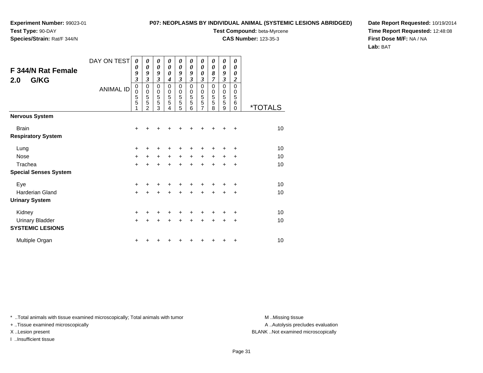**Experiment Number:** 99023-01

### **Test Type:** 90-DAY**Species/Strain:** Rat/F 344/N

### **P07: NEOPLASMS BY INDIVIDUAL ANIMAL (SYSTEMIC LESIONS ABRIDGED)**

**Test Compound:** beta-Myrcene

**CAS Number:** 123-35-3

**Date Report Requested:** 10/19/2014**Time Report Requested:** 12:48:08**First Dose M/F:** NA / NA**Lab:** BAT

| F 344/N Rat Female<br>G/KG<br>2.0         | DAY ON TEST<br><b>ANIMAL ID</b> | 0<br>0<br>9<br>$\mathfrak{z}$<br>$\mathbf 0$<br>0<br>5<br>5<br>1 | 0<br>0<br>9<br>$\mathfrak{z}$<br>0<br>$\mathbf 0$<br>5<br>5<br>$\mathcal{P}$ | 0<br>0<br>9<br>3<br>0<br>$\begin{array}{c} 0 \\ 5 \\ 3 \end{array}$ | 0<br>0<br>0<br>$\boldsymbol{4}$<br>$\mathbf 0$<br>0<br>5<br>5<br>4 | 0<br>0<br>9<br>3<br>$\mathbf 0$<br>0<br>5<br>$\overline{5}$<br>5 | 0<br>$\boldsymbol{\theta}$<br>9<br>3<br>0<br>0<br>5<br>5<br>6 | 0<br>0<br>0<br>3<br>$\mathbf 0$<br>$\boldsymbol{0}$<br>5<br>$\overline{5}$<br>$\overline{7}$ | 0<br>$\boldsymbol{\theta}$<br>8<br>$\overline{7}$<br>$\Omega$<br>$\mathbf 0$<br>5<br>5<br>8 | 0<br>0<br>9<br>$\overline{\mathbf{3}}$<br>$\mathbf 0$<br>0<br>5<br>5<br>9 | 0<br>$\boldsymbol{\theta}$<br>0<br>$\overline{c}$<br>$\mathbf 0$<br>$\mathbf 0$<br>5<br>6<br>$\Omega$ | <i><b>*TOTALS</b></i> |
|-------------------------------------------|---------------------------------|------------------------------------------------------------------|------------------------------------------------------------------------------|---------------------------------------------------------------------|--------------------------------------------------------------------|------------------------------------------------------------------|---------------------------------------------------------------|----------------------------------------------------------------------------------------------|---------------------------------------------------------------------------------------------|---------------------------------------------------------------------------|-------------------------------------------------------------------------------------------------------|-----------------------|
| <b>Nervous System</b>                     |                                 |                                                                  |                                                                              |                                                                     |                                                                    |                                                                  |                                                               |                                                                                              |                                                                                             |                                                                           |                                                                                                       |                       |
| <b>Brain</b><br><b>Respiratory System</b> |                                 | +                                                                |                                                                              |                                                                     |                                                                    |                                                                  |                                                               |                                                                                              |                                                                                             |                                                                           | ٠                                                                                                     | 10                    |
| Lung                                      |                                 | +                                                                |                                                                              |                                                                     |                                                                    |                                                                  |                                                               |                                                                                              |                                                                                             |                                                                           | +                                                                                                     | 10                    |
| Nose                                      |                                 | $\ddot{}$                                                        | +                                                                            | $\pm$                                                               | $\ddot{}$                                                          | $+$                                                              | $\ddot{}$                                                     | $\pm$                                                                                        | $\ddot{}$                                                                                   | $\ddot{}$                                                                 | ÷                                                                                                     | 10                    |
| Trachea                                   |                                 | $\ddot{}$                                                        | $\ddot{}$                                                                    | $\ddot{}$                                                           | $\ddot{}$                                                          | $\ddot{}$                                                        | $\ddot{}$                                                     | $\ddot{}$                                                                                    | $+$                                                                                         | $\ddot{}$                                                                 | +                                                                                                     | 10                    |
| <b>Special Senses System</b>              |                                 |                                                                  |                                                                              |                                                                     |                                                                    |                                                                  |                                                               |                                                                                              |                                                                                             |                                                                           |                                                                                                       |                       |
| Eye                                       |                                 | $\ddot{}$                                                        |                                                                              |                                                                     |                                                                    |                                                                  |                                                               |                                                                                              |                                                                                             |                                                                           | ÷                                                                                                     | 10                    |
| Harderian Gland                           |                                 | $\ddot{}$                                                        | +                                                                            | +                                                                   | +                                                                  | $\ddot{}$                                                        | $\ddot{}$                                                     | $\ddot{}$                                                                                    | $\ddot{}$                                                                                   | +                                                                         | +                                                                                                     | 10                    |
| <b>Urinary System</b>                     |                                 |                                                                  |                                                                              |                                                                     |                                                                    |                                                                  |                                                               |                                                                                              |                                                                                             |                                                                           |                                                                                                       |                       |
| Kidney                                    |                                 | $\ddot{}$                                                        |                                                                              |                                                                     |                                                                    | +                                                                |                                                               |                                                                                              |                                                                                             |                                                                           | +                                                                                                     | 10                    |
| <b>Urinary Bladder</b>                    |                                 | $\ddot{}$                                                        | +                                                                            | $\ddot{}$                                                           | $\ddot{}$                                                          | $\ddot{}$                                                        | $\ddot{}$                                                     | $\ddot{}$                                                                                    | $\ddot{}$                                                                                   | +                                                                         | +                                                                                                     | 10                    |
| <b>SYSTEMIC LESIONS</b>                   |                                 |                                                                  |                                                                              |                                                                     |                                                                    |                                                                  |                                                               |                                                                                              |                                                                                             |                                                                           |                                                                                                       |                       |
| Multiple Organ                            |                                 | +                                                                |                                                                              |                                                                     |                                                                    |                                                                  |                                                               |                                                                                              |                                                                                             |                                                                           | +                                                                                                     | 10                    |

\* ..Total animals with tissue examined microscopically; Total animals with tumor **M** . Missing tissue M ..Missing tissue

+ ..Tissue examined microscopically

I ..Insufficient tissue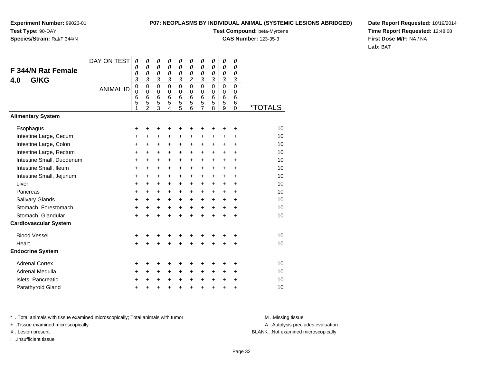### **Species/Strain:** Rat/F 344/N

### **P07: NEOPLASMS BY INDIVIDUAL ANIMAL (SYSTEMIC LESIONS ABRIDGED)**

**Test Compound:** beta-Myrcene

**CAS Number:** 123-35-3

**Date Report Requested:** 10/19/2014**Time Report Requested:** 12:48:08**First Dose M/F:** NA / NA**Lab:** BAT

| <b>F 344/N Rat Female</b><br>G/KG<br>4.0 | DAY ON TEST      | 0<br>$\boldsymbol{\theta}$<br>0<br>$\boldsymbol{\beta}$ | 0<br>$\boldsymbol{\theta}$<br>$\boldsymbol{\theta}$<br>$\boldsymbol{\beta}$ | 0<br>0<br>0<br>$\boldsymbol{\mathfrak{z}}$ | 0<br>$\boldsymbol{\theta}$<br>$\boldsymbol{\theta}$<br>$\boldsymbol{\beta}$ | 0<br>$\boldsymbol{\theta}$<br>0<br>$\boldsymbol{\mathfrak{z}}$ | 0<br>$\boldsymbol{\theta}$<br>0<br>$\boldsymbol{2}$ | 0<br>0<br>0<br>3                                | $\pmb{\theta}$<br>$\boldsymbol{\theta}$<br>0<br>$\boldsymbol{\mathfrak{z}}$ | 0<br>$\boldsymbol{\theta}$<br>$\boldsymbol{\theta}$<br>$\boldsymbol{\beta}$ | 0<br>$\boldsymbol{\theta}$<br>0<br>3         |                       |
|------------------------------------------|------------------|---------------------------------------------------------|-----------------------------------------------------------------------------|--------------------------------------------|-----------------------------------------------------------------------------|----------------------------------------------------------------|-----------------------------------------------------|-------------------------------------------------|-----------------------------------------------------------------------------|-----------------------------------------------------------------------------|----------------------------------------------|-----------------------|
|                                          | <b>ANIMAL ID</b> | $\mathbf 0$<br>$\mathbf 0$<br>6<br>5<br>1               | $\mathbf 0$<br>$\mathbf 0$<br>$6\phantom{1}6$<br>5<br>$\mathfrak{p}$        | 0<br>0<br>6<br>5<br>3                      | $\mathbf 0$<br>0<br>$6\phantom{1}6$<br>5<br>4                               | $\overline{0}$<br>$\pmb{0}$<br>$\,6$<br>$\frac{5}{5}$          | $\mathbf 0$<br>$\mathbf 0$<br>$\,6$<br>5<br>6       | $\overline{0}$<br>0<br>6<br>5<br>$\overline{7}$ | $\mathbf 0$<br>0<br>$6\phantom{1}6$<br>5<br>8                               | $\overline{0}$<br>$\mathbf 0$<br>$\,6$<br>5<br>9                            | $\overline{0}$<br>0<br>6<br>6<br>$\mathbf 0$ | <i><b>*TOTALS</b></i> |
| <b>Alimentary System</b>                 |                  |                                                         |                                                                             |                                            |                                                                             |                                                                |                                                     |                                                 |                                                                             |                                                                             |                                              |                       |
| Esophagus                                |                  | +                                                       | ٠                                                                           | +                                          | +                                                                           | +                                                              | ٠                                                   | +                                               |                                                                             |                                                                             | +                                            | 10                    |
| Intestine Large, Cecum                   |                  | +                                                       | +                                                                           | +                                          | +                                                                           | +                                                              | $\ddot{}$                                           | +                                               | $\ddot{}$                                                                   | $\ddot{}$                                                                   | ÷                                            | 10                    |
| Intestine Large, Colon                   |                  | +                                                       | +                                                                           | +                                          | +                                                                           | $\ddot{}$                                                      | +                                                   | +                                               | +                                                                           | $\ddot{}$                                                                   | $\ddot{}$                                    | 10                    |
| Intestine Large, Rectum                  |                  | +                                                       | $\ddot{}$                                                                   | +                                          | $\ddot{}$                                                                   | $\ddot{}$                                                      | $\ddot{}$                                           | $\ddot{}$                                       | $\ddot{}$                                                                   | $\ddot{}$                                                                   | $\ddot{}$                                    | 10                    |
| Intestine Small, Duodenum                |                  | $\ddot{}$                                               | +                                                                           | $\ddot{}$                                  | $\ddot{}$                                                                   | $\ddot{}$                                                      | $\ddot{}$                                           | $\ddot{}$                                       | $\ddot{}$                                                                   | $\ddot{}$                                                                   | $\ddot{}$                                    | 10                    |
| Intestine Small, Ileum                   |                  | +                                                       | +                                                                           | +                                          | +                                                                           | +                                                              | +                                                   | +                                               | $\ddot{}$                                                                   | $\ddot{}$                                                                   | $\ddot{}$                                    | 10                    |
| Intestine Small, Jejunum                 |                  | +                                                       | $\ddot{}$                                                                   | $\ddot{}$                                  | $\ddot{}$                                                                   | $\ddot{}$                                                      | $\ddot{}$                                           | $\ddot{}$                                       | $\ddot{}$                                                                   | $\ddot{}$                                                                   | $\ddot{}$                                    | 10                    |
| Liver                                    |                  | $\ddot{}$                                               | $\ddot{}$                                                                   | $\ddot{}$                                  | +                                                                           | $\ddot{}$                                                      | $\ddot{}$                                           | $\ddot{}$                                       | $\ddot{}$                                                                   | $+$                                                                         | +                                            | 10                    |
| Pancreas                                 |                  | $\ddot{}$                                               | $\ddot{}$                                                                   | $\ddot{}$                                  | $\ddot{}$                                                                   | $\ddot{}$                                                      | $+$                                                 | $\ddot{}$                                       | $\ddot{}$                                                                   | $+$                                                                         | $\ddot{}$                                    | 10                    |
| Salivary Glands                          |                  | $\ddot{}$                                               | +                                                                           | +                                          | +                                                                           | $\ddot{}$                                                      | $\ddot{}$                                           | $\ddot{}$                                       | $\ddot{}$                                                                   | $\ddot{}$                                                                   | $\ddot{}$                                    | 10                    |
| Stomach, Forestomach                     |                  | $\ddot{}$                                               | +                                                                           | +                                          | $\ddot{}$                                                                   | $\ddot{}$                                                      | $\ddot{}$                                           | $\ddot{}$                                       | $\ddot{}$                                                                   | $+$                                                                         | $\ddot{}$                                    | 10                    |
| Stomach, Glandular                       |                  | $+$                                                     | $\ddot{}$                                                                   | $\ddot{}$                                  | $\ddot{}$                                                                   | $\ddot{}$                                                      | $\ddot{}$                                           | $\ddot{}$                                       | $\ddot{}$                                                                   | $\ddot{}$                                                                   | $\ddot{}$                                    | 10                    |
| <b>Cardiovascular System</b>             |                  |                                                         |                                                                             |                                            |                                                                             |                                                                |                                                     |                                                 |                                                                             |                                                                             |                                              |                       |
| <b>Blood Vessel</b>                      |                  | +                                                       |                                                                             | +                                          | +                                                                           |                                                                |                                                     |                                                 |                                                                             |                                                                             | +                                            | 10                    |
| Heart                                    |                  | $\ddot{}$                                               |                                                                             | $\ddot{}$                                  | $\ddot{}$                                                                   | $\ddot{}$                                                      | $\ddot{}$                                           | $\ddot{}$                                       | ÷                                                                           |                                                                             | $\ddot{}$                                    | 10                    |
| <b>Endocrine System</b>                  |                  |                                                         |                                                                             |                                            |                                                                             |                                                                |                                                     |                                                 |                                                                             |                                                                             |                                              |                       |
| <b>Adrenal Cortex</b>                    |                  | +                                                       |                                                                             | +                                          | +                                                                           |                                                                |                                                     | +                                               |                                                                             |                                                                             | +                                            | 10                    |
| Adrenal Medulla                          |                  | +                                                       | $\ddot{}$                                                                   | $\ddot{}$                                  | $\ddot{}$                                                                   | $\ddot{}$                                                      | $\ddot{}$                                           | +                                               | $\ddot{}$                                                                   | $\ddot{}$                                                                   | $\ddot{}$                                    | 10                    |
| Islets, Pancreatic                       |                  | +                                                       |                                                                             | +                                          | +                                                                           | $\ddot{}$                                                      | $\pm$                                               | $\pm$                                           | $\ddot{}$                                                                   | $\ddot{}$                                                                   | $\ddot{}$                                    | 10                    |
| Parathyroid Gland                        |                  | +                                                       | +                                                                           | +                                          | +                                                                           | +                                                              | +                                                   | +                                               | +                                                                           | $\ddot{}$                                                                   | +                                            | 10                    |

\* ..Total animals with tissue examined microscopically; Total animals with tumor **M** . Missing tissue M ..Missing tissue

+ ..Tissue examined microscopically

I ..Insufficient tissue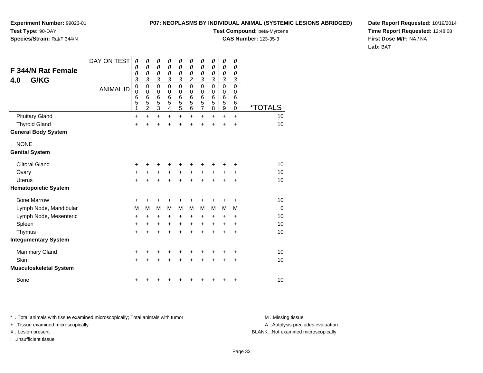**P07: NEOPLASMS BY INDIVIDUAL ANIMAL (SYSTEMIC LESIONS ABRIDGED)**

**Experiment Number:** 99023-01**Test Type:** 90-DAY

### **Species/Strain:** Rat/F 344/N

**Test Compound:** beta-Myrcene

**CAS Number:** 123-35-3

**Date Report Requested:** 10/19/2014**Time Report Requested:** 12:48:08**First Dose M/F:** NA / NA**Lab:** BAT

| <b>F 344/N Rat Female</b><br>G/KG<br>4.0 | DAY ON TEST<br><b>ANIMAL ID</b> | $\boldsymbol{\theta}$<br>0<br>$\boldsymbol{\theta}$<br>3<br>$\mathbf 0$<br>$\mathbf 0$<br>6<br>5<br>1 | $\boldsymbol{\theta}$<br>$\boldsymbol{\theta}$<br>$\boldsymbol{\theta}$<br>3<br>$\mathbf 0$<br>0<br>$\,6$<br>5<br>$\overline{2}$ | 0<br>$\boldsymbol{\theta}$<br>0<br>$\boldsymbol{\beta}$<br>0<br>0<br>$\,6$<br>5<br>$\overline{3}$ | 0<br>0<br>$\boldsymbol{\theta}$<br>3<br>$\mathbf 0$<br>0<br>$6\phantom{1}6$<br>5<br>$\overline{\mathbf{4}}$ | 0<br>0<br>$\boldsymbol{\theta}$<br>$\boldsymbol{\beta}$<br>$\mathbf 0$<br>0<br>6<br>$\frac{5}{5}$ | 0<br>0<br>0<br>$\boldsymbol{2}$<br>$\mathbf 0$<br>$\Omega$<br>6<br>5<br>6 | 0<br>$\boldsymbol{\theta}$<br>$\boldsymbol{\theta}$<br>3<br>$\mathbf 0$<br>0<br>$\,6$<br>$\frac{5}{7}$ | 0<br>0<br>0<br>3<br>$\mathbf 0$<br>0<br>6<br>5<br>8 | 0<br>0<br>0<br>3<br>0<br>$\boldsymbol{0}$<br>$\,$ 6 $\,$<br>5<br>$\overline{9}$ | 0<br>0<br>0<br>3<br>$\mathbf 0$<br>0<br>6<br>6<br>0 | <i><b>*TOTALS</b></i> |
|------------------------------------------|---------------------------------|-------------------------------------------------------------------------------------------------------|----------------------------------------------------------------------------------------------------------------------------------|---------------------------------------------------------------------------------------------------|-------------------------------------------------------------------------------------------------------------|---------------------------------------------------------------------------------------------------|---------------------------------------------------------------------------|--------------------------------------------------------------------------------------------------------|-----------------------------------------------------|---------------------------------------------------------------------------------|-----------------------------------------------------|-----------------------|
| <b>Pituitary Gland</b>                   |                                 | $\ddot{}$                                                                                             | $\ddot{}$                                                                                                                        | $\ddot{}$                                                                                         | $\ddot{}$                                                                                                   | $\ddot{}$                                                                                         | $\ddot{}$                                                                 | $\ddot{}$                                                                                              | $+$                                                 | $\ddot{}$                                                                       | $+$                                                 | 10                    |
| <b>Thyroid Gland</b>                     |                                 | $\ddot{}$                                                                                             | +                                                                                                                                | $\ddot{}$                                                                                         | +                                                                                                           | $\ddot{}$                                                                                         | $\ddot{}$                                                                 | $\ddot{}$                                                                                              | $\ddot{}$                                           | $\ddot{}$                                                                       | $\ddot{}$                                           | 10                    |
| <b>General Body System</b>               |                                 |                                                                                                       |                                                                                                                                  |                                                                                                   |                                                                                                             |                                                                                                   |                                                                           |                                                                                                        |                                                     |                                                                                 |                                                     |                       |
| <b>NONE</b><br><b>Genital System</b>     |                                 |                                                                                                       |                                                                                                                                  |                                                                                                   |                                                                                                             |                                                                                                   |                                                                           |                                                                                                        |                                                     |                                                                                 |                                                     |                       |
| <b>Clitoral Gland</b>                    |                                 | +                                                                                                     | +                                                                                                                                | +                                                                                                 | +                                                                                                           | +                                                                                                 | +                                                                         | +                                                                                                      | +                                                   | +                                                                               | ٠                                                   | 10                    |
| Ovary                                    |                                 | +                                                                                                     | +                                                                                                                                | $\ddot{}$                                                                                         | $\ddot{}$                                                                                                   | $\ddot{}$                                                                                         | $\ddot{}$                                                                 | $\ddot{}$                                                                                              | $\ddot{}$                                           | $\ddot{}$                                                                       | +                                                   | 10                    |
| <b>Uterus</b>                            |                                 | $\ddot{}$                                                                                             | $\ddot{}$                                                                                                                        | $\ddot{}$                                                                                         | $\ddot{}$                                                                                                   | $\ddot{}$                                                                                         | $\ddot{}$                                                                 | $\ddot{}$                                                                                              | $\ddot{}$                                           | $\ddot{}$                                                                       | $\ddot{}$                                           | 10                    |
| <b>Hematopoietic System</b>              |                                 |                                                                                                       |                                                                                                                                  |                                                                                                   |                                                                                                             |                                                                                                   |                                                                           |                                                                                                        |                                                     |                                                                                 |                                                     |                       |
| <b>Bone Marrow</b>                       |                                 | +                                                                                                     |                                                                                                                                  |                                                                                                   |                                                                                                             | +                                                                                                 | +                                                                         | +                                                                                                      |                                                     |                                                                                 | +                                                   | 10                    |
| Lymph Node, Mandibular                   |                                 | M                                                                                                     | М                                                                                                                                | М                                                                                                 | M                                                                                                           | M                                                                                                 | M                                                                         | M                                                                                                      | M                                                   | M                                                                               | M                                                   | $\mathbf 0$           |
| Lymph Node, Mesenteric                   |                                 | +                                                                                                     | +                                                                                                                                | +                                                                                                 | +                                                                                                           | +                                                                                                 | +                                                                         | +                                                                                                      | ÷                                                   | ٠                                                                               | ÷                                                   | 10                    |
| Spleen                                   |                                 | $\ddot{}$                                                                                             | $\ddot{}$                                                                                                                        | $\ddot{}$                                                                                         | +                                                                                                           | $\ddot{}$                                                                                         | $\ddot{}$                                                                 | $\ddot{}$                                                                                              | $\ddot{}$                                           | +                                                                               | +                                                   | 10                    |
| Thymus                                   |                                 | $\ddot{}$                                                                                             | $\ddot{}$                                                                                                                        | $\ddot{}$                                                                                         | $\ddot{}$                                                                                                   | $\ddot{}$                                                                                         | $\ddot{}$                                                                 | $\ddot{}$                                                                                              | $\ddot{}$                                           | +                                                                               | $\ddot{}$                                           | 10                    |
| <b>Integumentary System</b>              |                                 |                                                                                                       |                                                                                                                                  |                                                                                                   |                                                                                                             |                                                                                                   |                                                                           |                                                                                                        |                                                     |                                                                                 |                                                     |                       |
| <b>Mammary Gland</b>                     |                                 | +                                                                                                     |                                                                                                                                  |                                                                                                   |                                                                                                             | +                                                                                                 |                                                                           |                                                                                                        |                                                     |                                                                                 | +                                                   | 10                    |
| Skin                                     |                                 | $\ddot{}$                                                                                             |                                                                                                                                  | +                                                                                                 |                                                                                                             | $\ddot{}$                                                                                         | $\ddot{}$                                                                 | $\ddot{}$                                                                                              | $\ddot{}$                                           | +                                                                               | +                                                   | 10                    |
| <b>Musculoskeletal System</b>            |                                 |                                                                                                       |                                                                                                                                  |                                                                                                   |                                                                                                             |                                                                                                   |                                                                           |                                                                                                        |                                                     |                                                                                 |                                                     |                       |
| <b>Bone</b>                              |                                 | +                                                                                                     |                                                                                                                                  |                                                                                                   |                                                                                                             | ٠                                                                                                 | +                                                                         | +                                                                                                      | ٠                                                   | +                                                                               | $\ddot{}$                                           | 10                    |

\* ..Total animals with tissue examined microscopically; Total animals with tumor **M** . Missing tissue M ..Missing tissue

+ ..Tissue examined microscopically

I ..Insufficient tissue